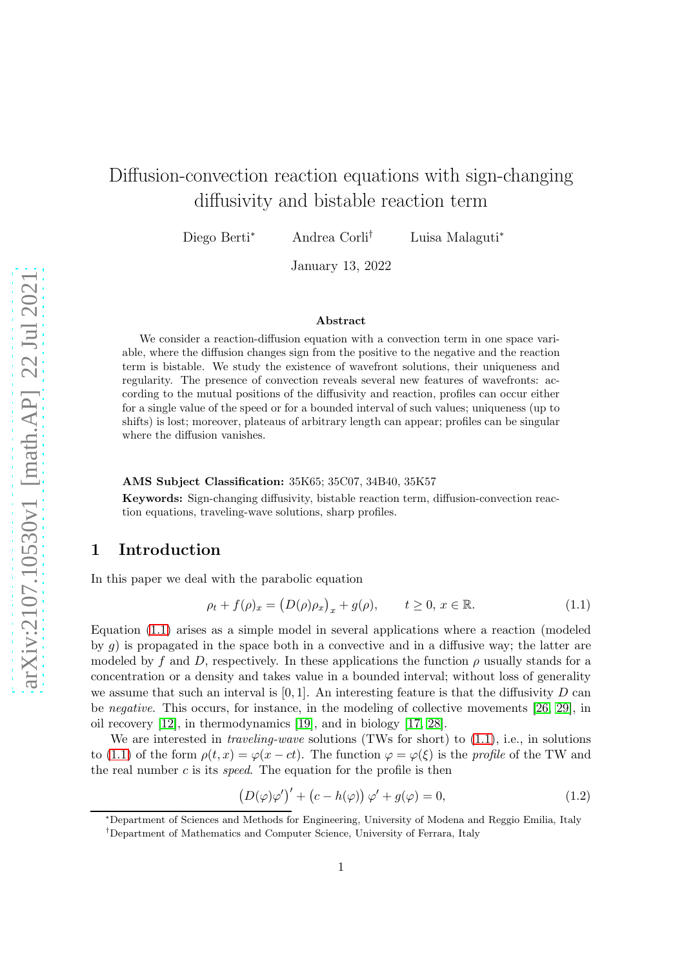# Diffusion-convection reaction equations with sign-changing diffusivity and bistable reaction term

Diego Berti<sup>∗</sup> Andrea Corli† Luisa Malaguti<sup>∗</sup>

January 13, 2022

#### Abstract

We consider a reaction-diffusion equation with a convection term in one space variable, where the diffusion changes sign from the positive to the negative and the reaction term is bistable. We study the existence of wavefront solutions, their uniqueness and regularity. The presence of convection reveals several new features of wavefronts: according to the mutual positions of the diffusivity and reaction, profiles can occur either for a single value of the speed or for a bounded interval of such values; uniqueness (up to shifts) is lost; moreover, plateaus of arbitrary length can appear; profiles can be singular where the diffusion vanishes.

#### AMS Subject Classification: 35K65; 35C07, 34B40, 35K57

Keywords: Sign-changing diffusivity, bistable reaction term, diffusion-convection reaction equations, traveling-wave solutions, sharp profiles.

## 1 Introduction

In this paper we deal with the parabolic equation

<span id="page-0-0"></span>
$$
\rho_t + f(\rho)_x = \left(D(\rho)\rho_x\right)_x + g(\rho), \qquad t \ge 0, \ x \in \mathbb{R}.\tag{1.1}
$$

Equation [\(1.1\)](#page-0-0) arises as a simple model in several applications where a reaction (modeled by  $g$ ) is propagated in the space both in a convective and in a diffusive way; the latter are modeled by f and D, respectively. In these applications the function  $\rho$  usually stands for a concentration or a density and takes value in a bounded interval; without loss of generality we assume that such an interval is  $[0, 1]$ . An interesting feature is that the diffusivity D can be negative. This occurs, for instance, in the modeling of collective movements [\[26,](#page-32-0) [29\]](#page-32-1), in oil recovery [\[12\]](#page-32-2), in thermodynamics [\[19\]](#page-32-3), and in biology [\[17,](#page-32-4) [28\]](#page-32-5).

We are interested in *traveling-wave* solutions (TWs for short) to  $(1.1)$ , i.e., in solutions to [\(1.1\)](#page-0-0) of the form  $\rho(t, x) = \varphi(x - ct)$ . The function  $\varphi = \varphi(\xi)$  is the profile of the TW and the real number  $c$  is its *speed*. The equation for the profile is then

<span id="page-0-1"></span>
$$
(D(\varphi)\varphi')' + (c - h(\varphi)) \varphi' + g(\varphi) = 0,
$$
\n(1.2)

<sup>∗</sup>Department of Sciences and Methods for Engineering, University of Modena and Reggio Emilia, Italy

<sup>†</sup>Department of Mathematics and Computer Science, University of Ferrara, Italy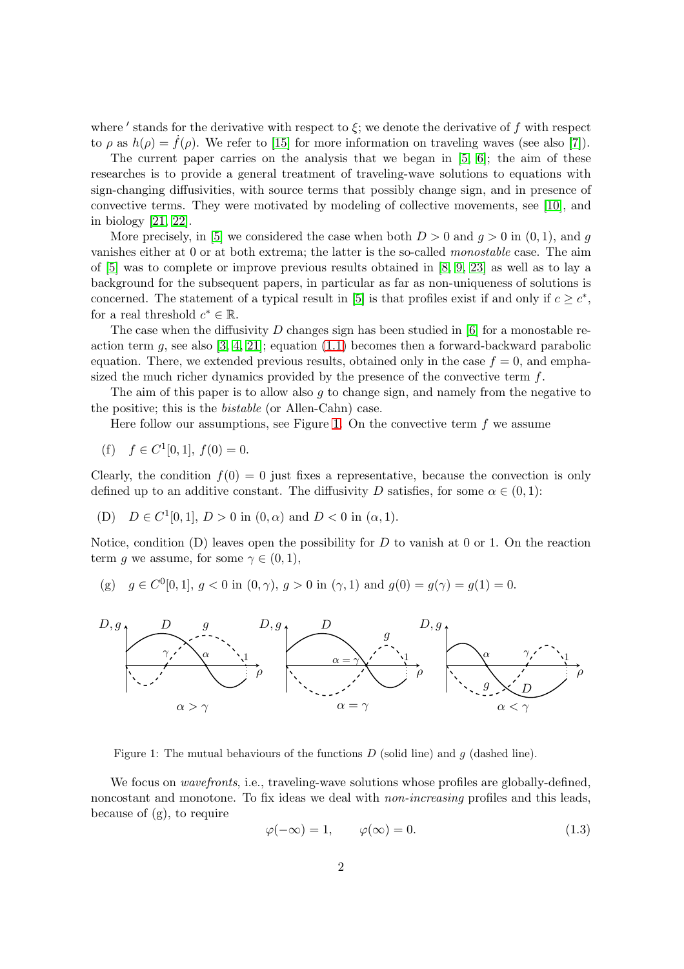where ' stands for the derivative with respect to  $\xi$ ; we denote the derivative of f with respect to  $\rho$  as  $h(\rho) = f(\rho)$ . We refer to [\[15\]](#page-32-6) for more information on traveling waves (see also [\[7\]](#page-31-0)).

The current paper carries on the analysis that we began in [\[5,](#page-31-1) [6\]](#page-31-2); the aim of these researches is to provide a general treatment of traveling-wave solutions to equations with sign-changing diffusivities, with source terms that possibly change sign, and in presence of convective terms. They were motivated by modeling of collective movements, see [\[10\]](#page-31-3), and in biology [\[21,](#page-32-7) [22\]](#page-32-8).

More precisely, in [\[5\]](#page-31-1) we considered the case when both  $D > 0$  and  $q > 0$  in  $(0, 1)$ , and q vanishes either at 0 or at both extrema; the latter is the so-called *monostable* case. The aim of [\[5\]](#page-31-1) was to complete or improve previous results obtained in [\[8,](#page-31-4) [9,](#page-31-5) [23\]](#page-32-9) as well as to lay a background for the subsequent papers, in particular as far as non-uniqueness of solutions is concerned. The statement of a typical result in [\[5\]](#page-31-1) is that profiles exist if and only if  $c \geq c^*$ , for a real threshold  $c^* \in \mathbb{R}$ .

The case when the diffusivity  $D$  changes sign has been studied in [\[6\]](#page-31-2) for a monostable reaction term  $g$ , see also [\[3,](#page-31-6) [4,](#page-31-7) [21\]](#page-32-7); equation [\(1.1\)](#page-0-0) becomes then a forward-backward parabolic equation. There, we extended previous results, obtained only in the case  $f = 0$ , and emphasized the much richer dynamics provided by the presence of the convective term  $f$ .

The aim of this paper is to allow also  $g$  to change sign, and namely from the negative to the positive; this is the bistable (or Allen-Cahn) case.

Here follow our assumptions, see Figure [1.](#page-1-0) On the convective term  $f$  we assume

(f)  $f \in C^1[0,1], f(0) = 0.$ 

Clearly, the condition  $f(0) = 0$  just fixes a representative, because the convection is only defined up to an additive constant. The diffusivity D satisfies, for some  $\alpha \in (0,1)$ :

(D)  $D \in C^1[0,1], D > 0$  in  $(0, \alpha)$  and  $D < 0$  in  $(\alpha, 1)$ .

Notice, condition  $(D)$  leaves open the possibility for D to vanish at 0 or 1. On the reaction term g we assume, for some  $\gamma \in (0,1)$ ,

(g) 
$$
g \in C^0[0,1], g < 0
$$
 in  $(0, \gamma), g > 0$  in  $(\gamma, 1)$  and  $g(0) = g(\gamma) = g(1) = 0$ .



<span id="page-1-0"></span>Figure 1: The mutual behaviours of the functions  $D$  (solid line) and  $g$  (dashed line).

We focus on *wavefronts*, i.e., traveling-wave solutions whose profiles are globally-defined, noncostant and monotone. To fix ideas we deal with *non-increasing* profiles and this leads, because of (g), to require

<span id="page-1-1"></span>
$$
\varphi(-\infty) = 1, \qquad \varphi(\infty) = 0. \tag{1.3}
$$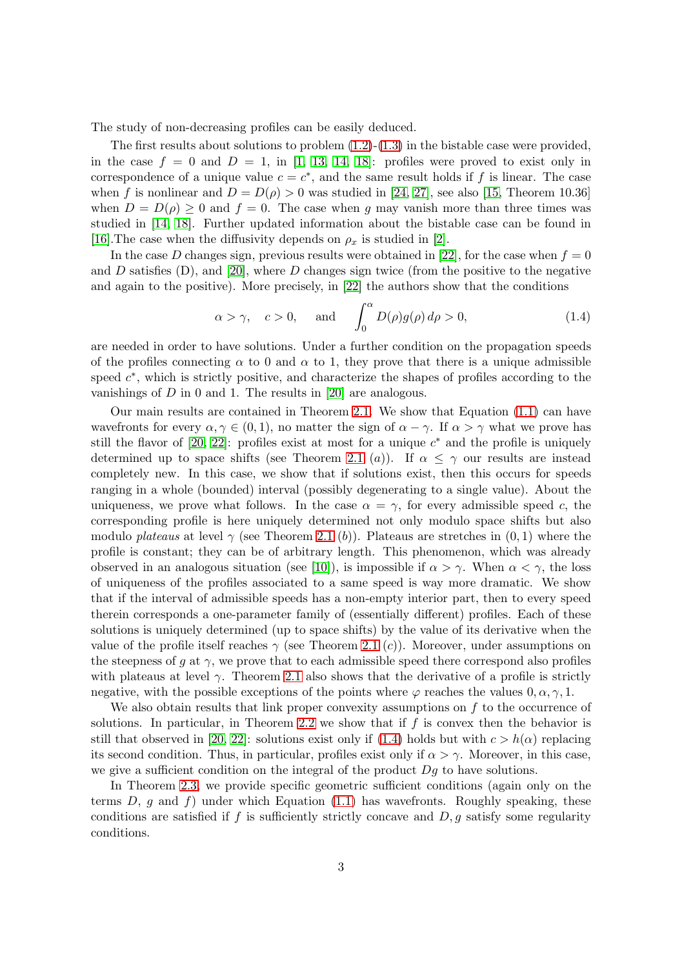The study of non-decreasing profiles can be easily deduced.

The first results about solutions to problem  $(1.2)-(1.3)$  $(1.2)-(1.3)$  in the bistable case were provided, in the case  $f = 0$  and  $D = 1$ , in [\[1,](#page-31-8) [13,](#page-32-10) [14,](#page-32-11) [18\]](#page-32-12): profiles were proved to exist only in correspondence of a unique value  $c = c^*$ , and the same result holds if f is linear. The case when f is nonlinear and  $D = D(\rho) > 0$  was studied in [\[24,](#page-32-13) [27\]](#page-32-14), see also [\[15,](#page-32-6) Theorem 10.36] when  $D = D(\rho) \ge 0$  and  $f = 0$ . The case when q may vanish more than three times was studied in [\[14,](#page-32-11) [18\]](#page-32-12). Further updated information about the bistable case can be found in [\[16\]](#page-32-15). The case when the diffusivity depends on  $\rho_x$  is studied in [\[2\]](#page-31-9).

In the case D changes sign, previous results were obtained in [\[22\]](#page-32-8), for the case when  $f = 0$ and D satisfies (D), and [\[20\]](#page-32-16), where D changes sign twice (from the positive to the negative and again to the positive). More precisely, in [\[22\]](#page-32-8) the authors show that the conditions

<span id="page-2-0"></span>
$$
\alpha > \gamma
$$
,  $c > 0$ , and  $\int_0^{\alpha} D(\rho)g(\rho) d\rho > 0$ , (1.4)

are needed in order to have solutions. Under a further condition on the propagation speeds of the profiles connecting  $\alpha$  to 0 and  $\alpha$  to 1, they prove that there is a unique admissible speed  $c^*$ , which is strictly positive, and characterize the shapes of profiles according to the vanishings of  $D$  in 0 and 1. The results in [\[20\]](#page-32-16) are analogous.

Our main results are contained in Theorem [2.1.](#page-5-0) We show that Equation [\(1.1\)](#page-0-0) can have wavefronts for every  $\alpha, \gamma \in (0, 1)$ , no matter the sign of  $\alpha - \gamma$ . If  $\alpha > \gamma$  what we prove has still the flavor of  $[20, 22]$  $[20, 22]$ : profiles exist at most for a unique  $c^*$  and the profile is uniquely determined up to space shifts (see Theorem [2.1](#page-5-0) (a)). If  $\alpha \leq \gamma$  our results are instead completely new. In this case, we show that if solutions exist, then this occurs for speeds ranging in a whole (bounded) interval (possibly degenerating to a single value). About the uniqueness, we prove what follows. In the case  $\alpha = \gamma$ , for every admissible speed c, the corresponding profile is here uniquely determined not only modulo space shifts but also modulo plateaus at level  $\gamma$  (see Theorem [2.1](#page-5-0) (b)). Plateaus are stretches in  $(0,1)$  where the profile is constant; they can be of arbitrary length. This phenomenon, which was already observed in an analogous situation (see [\[10\]](#page-31-3)), is impossible if  $\alpha > \gamma$ . When  $\alpha < \gamma$ , the loss of uniqueness of the profiles associated to a same speed is way more dramatic. We show that if the interval of admissible speeds has a non-empty interior part, then to every speed therein corresponds a one-parameter family of (essentially different) profiles. Each of these solutions is uniquely determined (up to space shifts) by the value of its derivative when the value of the profile itself reaches  $\gamma$  (see Theorem [2.1](#page-5-0) (c)). Moreover, under assumptions on the steepness of q at  $\gamma$ , we prove that to each admissible speed there correspond also profiles with plateaus at level  $\gamma$ . Theorem [2.1](#page-5-0) also shows that the derivative of a profile is strictly negative, with the possible exceptions of the points where  $\varphi$  reaches the values  $0, \alpha, \gamma, 1$ .

We also obtain results that link proper convexity assumptions on  $f$  to the occurrence of solutions. In particular, in Theorem [2.2](#page-5-1) we show that if  $f$  is convex then the behavior is still that observed in [\[20,](#page-32-16) [22\]](#page-32-8): solutions exist only if [\(1.4\)](#page-2-0) holds but with  $c > h(\alpha)$  replacing its second condition. Thus, in particular, profiles exist only if  $\alpha > \gamma$ . Moreover, in this case, we give a sufficient condition on the integral of the product  $Dg$  to have solutions.

In Theorem [2.3,](#page-6-0) we provide specific geometric sufficient conditions (again only on the terms  $D, g$  and  $f$ ) under which Equation [\(1.1\)](#page-0-0) has wavefronts. Roughly speaking, these conditions are satisfied if f is sufficiently strictly concave and  $D, g$  satisfy some regularity conditions.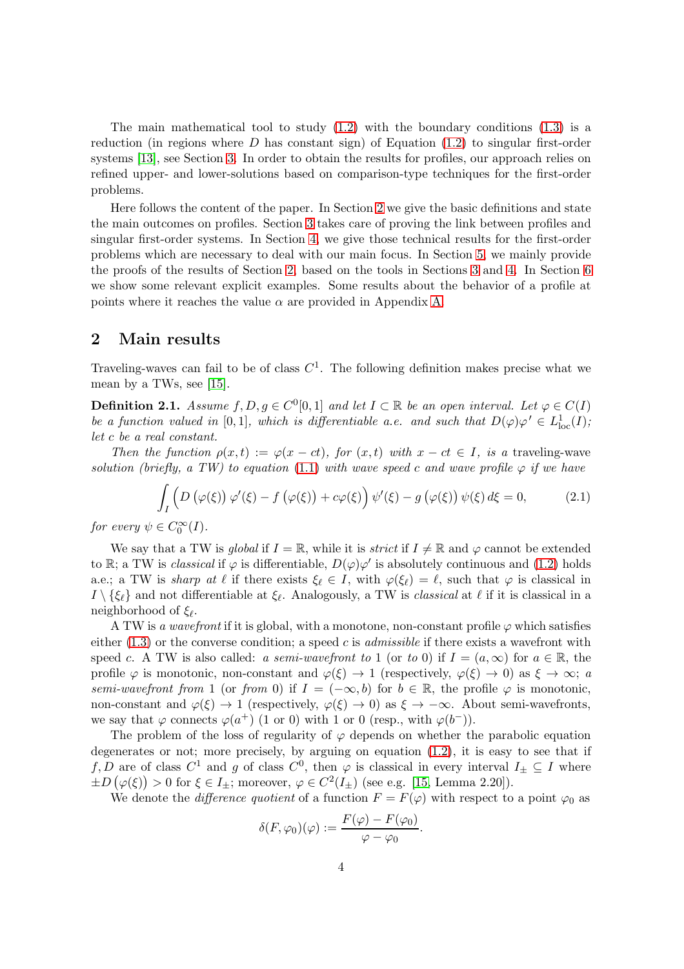The main mathematical tool to study  $(1.2)$  with the boundary conditions  $(1.3)$  is a reduction (in regions where  $D$  has constant sign) of Equation  $(1.2)$  to singular first-order systems [\[13\]](#page-32-10), see Section [3.](#page-7-0) In order to obtain the results for profiles, our approach relies on refined upper- and lower-solutions based on comparison-type techniques for the first-order problems.

Here follows the content of the paper. In Section [2](#page-3-0) we give the basic definitions and state the main outcomes on profiles. Section [3](#page-7-0) takes care of proving the link between profiles and singular first-order systems. In Section [4,](#page-11-0) we give those technical results for the first-order problems which are necessary to deal with our main focus. In Section [5,](#page-18-0) we mainly provide the proofs of the results of Section [2,](#page-3-0) based on the tools in Sections [3](#page-7-0) and [4.](#page-11-0) In Section [6](#page-25-0) we show some relevant explicit examples. Some results about the behavior of a profile at points where it reaches the value  $\alpha$  are provided in Appendix [A.](#page-29-0)

## <span id="page-3-0"></span>2 Main results

Traveling-waves can fail to be of class  $C<sup>1</sup>$ . The following definition makes precise what we mean by a TWs, see [\[15\]](#page-32-6).

<span id="page-3-1"></span>**Definition 2.1.** Assume  $f, D, g \in C^0[0,1]$  and let  $I \subset \mathbb{R}$  be an open interval. Let  $\varphi \in C(I)$ be a function valued in [0,1], which is differentiable a.e. and such that  $D(\varphi)\varphi' \in L^1_{loc}(I)$ ; let c be a real constant.

Then the function  $\rho(x,t) := \varphi(x-ct)$ , for  $(x,t)$  with  $x-ct \in I$ , is a traveling-wave solution (briefly, a TW) to equation [\(1.1\)](#page-0-0) with wave speed c and wave profile  $\varphi$  if we have

$$
\int_{I} \left( D\left(\varphi(\xi)\right) \varphi'(\xi) - f\left(\varphi(\xi)\right) + c\varphi(\xi) \right) \psi'(\xi) - g\left(\varphi(\xi)\right) \psi(\xi) d\xi = 0, \tag{2.1}
$$

for every  $\psi \in C_0^{\infty}(I)$ .

We say that a TW is global if  $I = \mathbb{R}$ , while it is strict if  $I \neq \mathbb{R}$  and  $\varphi$  cannot be extended to R; a TW is *classical* if  $\varphi$  is differentiable,  $D(\varphi)\varphi'$  is absolutely continuous and [\(1.2\)](#page-0-1) holds a.e.; a TW is sharp at  $\ell$  if there exists  $\xi_{\ell} \in I$ , with  $\varphi(\xi_{\ell}) = \ell$ , such that  $\varphi$  is classical in  $I \setminus {\{\xi_\ell\}}$  and not differentiable at  $\xi_\ell$ . Analogously, a TW is *classical* at  $\ell$  if it is classical in a neighborhood of  $\xi_{\ell}$ .

A TW is a wavefront if it is global, with a monotone, non-constant profile  $\varphi$  which satisfies either  $(1.3)$  or the converse condition; a speed c is *admissible* if there exists a wavefront with speed c. A TW is also called: a semi-wavefront to 1 (or to 0) if  $I = (a, \infty)$  for  $a \in \mathbb{R}$ , the profile  $\varphi$  is monotonic, non-constant and  $\varphi(\xi) \to 1$  (respectively,  $\varphi(\xi) \to 0$ ) as  $\xi \to \infty$ ; a semi-wavefront from 1 (or from 0) if  $I = (-\infty, b)$  for  $b \in \mathbb{R}$ , the profile  $\varphi$  is monotonic, non-constant and  $\varphi(\xi) \to 1$  (respectively,  $\varphi(\xi) \to 0$ ) as  $\xi \to -\infty$ . About semi-wavefronts, we say that  $\varphi$  connects  $\varphi(a^+)$  (1 or 0) with 1 or 0 (resp., with  $\varphi(b^-)$ ).

The problem of the loss of regularity of  $\varphi$  depends on whether the parabolic equation degenerates or not; more precisely, by arguing on equation [\(1.2\)](#page-0-1), it is easy to see that if f, D are of class  $C^1$  and g of class  $C^0$ , then  $\varphi$  is classical in every interval  $I_{\pm} \subseteq I$  where  $\pm D(\varphi(\xi)) > 0$  for  $\xi \in I_{\pm}$ ; moreover,  $\varphi \in C^2(I_{\pm})$  (see e.g. [\[15,](#page-32-6) Lemma 2.20]).

We denote the *difference quotient* of a function  $F = F(\varphi)$  with respect to a point  $\varphi_0$  as

.

$$
\delta(F,\varphi_0)(\varphi) := \frac{F(\varphi) - F(\varphi_0)}{\varphi - \varphi_0}
$$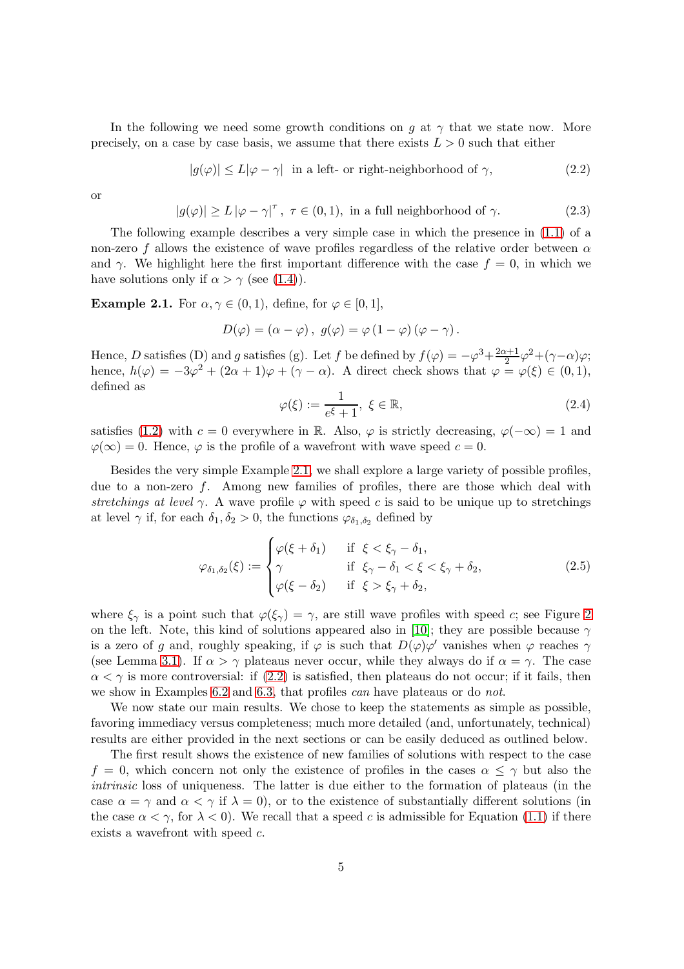In the following we need some growth conditions on q at  $\gamma$  that we state now. More precisely, on a case by case basis, we assume that there exists  $L > 0$  such that either

<span id="page-4-1"></span>
$$
|g(\varphi)| \le L|\varphi - \gamma| \quad \text{in a left- or right-neighborhood of } \gamma,\tag{2.2}
$$

or

<span id="page-4-2"></span>
$$
|g(\varphi)| \ge L |\varphi - \gamma|^\tau, \ \tau \in (0, 1), \text{ in a full neighborhood of } \gamma.
$$
 (2.3)

The following example describes a very simple case in which the presence in [\(1.1\)](#page-0-0) of a non-zero f allows the existence of wave profiles regardless of the relative order between  $\alpha$ and  $\gamma$ . We highlight here the first important difference with the case  $f = 0$ , in which we have solutions only if  $\alpha > \gamma$  (see [\(1.4\)](#page-2-0)).

<span id="page-4-0"></span>**Example 2.1.** For  $\alpha, \gamma \in (0, 1)$ , define, for  $\varphi \in [0, 1]$ ,

$$
D(\varphi) = (\alpha - \varphi), \ g(\varphi) = \varphi (1 - \varphi) (\varphi - \gamma).
$$

Hence, D satisfies (D) and g satisfies (g). Let f be defined by  $f(\varphi) = -\varphi^3 + \frac{2\alpha+1}{2}$  $\frac{\alpha+1}{2}\varphi^2+(\gamma-\alpha)\varphi;$ hence,  $h(\varphi) = -3\varphi^2 + (2\alpha + 1)\varphi + (\gamma - \alpha)$ . A direct check shows that  $\varphi = \varphi(\xi) \in (0, 1)$ , defined as

$$
\varphi(\xi) := \frac{1}{e^{\xi} + 1}, \ \xi \in \mathbb{R}, \tag{2.4}
$$

satisfies [\(1.2\)](#page-0-1) with c = 0 everywhere in R. Also,  $\varphi$  is strictly decreasing,  $\varphi(-\infty) = 1$  and  $\varphi(\infty) = 0$ . Hence,  $\varphi$  is the profile of a wavefront with wave speed  $c = 0$ .

Besides the very simple Example [2.1,](#page-4-0) we shall explore a large variety of possible profiles, due to a non-zero  $f$ . Among new families of profiles, there are those which deal with stretchings at level  $\gamma$ . A wave profile  $\varphi$  with speed c is said to be unique up to stretchings at level  $\gamma$  if, for each  $\delta_1, \delta_2 > 0$ , the functions  $\varphi_{\delta_1, \delta_2}$  defined by

<span id="page-4-3"></span>
$$
\varphi_{\delta_1, \delta_2}(\xi) := \begin{cases}\n\varphi(\xi + \delta_1) & \text{if } \xi < \xi_\gamma - \delta_1, \\
\gamma & \text{if } \xi_\gamma - \delta_1 < \xi < \xi_\gamma + \delta_2, \\
\varphi(\xi - \delta_2) & \text{if } \xi > \xi_\gamma + \delta_2,\n\end{cases}
$$
\n(2.5)

where  $\xi_{\gamma}$  is a point such that  $\varphi(\xi_{\gamma}) = \gamma$ , are still wave profiles with speed c; see Figure [2](#page-5-2) on the left. Note, this kind of solutions appeared also in [\[10\]](#page-31-3); they are possible because  $\gamma$ is a zero of g and, roughly speaking, if  $\varphi$  is such that  $D(\varphi)\varphi'$  vanishes when  $\varphi$  reaches  $\gamma$ (see Lemma [3.1\)](#page-7-1). If  $\alpha > \gamma$  plateaus never occur, while they always do if  $\alpha = \gamma$ . The case  $\alpha < \gamma$  is more controversial: if [\(2.2\)](#page-4-1) is satisfied, then plateaus do not occur; if it fails, then we show in Examples [6.2](#page-27-0) and [6.3,](#page-28-0) that profiles *can* have plateaus or do *not*.

We now state our main results. We chose to keep the statements as simple as possible, favoring immediacy versus completeness; much more detailed (and, unfortunately, technical) results are either provided in the next sections or can be easily deduced as outlined below.

The first result shows the existence of new families of solutions with respect to the case  $f = 0$ , which concern not only the existence of profiles in the cases  $\alpha \leq \gamma$  but also the intrinsic loss of uniqueness. The latter is due either to the formation of plateaus (in the case  $\alpha = \gamma$  and  $\alpha < \gamma$  if  $\lambda = 0$ ), or to the existence of substantially different solutions (in the case  $\alpha < \gamma$ , for  $\lambda < 0$ ). We recall that a speed c is admissible for Equation [\(1.1\)](#page-0-0) if there exists a wavefront with speed c.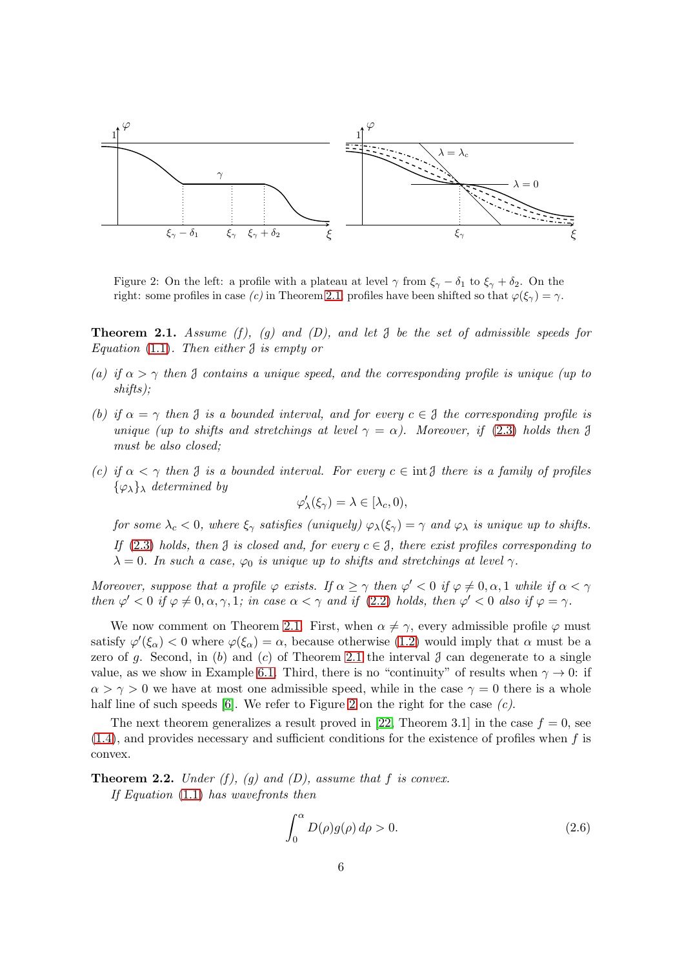

<span id="page-5-2"></span>Figure 2: On the left: a profile with a plateau at level  $\gamma$  from  $\xi_{\gamma} - \delta_1$  to  $\xi_{\gamma} + \delta_2$ . On the right: some profiles in case (c) in Theorem [2.1;](#page-5-0) profiles have been shifted so that  $\varphi(\xi_\gamma) = \gamma$ .

<span id="page-5-0"></span>**Theorem 2.1.** Assume (f), (g) and (D), and let  $\mathcal{J}$  be the set of admissible speeds for Equation  $(1.1)$ . Then either  $\beta$  is empty or

- (a) if  $\alpha > \gamma$  then J contains a unique speed, and the corresponding profile is unique (up to shifts);
- (b) if  $\alpha = \gamma$  then  $\beta$  is a bounded interval, and for every  $c \in \beta$  the corresponding profile is unique (up to shifts and stretchings at level  $\gamma = \alpha$ ). Moreover, if [\(2.3\)](#page-4-2) holds then  $\beta$ must be also closed;
- (c) if  $\alpha < \gamma$  then  $\beta$  is a bounded interval. For every  $c \in \text{int } \mathcal{J}$  there is a family of profiles  $\{\varphi_{\lambda}\}\$ <sub>λ</sub> determined by

$$
\varphi'_\lambda(\xi_\gamma)=\lambda\in[\lambda_c,0),
$$

for some  $\lambda_c < 0$ , where  $\xi_{\gamma}$  satisfies (uniquely)  $\varphi_{\lambda}(\xi_{\gamma}) = \gamma$  and  $\varphi_{\lambda}$  is unique up to shifts. If [\(2.3\)](#page-4-2) holds, then  $\beta$  is closed and, for every  $c \in \mathcal{J}$ , there exist profiles corresponding to  $\lambda = 0$ . In such a case,  $\varphi_0$  is unique up to shifts and stretchings at level  $\gamma$ .

Moreover, suppose that a profile  $\varphi$  exists. If  $\alpha \geq \gamma$  then  $\varphi' < 0$  if  $\varphi \neq 0, \alpha, 1$  while if  $\alpha < \gamma$ then  $\varphi' < 0$  if  $\varphi \neq 0, \alpha, \gamma, 1$ ; in case  $\alpha < \gamma$  and if [\(2.2\)](#page-4-1) holds, then  $\varphi' < 0$  also if  $\varphi = \gamma$ .

We now comment on Theorem [2.1.](#page-5-0) First, when  $\alpha \neq \gamma$ , every admissible profile  $\varphi$  must satisfy  $\varphi'(\xi_\alpha) < 0$  where  $\varphi(\xi_\alpha) = \alpha$ , because otherwise [\(1.2\)](#page-0-1) would imply that  $\alpha$  must be a zero of g. Second, in (b) and (c) of Theorem [2.1](#page-5-0) the interval  $\beta$  can degenerate to a single value, as we show in Example [6.1.](#page-25-1) Third, there is no "continuity" of results when  $\gamma \to 0$ : if  $\alpha > \gamma > 0$  we have at most one admissible speed, while in the case  $\gamma = 0$  there is a whole half line of such speeds  $[6]$ . We refer to Figure [2](#page-5-2) on the right for the case  $(c)$ .

The next theorem generalizes a result proved in [\[22,](#page-32-8) Theorem 3.1] in the case  $f = 0$ , see  $(1.4)$ , and provides necessary and sufficient conditions for the existence of profiles when f is convex.

<span id="page-5-1"></span>**Theorem 2.2.** Under (f), (q) and (D), assume that f is convex. If Equation [\(1.1\)](#page-0-0) has wavefronts then

<span id="page-5-3"></span>
$$
\int_0^\alpha D(\rho)g(\rho)\,d\rho > 0.\tag{2.6}
$$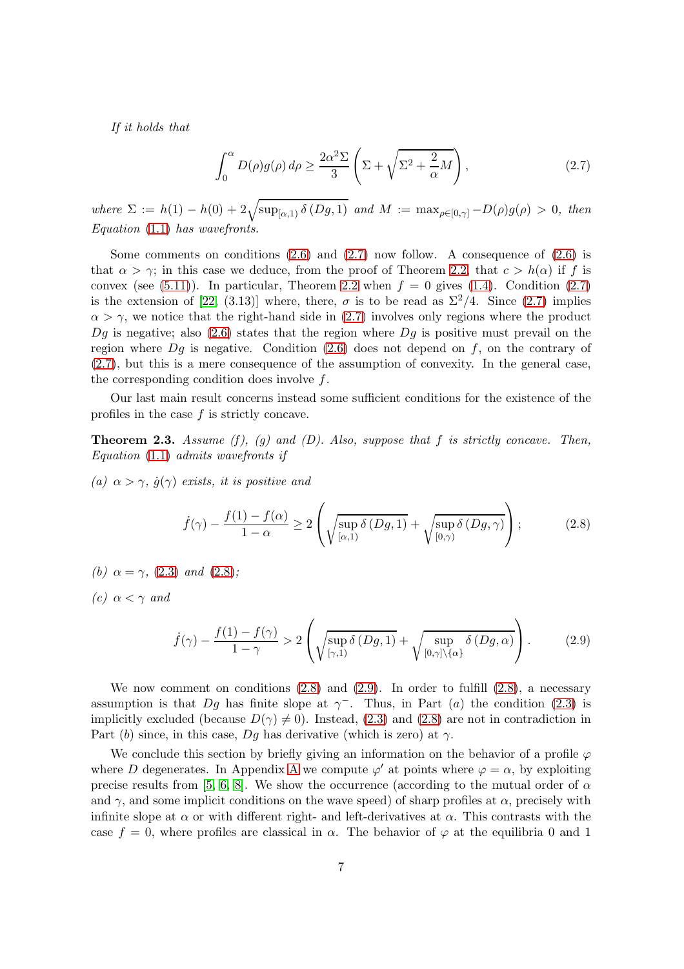If it holds that

<span id="page-6-1"></span>
$$
\int_0^\alpha D(\rho)g(\rho) d\rho \ge \frac{2\alpha^2 \Sigma}{3} \left( \Sigma + \sqrt{\Sigma^2 + \frac{2}{\alpha}M} \right),\tag{2.7}
$$

where  $\Sigma := h(1) - h(0) + 2\sqrt{\sup_{[\alpha,1)} \delta(Dg,1)}$  and  $M := \max_{\rho \in [0,\gamma]} -D(\rho)g(\rho) > 0$ , then Equation [\(1.1\)](#page-0-0) has wavefronts.

Some comments on conditions  $(2.6)$  and  $(2.7)$  now follow. A consequence of  $(2.6)$  is that  $\alpha > \gamma$ ; in this case we deduce, from the proof of Theorem [2.2,](#page-5-1) that  $c > h(\alpha)$  if f is convex (see [\(5.11\)](#page-22-0)). In particular, Theorem [2.2](#page-5-1) when  $f = 0$  gives [\(1.4\)](#page-2-0). Condition [\(2.7\)](#page-6-1) is the extension of [\[22,](#page-32-8) (3.13)] where, there,  $\sigma$  is to be read as  $\Sigma^2/4$ . Since [\(2.7\)](#page-6-1) implies  $\alpha > \gamma$ , we notice that the right-hand side in [\(2.7\)](#page-6-1) involves only regions where the product  $Dg$  is negative; also [\(2.6\)](#page-5-3) states that the region where  $Dg$  is positive must prevail on the region where  $Dg$  is negative. Condition [\(2.6\)](#page-5-3) does not depend on f, on the contrary of [\(2.7\)](#page-6-1), but this is a mere consequence of the assumption of convexity. In the general case, the corresponding condition does involve  $f$ .

Our last main result concerns instead some sufficient conditions for the existence of the profiles in the case  $f$  is strictly concave.

<span id="page-6-0"></span>**Theorem 2.3.** Assume  $(f)$ ,  $(g)$  and  $(D)$ . Also, suppose that  $f$  is strictly concave. Then, Equation [\(1.1\)](#page-0-0) admits wavefronts if

(a)  $\alpha > \gamma$ ,  $\dot{g}(\gamma)$  exists, it is positive and

<span id="page-6-2"></span>
$$
\dot{f}(\gamma) - \frac{f(1) - f(\alpha)}{1 - \alpha} \ge 2 \left( \sqrt{\sup_{[\alpha, 1)} \delta(Dg, 1)} + \sqrt{\sup_{[0, \gamma)} \delta(Dg, \gamma)} \right); \tag{2.8}
$$

(b)  $\alpha = \gamma$ , [\(2.3\)](#page-4-2) and [\(2.8\)](#page-6-2);

(c)  $\alpha < \gamma$  and

<span id="page-6-3"></span>
$$
\dot{f}(\gamma) - \frac{f(1) - f(\gamma)}{1 - \gamma} > 2 \left( \sqrt{\sup_{[\gamma, 1)} \delta(Dg, 1)} + \sqrt{\sup_{[0, \gamma] \setminus \{\alpha\}} \delta(Dg, \alpha)} \right).
$$
 (2.9)

We now comment on conditions  $(2.8)$  and  $(2.9)$ . In order to fulfill  $(2.8)$ , a necessary assumption is that Dg has finite slope at  $\gamma^-$ . Thus, in Part (a) the condition [\(2.3\)](#page-4-2) is implicitly excluded (because  $D(\gamma) \neq 0$ ). Instead, [\(2.3\)](#page-4-2) and [\(2.8\)](#page-6-2) are not in contradiction in Part (b) since, in this case, Dg has derivative (which is zero) at  $\gamma$ .

We conclude this section by briefly giving an information on the behavior of a profile  $\varphi$ where D degenerates. In [A](#page-29-0)ppendix A we compute  $\varphi'$  at points where  $\varphi = \alpha$ , by exploiting precise results from [\[5,](#page-31-1) [6,](#page-31-2) [8\]](#page-31-4). We show the occurrence (according to the mutual order of  $\alpha$ and  $\gamma$ , and some implicit conditions on the wave speed) of sharp profiles at  $\alpha$ , precisely with infinite slope at  $\alpha$  or with different right- and left-derivatives at  $\alpha$ . This contrasts with the case  $f = 0$ , where profiles are classical in  $\alpha$ . The behavior of  $\varphi$  at the equilibria 0 and 1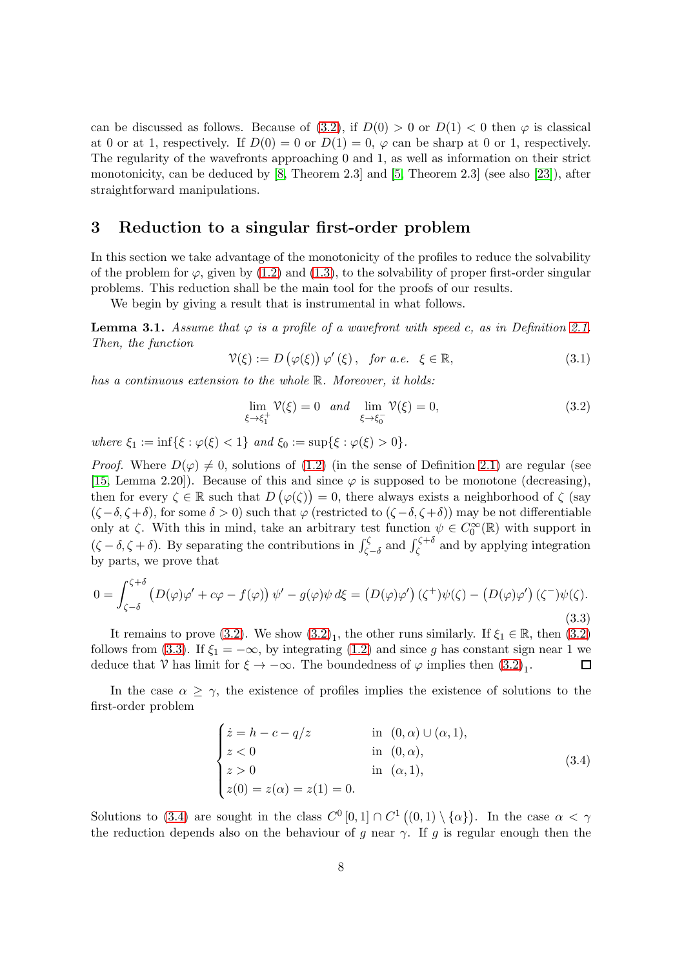can be discussed as follows. Because of [\(3.2\)](#page-7-2), if  $D(0) > 0$  or  $D(1) < 0$  then  $\varphi$  is classical at 0 or at 1, respectively. If  $D(0) = 0$  or  $D(1) = 0$ ,  $\varphi$  can be sharp at 0 or 1, respectively. The regularity of the wavefronts approaching 0 and 1, as well as information on their strict monotonicity, can be deduced by [\[8,](#page-31-4) Theorem 2.3] and [\[5,](#page-31-1) Theorem 2.3] (see also [\[23\]](#page-32-9)), after straightforward manipulations.

## <span id="page-7-0"></span>3 Reduction to a singular first-order problem

In this section we take advantage of the monotonicity of the profiles to reduce the solvability of the problem for  $\varphi$ , given by [\(1.2\)](#page-0-1) and [\(1.3\)](#page-1-1), to the solvability of proper first-order singular problems. This reduction shall be the main tool for the proofs of our results.

We begin by giving a result that is instrumental in what follows.

<span id="page-7-1"></span>**Lemma 3.1.** Assume that  $\varphi$  is a profile of a wavefront with speed c, as in Definition [2.1.](#page-3-1) Then, the function

<span id="page-7-5"></span>
$$
\mathcal{V}(\xi) := D\left(\varphi(\xi)\right) \varphi'(\xi), \quad \text{for a.e. } \xi \in \mathbb{R}, \tag{3.1}
$$

has a continuous extension to the whole  $\mathbb R$ . Moreover, it holds:

<span id="page-7-2"></span>
$$
\lim_{\xi \to \xi_1^+} \mathcal{V}(\xi) = 0 \quad and \quad \lim_{\xi \to \xi_0^-} \mathcal{V}(\xi) = 0,
$$
\n(3.2)

where  $\xi_1 := \inf\{\xi : \varphi(\xi) < 1\}$  and  $\xi_0 := \sup\{\xi : \varphi(\xi) > 0\}.$ 

*Proof.* Where  $D(\varphi) \neq 0$ , solutions of [\(1.2\)](#page-0-1) (in the sense of Definition [2.1\)](#page-3-1) are regular (see [\[15,](#page-32-6) Lemma 2.20]). Because of this and since  $\varphi$  is supposed to be monotone (decreasing), then for every  $\zeta \in \mathbb{R}$  such that  $D(\varphi(\zeta)) = 0$ , there always exists a neighborhood of  $\zeta$  (say  $(\zeta-\delta,\zeta+\delta)$ , for some  $\delta > 0$ ) such that  $\varphi$  (restricted to  $(\zeta-\delta,\zeta+\delta)$ ) may be not differentiable only at  $\zeta$ . With this in mind, take an arbitrary test function  $\psi \in C_0^{\infty}(\mathbb{R})$  with support in  $(\zeta - \delta, \zeta + \delta)$ . By separating the contributions in  $\int_{\zeta - \delta}^{\zeta}$  and  $\int_{\zeta}^{\zeta + \delta}$  and by applying integration by parts, we prove that

<span id="page-7-3"></span>
$$
0 = \int_{\zeta - \delta}^{\zeta + \delta} \left( D(\varphi)\varphi' + c\varphi - f(\varphi) \right) \psi' - g(\varphi)\psi \, d\xi = \left( D(\varphi)\varphi' \right) \left( \zeta^+ \right) \psi(\zeta) - \left( D(\varphi)\varphi' \right) \left( \zeta^- \right) \psi(\zeta).
$$
\n(3.3)

It remains to prove [\(3.2\)](#page-7-2). We show  $(3.2)<sub>1</sub>$ , the other runs similarly. If  $\xi_1 \in \mathbb{R}$ , then  $(3.2)$ follows from [\(3.3\)](#page-7-3). If  $\xi_1 = -\infty$ , by integrating [\(1.2\)](#page-0-1) and since g has constant sign near 1 we<br>deduce that  $\mathcal V$  has limit for  $\xi \to -\infty$ . The boundedness of  $\varphi$  implies then (3.2). deduce that  $\mathcal V$  has limit for  $\xi \to -\infty$ . The boundedness of  $\varphi$  implies then  $(3.2)_1$ .

In the case  $\alpha \geq \gamma$ , the existence of profiles implies the existence of solutions to the first-order problem

<span id="page-7-4"></span>
$$
\begin{cases}\n\dot{z} = h - c - q/z & \text{in } (0, \alpha) \cup (\alpha, 1), \\
z < 0 & \text{in } (0, \alpha), \\
z > 0 & \text{in } (\alpha, 1), \\
z(0) = z(\alpha) = z(1) = 0.\n\end{cases}
$$
\n(3.4)

Solutions to [\(3.4\)](#page-7-4) are sought in the class  $C^0[0,1] \cap C^1((0,1) \setminus {\alpha})$ . In the case  $\alpha < \gamma$ the reduction depends also on the behaviour of g near  $\gamma$ . If g is regular enough then the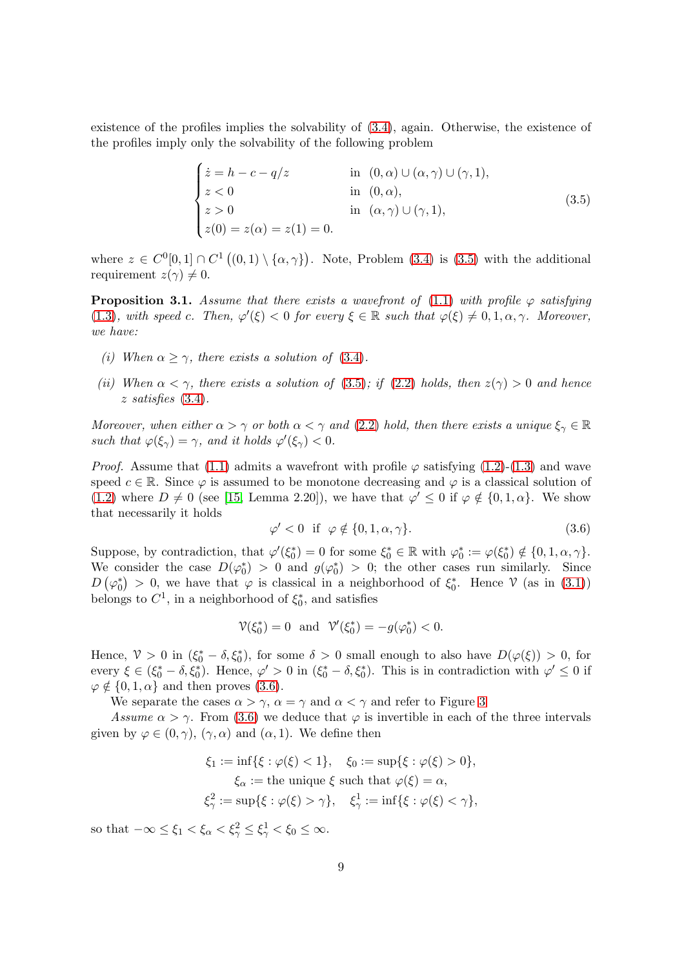existence of the profiles implies the solvability of [\(3.4\)](#page-7-4), again. Otherwise, the existence of the profiles imply only the solvability of the following problem

<span id="page-8-0"></span>
$$
\begin{cases}\n\dot{z} = h - c - q/z & \text{in } (0, \alpha) \cup (\alpha, \gamma) \cup (\gamma, 1), \\
z < 0 & \text{in } (0, \alpha), \\
z > 0 & \text{in } (\alpha, \gamma) \cup (\gamma, 1), \\
z(0) = z(\alpha) = z(1) = 0.\n\end{cases}
$$
\n(3.5)

where  $z \in C^{0}[0,1] \cap C^{1}((0,1) \setminus \{\alpha,\gamma\})$ . Note, Problem [\(3.4\)](#page-7-4) is [\(3.5\)](#page-8-0) with the additional requirement  $z(\gamma) \neq 0$ .

<span id="page-8-2"></span>**Proposition 3.1.** Assume that there exists a wavefront of [\(1.1\)](#page-0-0) with profile  $\varphi$  satisfying [\(1.3\)](#page-1-1), with speed c. Then,  $\varphi'(\xi) < 0$  for every  $\xi \in \mathbb{R}$  such that  $\varphi(\xi) \neq 0, 1, \alpha, \gamma$ . Moreover, we have:

- (i) When  $\alpha \geq \gamma$ , there exists a solution of [\(3.4\)](#page-7-4).
- (ii) When  $\alpha < \gamma$ , there exists a solution of [\(3.5\)](#page-8-0); if [\(2.2\)](#page-4-1) holds, then  $z(\gamma) > 0$  and hence z satisfies [\(3.4\)](#page-7-4).

Moreover, when either  $\alpha > \gamma$  or both  $\alpha < \gamma$  and [\(2.2\)](#page-4-1) hold, then there exists a unique  $\xi_{\gamma} \in \mathbb{R}$ such that  $\varphi(\xi_{\gamma}) = \gamma$ , and it holds  $\varphi'(\xi_{\gamma}) < 0$ .

*Proof.* Assume that [\(1.1\)](#page-0-0) admits a wavefront with profile  $\varphi$  satisfying [\(1.2\)](#page-0-1)-[\(1.3\)](#page-1-1) and wave speed  $c \in \mathbb{R}$ . Since  $\varphi$  is assumed to be monotone decreasing and  $\varphi$  is a classical solution of [\(1.2\)](#page-0-1) where  $D \neq 0$  (see [\[15,](#page-32-6) Lemma 2.20]), we have that  $\varphi' \leq 0$  if  $\varphi \notin \{0, 1, \alpha\}$ . We show that necessarily it holds

<span id="page-8-1"></span>
$$
\varphi' < 0 \quad \text{if} \quad \varphi \notin \{0, 1, \alpha, \gamma\}. \tag{3.6}
$$

Suppose, by contradiction, that  $\varphi'(\xi_0^*) = 0$  for some  $\xi_0^* \in \mathbb{R}$  with  $\varphi_0^* := \varphi(\xi_0^*) \notin \{0, 1, \alpha, \gamma\}.$ We consider the case  $D(\varphi_0^*) > 0$  and  $g(\varphi_0^*) > 0$ ; the other cases run similarly. Since  $D(\varphi_0^*) > 0$ , we have that  $\varphi$  is classical in a neighborhood of  $\xi_0^*$ . Hence  $\mathcal V$  (as in [\(3.1\)](#page-7-5)) belongs to  $C^1$ , in a neighborhood of  $\xi_0^*$ , and satisfies

$$
\mathcal{V}(\xi_0^*) = 0 \text{ and } \mathcal{V}'(\xi_0^*) = -g(\varphi_0^*) < 0.
$$

Hence,  $\mathcal{V} > 0$  in  $(\xi_0^* - \delta, \xi_0^*)$ , for some  $\delta > 0$  small enough to also have  $D(\varphi(\xi)) > 0$ , for every  $\xi \in (\xi_0^* - \delta, \xi_0^*)$ . Hence,  $\varphi' > 0$  in  $(\xi_0^* - \delta, \xi_0^*)$ . This is in contradiction with  $\varphi' \leq 0$  if  $\varphi \notin \{0, 1, \alpha\}$  and then proves [\(3.6\)](#page-8-1).

We separate the cases  $\alpha > \gamma$ ,  $\alpha = \gamma$  and  $\alpha < \gamma$  and refer to Figure [3](#page-9-0)

Assume  $\alpha > \gamma$ . From [\(3.6\)](#page-8-1) we deduce that  $\varphi$  is invertible in each of the three intervals given by  $\varphi \in (0, \gamma)$ ,  $(\gamma, \alpha)$  and  $(\alpha, 1)$ . We define then

$$
\xi_1 := \inf\{\xi : \varphi(\xi) < 1\}, \quad \xi_0 := \sup\{\xi : \varphi(\xi) > 0\},
$$
\n
$$
\xi_\alpha := \text{the unique } \xi \text{ such that } \varphi(\xi) = \alpha,
$$
\n
$$
\xi_\gamma^2 := \sup\{\xi : \varphi(\xi) > \gamma\}, \quad \xi_\gamma^1 := \inf\{\xi : \varphi(\xi) < \gamma\},
$$

so that  $-\infty \leq \xi_1 < \xi_\alpha < \xi_\gamma^2 \leq \xi_\gamma^1 < \xi_0 \leq \infty$ .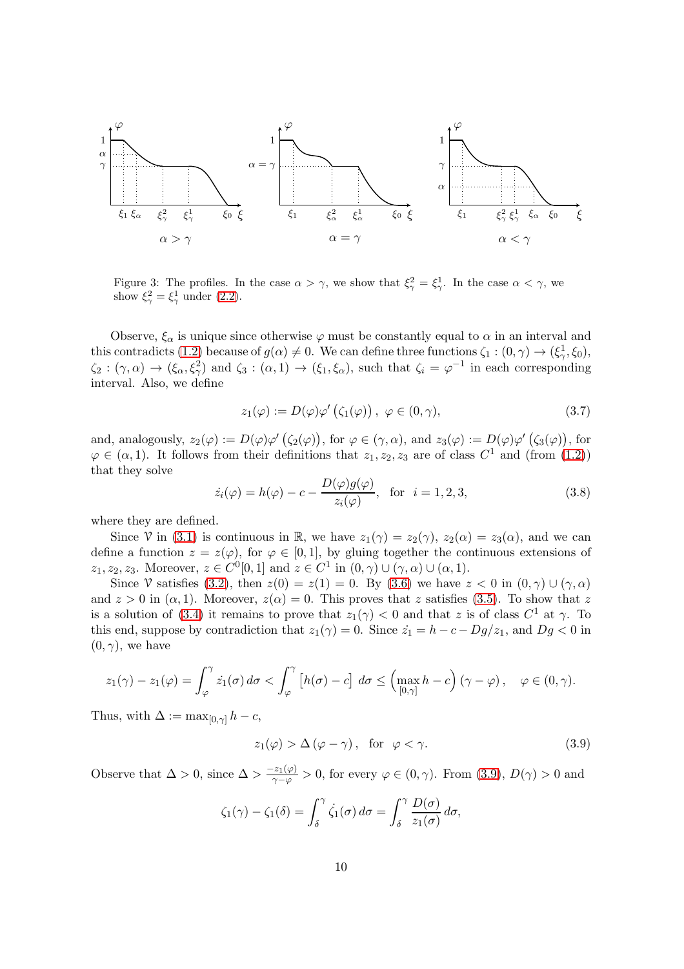

<span id="page-9-0"></span>Figure 3: The profiles. In the case  $\alpha > \gamma$ , we show that  $\xi_{\gamma}^2 = \xi_{\gamma}^1$ . In the case  $\alpha < \gamma$ , we show  $\xi_{\gamma}^2 = \xi_{\gamma}^1$  under [\(2.2\)](#page-4-1).

Observe,  $\xi_{\alpha}$  is unique since otherwise  $\varphi$  must be constantly equal to  $\alpha$  in an interval and this contradicts [\(1.2\)](#page-0-1) because of  $g(\alpha) \neq 0$ . We can define three functions  $\zeta_1 : (0, \gamma) \to (\xi_1^1, \xi_0)$ ,  $\zeta_2 : (\gamma, \alpha) \to (\xi_\alpha, \xi_\gamma^2)$  and  $\zeta_3 : (\alpha, 1) \to (\xi_1, \xi_\alpha)$ , such that  $\zeta_i = \varphi^{-1}$  in each corresponding interval. Also, we define

<span id="page-9-3"></span>
$$
z_1(\varphi) := D(\varphi)\varphi'\left(\zeta_1(\varphi)\right), \ \varphi \in (0, \gamma), \tag{3.7}
$$

and, analogously,  $z_2(\varphi) := D(\varphi)\varphi'(\zeta_2(\varphi))$ , for  $\varphi \in (\gamma, \alpha)$ , and  $z_3(\varphi) := D(\varphi)\varphi'(\zeta_3(\varphi))$ , for  $\varphi \in (\alpha, 1)$ . It follows from their definitions that  $z_1, z_2, z_3$  are of class  $C^1$  and (from [\(1.2\)](#page-0-1)) that they solve

<span id="page-9-2"></span>
$$
\dot{z}_i(\varphi) = h(\varphi) - c - \frac{D(\varphi)g(\varphi)}{z_i(\varphi)}, \quad \text{for} \quad i = 1, 2, 3,
$$
\n(3.8)

where they are defined.

Since V in [\(3.1\)](#page-7-5) is continuous in R, we have  $z_1(\gamma) = z_2(\gamma)$ ,  $z_2(\alpha) = z_3(\alpha)$ , and we can define a function  $z = z(\varphi)$ , for  $\varphi \in [0,1]$ , by gluing together the continuous extensions of  $z_1, z_2, z_3$ . Moreover,  $z \in C^0[0, 1]$  and  $z \in C^1$  in  $(0, \gamma) \cup (\gamma, \alpha) \cup (\alpha, 1)$ .

Since V satisfies [\(3.2\)](#page-7-2), then  $z(0) = z(1) = 0$ . By [\(3.6\)](#page-8-1) we have  $z < 0$  in  $(0, \gamma) \cup (\gamma, \alpha)$ and  $z > 0$  in  $(\alpha, 1)$ . Moreover,  $z(\alpha) = 0$ . This proves that z satisfies [\(3.5\)](#page-8-0). To show that z is a solution of [\(3.4\)](#page-7-4) it remains to prove that  $z_1(\gamma) < 0$  and that z is of class  $C^1$  at  $\gamma$ . To this end, suppose by contradiction that  $z_1(\gamma) = 0$ . Since  $\dot{z}_1 = h - c - Dg/z_1$ , and  $Dg < 0$  in  $(0, \gamma)$ , we have

$$
z_1(\gamma)-z_1(\varphi)=\int_{\varphi}^{\gamma} \dot{z_1}(\sigma) d\sigma < \int_{\varphi}^{\gamma} \left[h(\sigma)-c\right] d\sigma \leq \left(\max_{[0,\gamma]} h-c\right) (\gamma-\varphi), \quad \varphi \in (0,\gamma).
$$

Thus, with  $\Delta := \max_{[0,\gamma]} h - c$ ,

<span id="page-9-1"></span>
$$
z_1(\varphi) > \Delta (\varphi - \gamma), \text{ for } \varphi < \gamma.
$$
 (3.9)

Observe that  $\Delta > 0$ , since  $\Delta > \frac{-z_1(\varphi)}{\gamma - \varphi} > 0$ , for every  $\varphi \in (0, \gamma)$ . From  $(3.9)$ ,  $D(\gamma) > 0$  and

$$
\zeta_1(\gamma) - \zeta_1(\delta) = \int_{\delta}^{\gamma} \dot{\zeta_1}(\sigma) d\sigma = \int_{\delta}^{\gamma} \frac{D(\sigma)}{z_1(\sigma)} d\sigma,
$$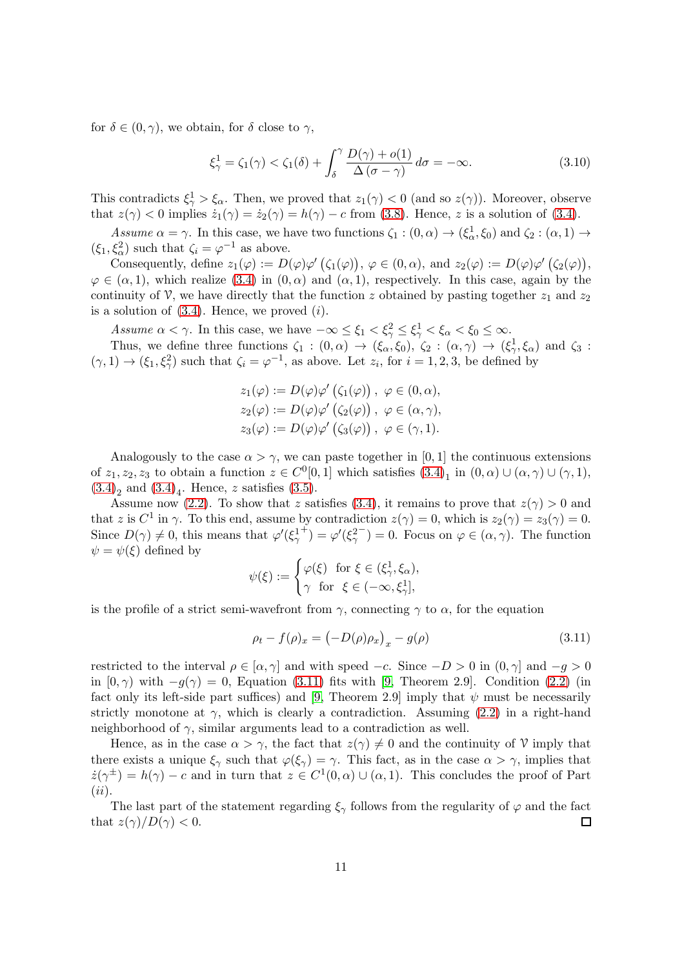for  $\delta \in (0, \gamma)$ , we obtain, for  $\delta$  close to  $\gamma$ ,

$$
\xi_{\gamma}^{1} = \zeta_{1}(\gamma) < \zeta_{1}(\delta) + \int_{\delta}^{\gamma} \frac{D(\gamma) + o(1)}{\Delta(\sigma - \gamma)} d\sigma = -\infty. \tag{3.10}
$$

This contradicts  $\xi_{\gamma}^1 > \xi_{\alpha}$ . Then, we proved that  $z_1(\gamma) < 0$  (and so  $z(\gamma)$ ). Moreover, observe that  $z(\gamma) < 0$  implies  $\dot{z}_1(\gamma) = \dot{z}_2(\gamma) = h(\gamma) - c$  from [\(3.8\)](#page-9-2). Hence, z is a solution of [\(3.4\)](#page-7-4).

Assume  $\alpha = \gamma$ . In this case, we have two functions  $\zeta_1 : (0, \alpha) \to (\xi_\alpha^1, \xi_0)$  and  $\zeta_2 : (\alpha, 1) \to \xi_\alpha^1$  $(\xi_1, \xi_\alpha^2)$  such that  $\zeta_i = \varphi^{-1}$  as above.

Consequently, define  $z_1(\varphi) := D(\varphi)\varphi'(\zeta_1(\varphi)), \varphi \in (0, \alpha)$ , and  $z_2(\varphi) := D(\varphi)\varphi'(\zeta_2(\varphi)),$  $\varphi \in (\alpha, 1)$ , which realize [\(3.4\)](#page-7-4) in  $(0, \alpha)$  and  $(\alpha, 1)$ , respectively. In this case, again by the continuity of  $\mathcal V$ , we have directly that the function z obtained by pasting together  $z_1$  and  $z_2$ is a solution of  $(3.4)$ . Hence, we proved  $(i)$ .

Assume  $\alpha < \gamma$ . In this case, we have  $-\infty \leq \xi_1 < \xi_\gamma^2 \leq \xi_\gamma^1 < \xi_\alpha < \xi_0 \leq \infty$ .

Thus, we define three functions  $\zeta_1 : (0, \alpha) \to (\xi_\alpha, \xi_0), \zeta_2 : (\alpha, \gamma) \to (\xi_\gamma^1, \xi_\alpha)$  and  $\zeta_3 :$  $(\gamma, 1) \to (\xi_1, \xi_\gamma^2)$  such that  $\zeta_i = \varphi^{-1}$ , as above. Let  $z_i$ , for  $i = 1, 2, 3$ , be defined by

$$
z_1(\varphi) := D(\varphi)\varphi'(\zeta_1(\varphi)), \varphi \in (0, \alpha),
$$
  
\n
$$
z_2(\varphi) := D(\varphi)\varphi'(\zeta_2(\varphi)), \varphi \in (\alpha, \gamma),
$$
  
\n
$$
z_3(\varphi) := D(\varphi)\varphi'(\zeta_3(\varphi)), \varphi \in (\gamma, 1).
$$

Analogously to the case  $\alpha > \gamma$ , we can paste together in [0, 1] the continuous extensions of  $z_1, z_2, z_3$  to obtain a function  $z \in C^0[0,1]$  which satisfies  $(3.4)_1$  in  $(0, \alpha) \cup (\alpha, \gamma) \cup (\gamma, 1)$ ,  $(3.4)_{2}$  $(3.4)_{2}$  and  $(3.4)_{4}$ . Hence, z satisfies  $(3.5)$ .

Assume now [\(2.2\)](#page-4-1). To show that z satisfies [\(3.4\)](#page-7-4), it remains to prove that  $z(\gamma) > 0$  and that z is  $C^1$  in  $\gamma$ . To this end, assume by contradiction  $z(\gamma) = 0$ , which is  $z_2(\gamma) = z_3(\gamma) = 0$ . Since  $D(\gamma) \neq 0$ , this means that  $\varphi'(\xi_{\gamma}^1)$  $\stackrel{\pm}{\rightarrow} = \varphi'(\xi_\gamma^2)$  $<sup>−</sup>$ ) = 0. Focus on  $\varphi \in (\alpha, \gamma)$ . The function</sup>  $\psi = \psi(\xi)$  defined by

$$
\psi(\xi) := \begin{cases} \varphi(\xi) & \text{for } \xi \in (\xi_\gamma^1, \xi_\alpha), \\ \gamma & \text{for } \xi \in (-\infty, \xi_\gamma^1], \end{cases}
$$

is the profile of a strict semi-wavefront from  $\gamma$ , connecting  $\gamma$  to  $\alpha$ , for the equation

<span id="page-10-0"></span>
$$
\rho_t - f(\rho)_x = \left(-D(\rho)\rho_x\right)_x - g(\rho) \tag{3.11}
$$

restricted to the interval  $\rho \in [\alpha, \gamma]$  and with speed  $-c$ . Since  $-D > 0$  in  $(0, \gamma]$  and  $-g > 0$ in  $[0, \gamma)$  with  $-g(\gamma) = 0$ , Equation [\(3.11\)](#page-10-0) fits with [\[9,](#page-31-5) Theorem 2.9]. Condition [\(2.2\)](#page-4-1) (in fact only its left-side part suffices) and [\[9,](#page-31-5) Theorem 2.9] imply that  $\psi$  must be necessarily strictly monotone at  $\gamma$ , which is clearly a contradiction. Assuming [\(2.2\)](#page-4-1) in a right-hand neighborhood of  $\gamma$ , similar arguments lead to a contradiction as well.

Hence, as in the case  $\alpha > \gamma$ , the fact that  $z(\gamma) \neq 0$  and the continuity of V imply that there exists a unique  $\xi_{\gamma}$  such that  $\varphi(\xi_{\gamma}) = \gamma$ . This fact, as in the case  $\alpha > \gamma$ , implies that  $\dot{z}(\gamma^{\pm}) = h(\gamma) - c$  and in turn that  $z \in C^{1}(0, \alpha) \cup (\alpha, 1)$ . This concludes the proof of Part  $(ii).$ 

The last part of the statement regarding  $\xi_{\gamma}$  follows from the regularity of  $\varphi$  and the fact that  $z(\gamma)/D(\gamma) < 0$ .  $\Box$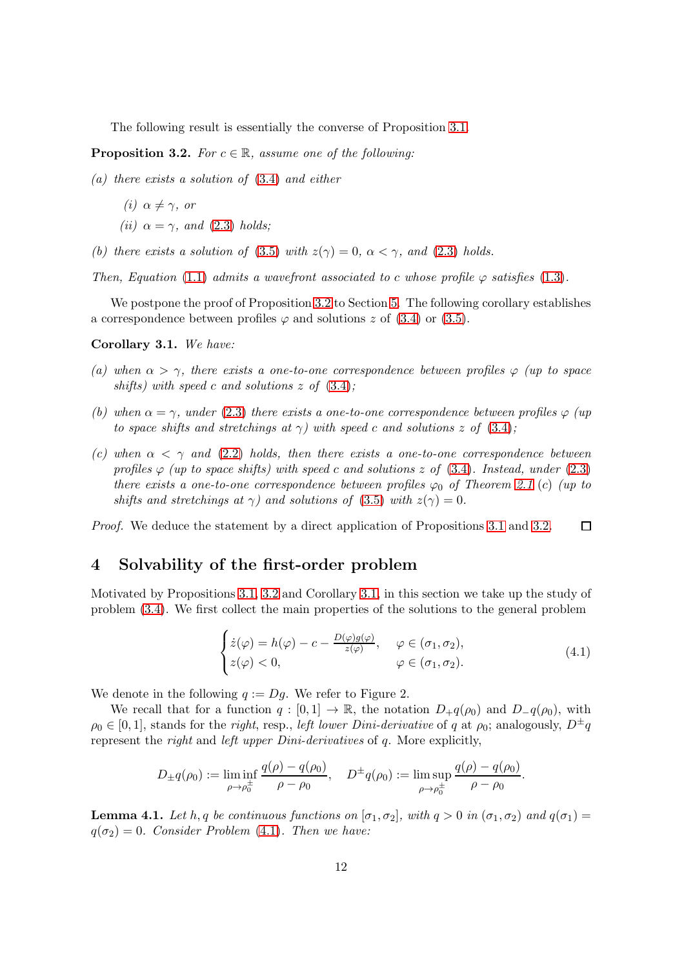The following result is essentially the converse of Proposition [3.1.](#page-8-2)

<span id="page-11-1"></span>**Proposition 3.2.** For  $c \in \mathbb{R}$ , assume one of the following:

(a) there exists a solution of [\(3.4\)](#page-7-4) and either

$$
(i) \ \alpha \neq \gamma, \ or
$$

- (ii)  $\alpha = \gamma$ , and [\(2.3\)](#page-4-2) holds;
- (b) there exists a solution of [\(3.5\)](#page-8-0) with  $z(\gamma) = 0$ ,  $\alpha < \gamma$ , and [\(2.3\)](#page-4-2) holds.

Then, Equation [\(1.1\)](#page-0-0) admits a wavefront associated to c whose profile  $\varphi$  satisfies [\(1.3\)](#page-1-1).

We postpone the proof of Proposition [3.2](#page-11-1) to Section [5.](#page-18-0) The following corollary establishes a correspondence between profiles  $\varphi$  and solutions z of [\(3.4\)](#page-7-4) or [\(3.5\)](#page-8-0).

<span id="page-11-2"></span>Corollary 3.1. We have:

- (a) when  $\alpha > \gamma$ , there exists a one-to-one correspondence between profiles  $\varphi$  (up to space shifts) with speed c and solutions  $z$  of  $(3.4)$ ;
- (b) when  $\alpha = \gamma$ , under [\(2.3\)](#page-4-2) there exists a one-to-one correspondence between profiles  $\varphi$  (up to space shifts and stretchings at  $\gamma$ ) with speed c and solutions z of [\(3.4\)](#page-7-4);
- (c) when  $\alpha < \gamma$  and [\(2.2\)](#page-4-1) holds, then there exists a one-to-one correspondence between profiles  $\varphi$  (up to space shifts) with speed c and solutions z of [\(3.4\)](#page-7-4). Instead, under [\(2.3\)](#page-4-2) there exists a one-to-one correspondence between profiles  $\varphi_0$  of Theorem [2.1](#page-5-0) (c) (up to shifts and stretchings at  $\gamma$ ) and solutions of [\(3.5\)](#page-8-0) with  $z(\gamma) = 0$ .

<span id="page-11-0"></span>Proof. We deduce the statement by a direct application of Propositions [3.1](#page-8-2) and [3.2.](#page-11-1)  $\Box$ 

### 4 Solvability of the first-order problem

Motivated by Propositions [3.1,](#page-8-2) [3.2](#page-11-1) and Corollary [3.1,](#page-11-2) in this section we take up the study of problem [\(3.4\)](#page-7-4). We first collect the main properties of the solutions to the general problem

<span id="page-11-3"></span>
$$
\begin{cases}\n\dot{z}(\varphi) = h(\varphi) - c - \frac{D(\varphi)g(\varphi)}{z(\varphi)}, & \varphi \in (\sigma_1, \sigma_2), \\
z(\varphi) < 0, & \varphi \in (\sigma_1, \sigma_2).\n\end{cases} \tag{4.1}
$$

We denote in the following  $q := Dq$ . We refer to Figure 2.

We recall that for a function  $q : [0,1] \to \mathbb{R}$ , the notation  $D_+q(\rho_0)$  and  $D_q(\rho_0)$ , with  $\rho_0 \in [0, 1]$ , stands for the *right*, resp., *left lower Dini-derivative* of q at  $\rho_0$ ; analogously,  $D^{\pm}q$ represent the right and left upper Dini-derivatives of q. More explicitly,

$$
D_{\pm}q(\rho_0) := \liminf_{\rho \to \rho_0^{\pm}} \frac{q(\rho) - q(\rho_0)}{\rho - \rho_0}, \quad D^{\pm}q(\rho_0) := \limsup_{\rho \to \rho_0^{\pm}} \frac{q(\rho) - q(\rho_0)}{\rho - \rho_0}.
$$

<span id="page-11-4"></span>**Lemma 4.1.** Let h, q be continuous functions on  $[\sigma_1, \sigma_2]$ , with  $q > 0$  in  $(\sigma_1, \sigma_2)$  and  $q(\sigma_1) =$  $q(\sigma_2) = 0$ . Consider Problem [\(4.1\)](#page-11-3). Then we have: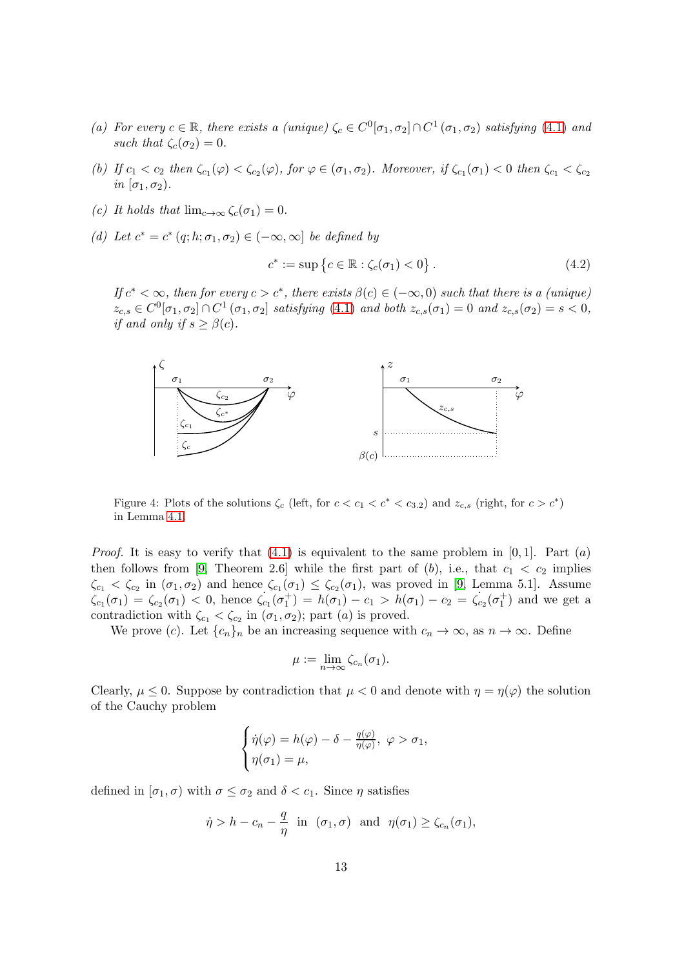- (a) For every  $c \in \mathbb{R}$ , there exists a (unique)  $\zeta_c \in C^0[\sigma_1, \sigma_2] \cap C^1(\sigma_1, \sigma_2)$  satisfying [\(4.1\)](#page-11-3) and such that  $\zeta_c(\sigma_2) = 0$ .
- (b) If  $c_1 < c_2$  then  $\zeta_{c_1}(\varphi) < \zeta_{c_2}(\varphi)$ , for  $\varphi \in (\sigma_1, \sigma_2)$ . Moreover, if  $\zeta_{c_1}(\sigma_1) < 0$  then  $\zeta_{c_1} < \zeta_{c_2}$ in  $[\sigma_1, \sigma_2]$ .
- (c) It holds that  $\lim_{c\to\infty}\zeta_c(\sigma_1)=0$ .
- (d) Let  $c^* = c^* (q; h; \sigma_1, \sigma_2) \in (-\infty, \infty]$  be defined by

<span id="page-12-0"></span>
$$
c^* := \sup \left\{ c \in \mathbb{R} : \zeta_c(\sigma_1) < 0 \right\}. \tag{4.2}
$$

If  $c^* < \infty$ , then for every  $c > c^*$ , there exists  $\beta(c) \in (-\infty, 0)$  such that there is a (unique)  $z_{c,s} \in C^0[\sigma_1, \sigma_2] \cap C^1(\sigma_1, \sigma_2]$  satisfying [\(4.1\)](#page-11-3) and both  $z_{c,s}(\sigma_1) = 0$  and  $z_{c,s}(\sigma_2) = s < 0$ , if and only if  $s \geq \beta(c)$ .



Figure 4: Plots of the solutions  $\zeta_c$  (left, for  $c < c_1 < c^* < c_{3.2}$ ) and  $z_{c,s}$  (right, for  $c > c^*$ ) in Lemma [4.1.](#page-11-4)

*Proof.* It is easy to verify that  $(4.1)$  is equivalent to the same problem in  $[0, 1]$ . Part  $(a)$ then follows from [\[9,](#page-31-5) Theorem 2.6] while the first part of  $(b)$ , i.e., that  $c_1 < c_2$  implies  $\zeta_{c_1} < \zeta_{c_2}$  in  $(\sigma_1, \sigma_2)$  and hence  $\zeta_{c_1}(\sigma_1) \leq \zeta_{c_2}(\sigma_1)$ , was proved in [\[9,](#page-31-5) Lemma 5.1]. Assume  $\zeta_{c_1}(\sigma_1) = \zeta_{c_2}(\sigma_1) < 0$ , hence  $\zeta_{c_1}(\sigma_1^+) = h(\sigma_1) - c_1 > h(\sigma_1) - c_2 = \zeta_{c_2}(\sigma_1^+)$  and we get a contradiction with  $\zeta_{c_1} < \zeta_{c_2}$  in  $(\sigma_1, \sigma_2)$ ; part  $(a)$  is proved.

We prove (c). Let  ${c_n}_n$  be an increasing sequence with  $c_n \to \infty$ , as  $n \to \infty$ . Define

$$
\mu := \lim_{n \to \infty} \zeta_{c_n}(\sigma_1).
$$

Clearly,  $\mu \leq 0$ . Suppose by contradiction that  $\mu \leq 0$  and denote with  $\eta = \eta(\varphi)$  the solution of the Cauchy problem

$$
\begin{cases}\n\dot{\eta}(\varphi) = h(\varphi) - \delta - \frac{q(\varphi)}{\eta(\varphi)}, \ \varphi > \sigma_1, \\
\eta(\sigma_1) = \mu,\n\end{cases}
$$

defined in  $[\sigma_1, \sigma]$  with  $\sigma \leq \sigma_2$  and  $\delta < c_1$ . Since  $\eta$  satisfies

$$
\dot{\eta} > h - c_n - \frac{q}{\eta}
$$
 in  $(\sigma_1, \sigma)$  and  $\eta(\sigma_1) \ge \zeta_{c_n}(\sigma_1)$ ,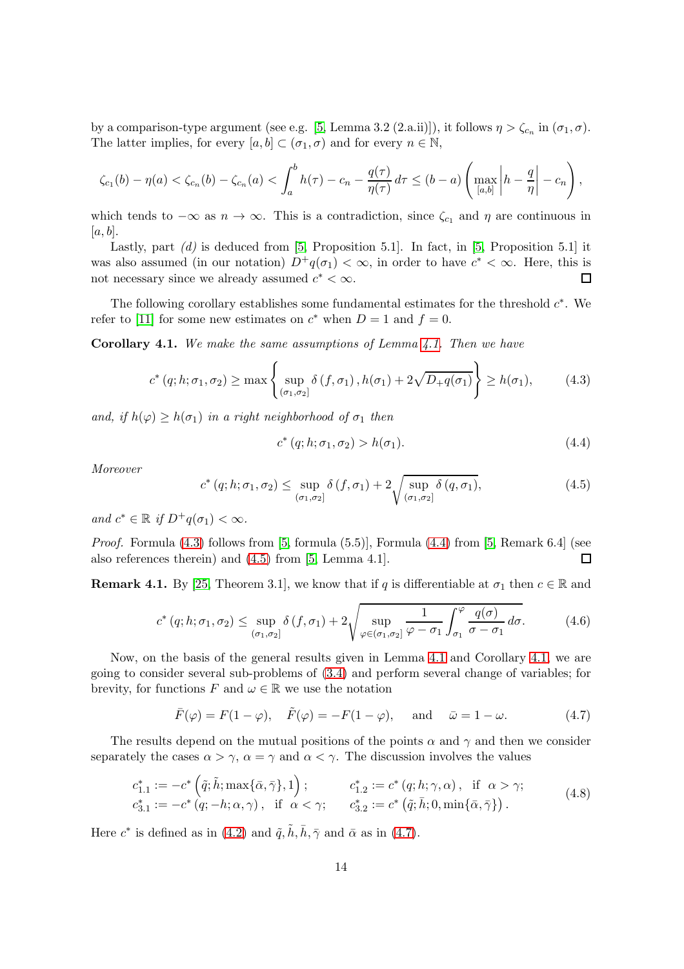by a comparison-type argument (see e.g. [\[5,](#page-31-1) Lemma 3.2 (2.a.ii)]), it follows  $\eta > \zeta_{c_n}$  in  $(\sigma_1, \sigma)$ . The latter implies, for every  $[a, b] \subset (\sigma_1, \sigma)$  and for every  $n \in \mathbb{N}$ ,

$$
\zeta_{c_1}(b) - \eta(a) < \zeta_{c_n}(b) - \zeta_{c_n}(a) < \int_a^b h(\tau) - c_n - \frac{q(\tau)}{\eta(\tau)} d\tau \le (b - a) \left( \max_{[a,b]} \left| h - \frac{q}{\eta} \right| - c_n \right),
$$

which tends to  $-\infty$  as  $n \to \infty$ . This is a contradiction, since  $\zeta_{c_1}$  and  $\eta$  are continuous in  $[a, b]$ .

Lastly, part  $(d)$  is deduced from [\[5,](#page-31-1) Proposition 5.1]. In fact, in [5, Proposition 5.1] it was also assumed (in our notation)  $D^+q(\sigma_1) < \infty$ , in order to have  $c^* < \infty$ . Here, this is not necessary since we already assumed  $c^* < \infty$ .

The following corollary establishes some fundamental estimates for the threshold  $c^*$ . We refer to [\[11\]](#page-32-17) for some new estimates on  $c^*$  when  $D = 1$  and  $f = 0$ .

<span id="page-13-3"></span>**Corollary [4.1.](#page-11-4)** We make the same assumptions of Lemma  $4.1$ . Then we have

<span id="page-13-0"></span>
$$
c^*(q; h; \sigma_1, \sigma_2) \ge \max \left\{ \sup_{(\sigma_1, \sigma_2]} \delta(f, \sigma_1), h(\sigma_1) + 2\sqrt{D_+ q(\sigma_1)} \right\} \ge h(\sigma_1), \quad (4.3)
$$

and, if  $h(\varphi) \geq h(\sigma_1)$  in a right neighborhood of  $\sigma_1$  then

<span id="page-13-1"></span>
$$
c^*(q; h; \sigma_1, \sigma_2) > h(\sigma_1). \tag{4.4}
$$

Moreover

<span id="page-13-2"></span>
$$
c^*(q; h; \sigma_1, \sigma_2) \le \sup_{(\sigma_1, \sigma_2]} \delta(f, \sigma_1) + 2 \sqrt{\sup_{(\sigma_1, \sigma_2]} \delta(q, \sigma_1)},
$$
\n(4.5)

and  $c^* \in \mathbb{R}$  if  $D^+q(\sigma_1) < \infty$ .

*Proof.* Formula  $(4.3)$  follows from [\[5,](#page-31-1) formula  $(5.5)$ ], Formula  $(4.4)$  from [5, Remark 6.4] (see also references therein) and [\(4.5\)](#page-13-2) from [\[5,](#page-31-1) Lemma 4.1].  $\Box$ 

**Remark 4.1.** By [\[25,](#page-32-18) Theorem 3.1], we know that if q is differentiable at  $\sigma_1$  then  $c \in \mathbb{R}$  and

<span id="page-13-6"></span>
$$
c^*(q; h; \sigma_1, \sigma_2) \le \sup_{(\sigma_1, \sigma_2]} \delta(f, \sigma_1) + 2 \sqrt{\sup_{\varphi \in (\sigma_1, \sigma_2]} \frac{1}{\varphi - \sigma_1} \int_{\sigma_1}^{\varphi} \frac{q(\sigma)}{\sigma - \sigma_1} d\sigma}.
$$
 (4.6)

Now, on the basis of the general results given in Lemma [4.1](#page-11-4) and Corollary [4.1,](#page-13-3) we are going to consider several sub-problems of [\(3.4\)](#page-7-4) and perform several change of variables; for brevity, for functions F and  $\omega \in \mathbb{R}$  we use the notation

<span id="page-13-4"></span>
$$
\bar{F}(\varphi) = F(1 - \varphi), \quad \tilde{F}(\varphi) = -F(1 - \varphi), \quad \text{and} \quad \bar{\omega} = 1 - \omega.
$$
 (4.7)

The results depend on the mutual positions of the points  $\alpha$  and  $\gamma$  and then we consider separately the cases  $\alpha > \gamma$ ,  $\alpha = \gamma$  and  $\alpha < \gamma$ . The discussion involves the values

<span id="page-13-5"></span>
$$
c_{1.1}^* := -c^* \left( \tilde{q}; \tilde{h}; \max\{\bar{\alpha}, \bar{\gamma}\}, 1 \right); \qquad c_{1.2}^* := c^* \left( q; h; \gamma, \alpha \right), \text{ if } \alpha > \gamma; c_{3.1}^* := -c^* \left( q; -h; \alpha, \gamma \right), \text{ if } \alpha < \gamma; \qquad c_{3.2}^* := c^* \left( \tilde{q}; \bar{h}; 0, \min\{\bar{\alpha}, \bar{\gamma}\} \right). \tag{4.8}
$$

Here  $c^*$  is defined as in [\(4.2\)](#page-12-0) and  $\tilde{q}, \tilde{h}, \bar{h}, \bar{\gamma}$  and  $\bar{\alpha}$  as in [\(4.7\)](#page-13-4).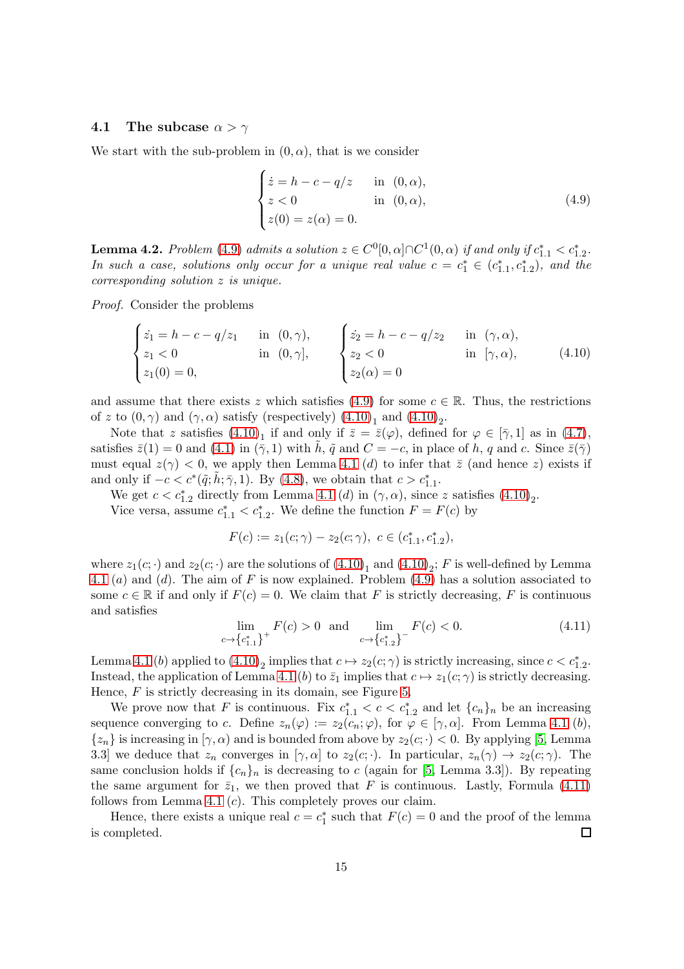#### 4.1 The subcase  $\alpha > \gamma$

We start with the sub-problem in  $(0, \alpha)$ , that is we consider

<span id="page-14-0"></span>
$$
\begin{cases}\n\dot{z} = h - c - q/z & \text{in } (0, \alpha), \\
z < 0 & \text{in } (0, \alpha), \\
z(0) = z(\alpha) = 0.\n\end{cases}
$$
\n(4.9)

<span id="page-14-3"></span>**Lemma 4.2.** Problem [\(4.9\)](#page-14-0) admits a solution  $z \in C^0[0, \alpha] \cap C^1(0, \alpha)$  if and only if  $c_{1.1}^* < c_{1.2}^*$ . In such a case, solutions only occur for a unique real value  $c = c_1^* \in (c_{1,1}^*, c_{1,2}^*)$ , and the corresponding solution z is unique.

Proof. Consider the problems

<span id="page-14-1"></span>
$$
\begin{cases}\n\dot{z}_1 = h - c - q/z_1 & \text{in } (0, \gamma), \\
z_1 < 0 & \text{in } (0, \gamma], \\
z_1(0) = 0, & \text{in } (0, \gamma],\n\end{cases}\n\qquad\n\begin{cases}\n\dot{z}_2 = h - c - q/z_2 & \text{in } (\gamma, \alpha), \\
z_2 < 0 & \text{in } [\gamma, \alpha), \\
z_2(\alpha) = 0 & \text{in } (\gamma, \alpha).\n\end{cases}\n\tag{4.10}
$$

and assume that there exists z which satisfies [\(4.9\)](#page-14-0) for some  $c \in \mathbb{R}$ . Thus, the restrictions of z to  $(0, \gamma)$  and  $(\gamma, \alpha)$  satisfy (respectively)  $(4.10)<sub>1</sub>$  and  $(4.10)<sub>2</sub>$ .

Note that z satisfies  $(4.10)_1$  if and only if  $\bar{z} = \bar{z}(\varphi)$ , defined for  $\varphi \in [\bar{\gamma}, 1]$  as in  $(4.7)$ , satisfies  $\bar{z}(1) = 0$  and  $(4.1)$  in  $(\bar{\gamma}, 1)$  with h,  $\tilde{q}$  and  $C = -c$ , in place of h, q and c. Since  $\bar{z}(\bar{\gamma})$ must equal  $z(\gamma) < 0$ , we apply then Lemma [4.1](#page-11-4) (d) to infer that  $\overline{z}$  (and hence z) exists if and only if  $-c < c^*(\tilde{q}; \tilde{h}; \bar{\gamma}, 1)$ . By [\(4.8\)](#page-13-5), we obtain that  $c > c_{1,1}^*$ .

We get  $c < c_{1,2}^*$  directly from Lemma [4.1](#page-11-4) (d) in  $(\gamma, \alpha)$ , since z satisfies  $(4.10)_2$ . Vice versa, assume  $c_{1,1}^* < c_{1,2}^*$ . We define the function  $F = F(c)$  by

$$
F(c) := z_1(c; \gamma) - z_2(c; \gamma), \ c \in (c_{1.1}^*, c_{1.2}^*),
$$

where  $z_1(c; \cdot)$  and  $z_2(c; \cdot)$  are the solutions of  $(4.10)_1$  and  $(4.10)_2$ ; F is well-defined by Lemma [4.1](#page-11-4) (a) and (d). The aim of F is now explained. Problem  $(4.9)$  has a solution associated to some  $c \in \mathbb{R}$  if and only if  $F(c) = 0$ . We claim that F is strictly decreasing, F is continuous and satisfies

<span id="page-14-2"></span>
$$
\lim_{c \to \{c_{1,1}^*\}} F(c) > 0 \quad \text{and} \quad \lim_{c \to \{c_{1,2}^*\}} F(c) < 0. \tag{4.11}
$$

Lemma [4.1](#page-11-4) (b) applied to  $(4.10)_2$  implies that  $c \mapsto z_2(c; \gamma)$  is strictly increasing, since  $c < c_{1,2}^*$ . Instead, the application of Lemma [4.1](#page-11-4) (b) to  $\bar{z}_1$  implies that  $c \mapsto z_1(c; \gamma)$  is strictly decreasing. Hence,  $F$  is strictly decreasing in its domain, see Figure [5.](#page-15-0)

We prove now that F is continuous. Fix  $c_{1,1}^* < c < c_{1,2}^*$  and let  $\{c_n\}_n$  be an increasing sequence converging to c. Define  $z_n(\varphi) := z_2(c_n; \varphi)$ , for  $\varphi \in [\gamma, \alpha]$ . From Lemma [4.1](#page-11-4) (b),  $\{z_n\}$  is increasing in  $[\gamma, \alpha)$  and is bounded from above by  $z_2(c; \cdot) < 0$ . By applying [\[5,](#page-31-1) Lemma 3.3] we deduce that  $z_n$  converges in  $[\gamma, \alpha]$  to  $z_2(c; \cdot)$ . In particular,  $z_n(\gamma) \to z_2(c; \gamma)$ . The same conclusion holds if  $\{c_n\}_n$  is decreasing to c (again for [\[5,](#page-31-1) Lemma 3.3]). By repeating the same argument for  $\bar{z}_1$ , we then proved that F is continuous. Lastly, Formula [\(4.11\)](#page-14-2) follows from Lemma [4.1](#page-11-4)  $(c)$ . This completely proves our claim.

Hence, there exists a unique real  $c = c_1^*$  such that  $F(c) = 0$  and the proof of the lemma is completed.  $\Box$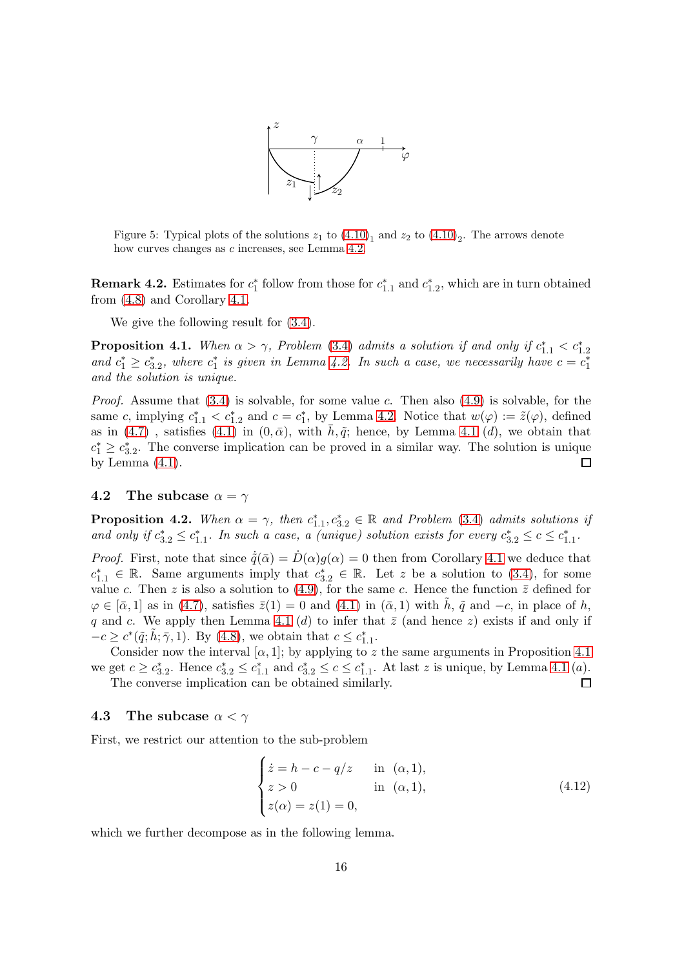

<span id="page-15-0"></span>Figure 5: Typical plots of the solutions  $z_1$  to  $(4.10)_1$  and  $z_2$  to  $(4.10)_2$ . The arrows denote how curves changes as c increases, see Lemma [4.2.](#page-14-3)

**Remark 4.2.** Estimates for  $c_1^*$  follow from those for  $c_{1,1}^*$  and  $c_{1,2}^*$ , which are in turn obtained from [\(4.8\)](#page-13-5) and Corollary [4.1.](#page-13-3)

We give the following result for [\(3.4\)](#page-7-4).

<span id="page-15-1"></span>**Proposition 4.1.** When  $\alpha > \gamma$ , Problem [\(3.4\)](#page-7-4) admits a solution if and only if  $c_{1,1}^* < c_{1,2}^*$ and  $c_1^* \geq c_{3,2}^*$ , where  $c_1^*$  is given in Lemma [4.2.](#page-14-3) In such a case, we necessarily have  $c = c_1^*$ and the solution is unique.

*Proof.* Assume that  $(3.4)$  is solvable, for some value c. Then also  $(4.9)$  is solvable, for the same c, implying  $c_{1,1}^* < c_{1,2}^*$  and  $c = c_1^*$ , by Lemma [4.2.](#page-14-3) Notice that  $w(\varphi) := \tilde{z}(\varphi)$ , defined as in [\(4.7\)](#page-13-4), satisfies [\(4.1\)](#page-11-3) in  $(0, \bar{\alpha})$ , with  $h, \tilde{q}$ ; hence, by Lemma [4.1](#page-11-4) (d), we obtain that  $c_1^* \geq c_{3,2}^*$ . The converse implication can be proved in a similar way. The solution is unique by Lemma  $(4.1)$ .  $\Box$ 

#### 4.2 The subcase  $\alpha = \gamma$

<span id="page-15-3"></span>**Proposition 4.2.** When  $\alpha = \gamma$ , then  $c_{1,1}^*, c_{3,2}^* \in \mathbb{R}$  and Problem [\(3.4\)](#page-7-4) admits solutions if and only if  $c_{3,2}^* \leq c_{1,1}^*$ . In such a case, a (unique) solution exists for every  $c_{3,2}^* \leq c \leq c_{1,1}^*$ .

*Proof.* First, note that since  $\dot{\tilde{q}}(\bar{\alpha}) = D(\alpha)g(\alpha) = 0$  then from Corollary [4.1](#page-13-3) we deduce that  $c_{1,1}^*$  ∈ R. Same arguments imply that  $c_{3,2}^*$  ∈ R. Let z be a solution to [\(3.4\)](#page-7-4), for some value c. Then z is also a solution to [\(4.9\)](#page-14-0), for the same c. Hence the function  $\bar{z}$  defined for  $\varphi \in [\bar{\alpha}, 1]$  as in [\(4.7\)](#page-13-4), satisfies  $\bar{z}(1) = 0$  and [\(4.1\)](#page-11-3) in  $(\bar{\alpha}, 1)$  with  $\tilde{h}$ ,  $\tilde{q}$  and  $-c$ , in place of h, q and c. We apply then Lemma [4.1](#page-11-4) (d) to infer that  $\bar{z}$  (and hence z) exists if and only if  $-c \geq c^*(\tilde{q}; \tilde{h}; \bar{\gamma}, 1)$ . By [\(4.8\)](#page-13-5), we obtain that  $c \leq c_{1,1}^*$ .

Consider now the interval  $[\alpha, 1]$ ; by applying to z the same arguments in Proposition [4.1](#page-15-1) we get  $c \geq c_{3,2}^*$ . Hence  $c_{3,2}^* \leq c_{1,1}^*$  and  $c_{3,2}^* \leq c \leq c_{1,1}^*$ . At last z is unique, by Lemma [4.1](#page-11-4) (a). The converse implication can be obtained similarly.  $\Box$ 

#### 4.3 The subcase  $\alpha < \gamma$

First, we restrict our attention to the sub-problem

<span id="page-15-2"></span>
$$
\begin{cases}\n\dot{z} = h - c - q/z & \text{in } (\alpha, 1), \\
z > 0 & \text{in } (\alpha, 1), \\
z(\alpha) = z(1) = 0,\n\end{cases}
$$
\n(4.12)

which we further decompose as in the following lemma.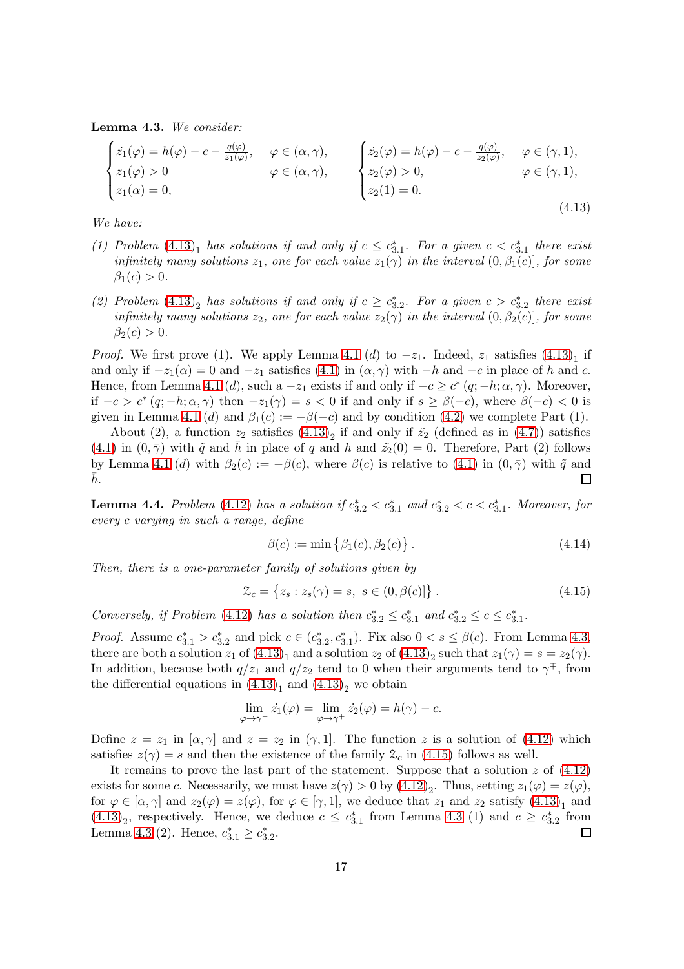<span id="page-16-1"></span>Lemma 4.3. We consider:

<span id="page-16-0"></span>
$$
\begin{cases}\n\dot{z}_1(\varphi) = h(\varphi) - c - \frac{q(\varphi)}{z_1(\varphi)}, & \varphi \in (\alpha, \gamma), \\
z_1(\varphi) > 0 & \varphi \in (\alpha, \gamma), \\
z_1(\alpha) = 0, & \varphi \in (\gamma, 1),\n\end{cases}\n\begin{cases}\n\dot{z}_2(\varphi) = h(\varphi) - c - \frac{q(\varphi)}{z_2(\varphi)}, & \varphi \in (\gamma, 1), \\
z_2(\varphi) > 0, & \varphi \in (\gamma, 1), \\
z_2(1) = 0.\n\end{cases}
$$
\n(4.13)

We have:

- (1) Problem  $(4.13)<sub>1</sub>$  $(4.13)<sub>1</sub>$  has solutions if and only if  $c \leq c_{3.1}^*$ . For a given  $c < c_{3.1}^*$  there exist infinitely many solutions  $z_1$ , one for each value  $z_1(\gamma)$  in the interval  $(0, \beta_1(c)]$ , for some  $\beta_1(c) > 0.$
- (2) Problem  $(4.13)_2$  $(4.13)_2$  has solutions if and only if  $c \geq c_{3.2}^*$ . For a given  $c > c_{3.2}^*$  there exist infinitely many solutions  $z_2$ , one for each value  $z_2(\gamma)$  in the interval  $(0, \beta_2(c)]$ , for some  $\beta_2(c) > 0.$

*Proof.* We first prove (1). We apply Lemma [4.1](#page-11-4) (d) to  $-z_1$ . Indeed,  $z_1$  satisfies  $(4.13)_1$  if and only if  $-z_1(\alpha) = 0$  and  $-z_1$  satisfies [\(4.1\)](#page-11-3) in  $(\alpha, \gamma)$  with  $-h$  and  $-c$  in place of h and c. Hence, from Lemma [4.1](#page-11-4) (d), such a  $-z_1$  exists if and only if  $-c \ge c^* (q; -h; \alpha, \gamma)$ . Moreover, if  $-c > c^*(q; -h; \alpha, \gamma)$  then  $-z_1(\gamma) = s < 0$  if and only if  $s \ge \beta(-c)$ , where  $\beta(-c) < 0$  is given in Lemma [4.1](#page-11-4) (d) and  $\beta_1(c) := -\beta(-c)$  and by condition [\(4.2\)](#page-12-0) we complete Part (1).

About (2), a function  $z_2$  satisfies  $(4.13)_2$  if and only if  $\tilde{z_2}$  (defined as in  $(4.7)$ ) satisfies  $(4.1)$  in  $(0, \bar{\gamma})$  with  $\tilde{q}$  and h in place of q and h and  $\tilde{z}_2(0) = 0$ . Therefore, Part (2) follows by Lemma [4.1](#page-11-4) (d) with  $\beta_2(c) := -\beta(c)$ , where  $\beta(c)$  is relative to [\(4.1\)](#page-11-3) in  $(0, \overline{\gamma})$  with  $\tilde{q}$  and  $h$ .  $\mathbf{I}$ 

<span id="page-16-3"></span>**Lemma 4.4.** Problem [\(4.12\)](#page-15-2) has a solution if  $c_{3.2}^* < c_{3.1}^*$  and  $c_{3.2}^* < c < c_{3.1}^*$ . Moreover, for every c varying in such a range, define

$$
\beta(c) := \min\left\{\beta_1(c), \beta_2(c)\right\}.
$$
\n(4.14)

Then, there is a one-parameter family of solutions given by

<span id="page-16-2"></span>
$$
\mathcal{Z}_c = \{ z_s : z_s(\gamma) = s, \ s \in (0, \beta(c)] \} \,. \tag{4.15}
$$

Conversely, if Problem [\(4.12\)](#page-15-2) has a solution then  $c_{3.2}^* \leq c_{3.1}^*$  and  $c_{3.2}^* \leq c \leq c_{3.1}^*$ .

*Proof.* Assume  $c_{3,1}^* > c_{3,2}^*$  and pick  $c \in (c_{3,2}^*, c_{3,1}^*)$ . Fix also  $0 < s \leq \beta(c)$ . From Lemma [4.3,](#page-16-1) there are both a solution  $z_1$  of  $(4.13)_1$  and a solution  $z_2$  of  $(4.13)_2$  such that  $z_1(\gamma) = s = z_2(\gamma)$ . In addition, because both  $q/z_1$  and  $q/z_2$  tend to 0 when their arguments tend to  $\gamma^{\mp}$ , from the differential equations in  $(4.13)<sub>1</sub>$  and  $(4.13)<sub>2</sub>$  we obtain

$$
\lim_{\varphi \to \gamma^-} \dot{z}_1(\varphi) = \lim_{\varphi \to \gamma^+} \dot{z}_2(\varphi) = h(\gamma) - c.
$$

Define  $z = z_1$  in  $[\alpha, \gamma]$  and  $z = z_2$  in  $(\gamma, 1]$ . The function z is a solution of [\(4.12\)](#page-15-2) which satisfies  $z(\gamma) = s$  and then the existence of the family  $\mathcal{Z}_c$  in [\(4.15\)](#page-16-2) follows as well.

It remains to prove the last part of the statement. Suppose that a solution  $z$  of  $(4.12)$ exists for some c. Necessarily, we must have  $z(\gamma) > 0$  by  $(4.12)_2$ . Thus, setting  $z_1(\varphi) = z(\varphi)$ , for  $\varphi \in [\alpha, \gamma]$  and  $z_2(\varphi) = z(\varphi)$ , for  $\varphi \in [\gamma, 1]$ , we deduce that  $z_1$  and  $z_2$  satisfy  $(4.13)_1$  and  $(4.13)<sub>2</sub>$  $(4.13)<sub>2</sub>$ , respectively. Hence, we deduce  $c \leq c_{3.1}^*$  from Lemma [4.3](#page-16-1) (1) and  $c \geq c_{3.2}^*$  from Lemma [4.3](#page-16-1) (2). Hence,  $c_{3.1}^* \ge c_{3.2}^*$ .  $\Box$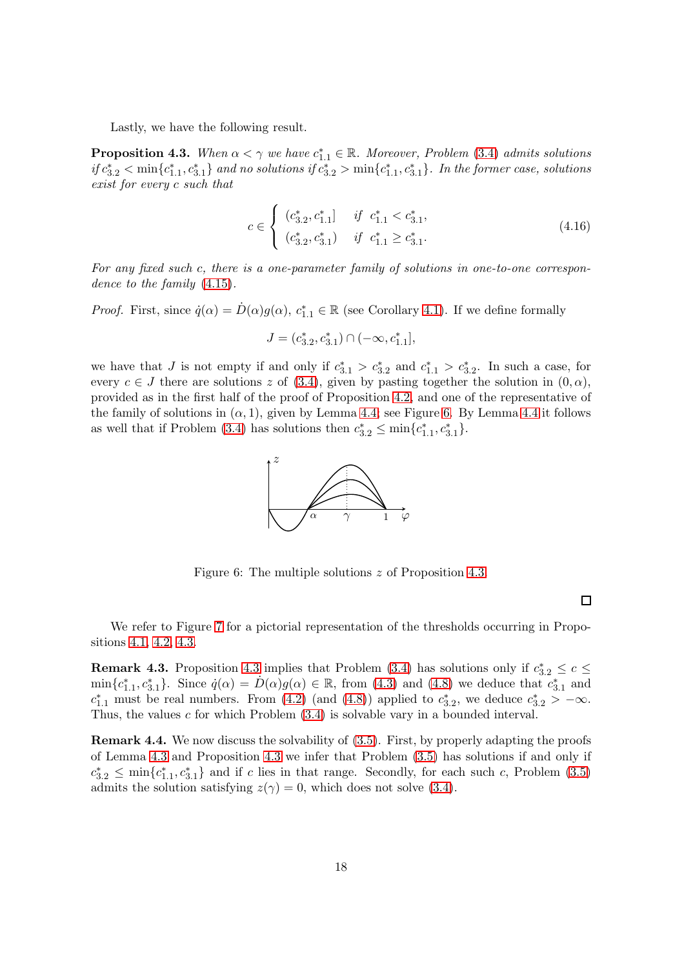Lastly, we have the following result.

<span id="page-17-1"></span>**Proposition 4.3.** When  $\alpha < \gamma$  we have  $c_{1,1}^* \in \mathbb{R}$ . Moreover, Problem [\(3.4\)](#page-7-4) admits solutions  $if c_{3.2}^* < \min\{c_{1.1}^*, c_{3.1}^*\}$  and no solutions if  $c_{3.2}^* > \min\{c_{1.1}^*, c_{3.1}^*\}$ . In the former case, solutions exist for every c such that

<span id="page-17-4"></span>
$$
c \in \begin{cases} (c_{3.2}^*, c_{1.1}^*] & \text{if } c_{1.1}^* < c_{3.1}^*, \\ (c_{3.2}^*, c_{3.1}^*) & \text{if } c_{1.1}^* \ge c_{3.1}^* . \end{cases} \tag{4.16}
$$

For any fixed such c, there is a one-parameter family of solutions in one-to-one correspondence to the family [\(4.15\)](#page-16-2).

*Proof.* First, since  $\dot{q}(\alpha) = \dot{D}(\alpha)g(\alpha)$ ,  $c_{1,1}^* \in \mathbb{R}$  (see Corollary [4.1\)](#page-13-3). If we define formally

$$
J = (c_{3.2}^*, c_{3.1}^*) \cap (-\infty, c_{1.1}^*],
$$

we have that J is not empty if and only if  $c_{3,1}^* > c_{3,2}^*$  and  $c_{1,1}^* > c_{3,2}^*$ . In such a case, for every  $c \in J$  there are solutions z of [\(3.4\)](#page-7-4), given by pasting together the solution in  $(0, \alpha)$ , provided as in the first half of the proof of Proposition [4.2,](#page-15-3) and one of the representative of the family of solutions in  $(\alpha, 1)$ , given by Lemma [4.4;](#page-16-3) see Figure [6.](#page-17-0) By Lemma [4.4](#page-16-3) it follows as well that if Problem [\(3.4\)](#page-7-4) has solutions then  $c_{3.2}^* \n\t\leq \min\{c_{1.1}^*, c_{3.1}^*\}.$ 



<span id="page-17-0"></span>Figure 6: The multiple solutions z of Proposition [4.3.](#page-17-1)

 $\Box$ 

We refer to Figure [7](#page-18-1) for a pictorial representation of the thresholds occurring in Propositions [4.1,](#page-15-1) [4.2,](#page-15-3) [4.3.](#page-17-1)

<span id="page-17-3"></span>**Remark [4.3](#page-17-1).** Proposition 4.3 implies that Problem [\(3.4\)](#page-7-4) has solutions only if  $c_{3,2}^* \leq c \leq$  $\min\{c_{1,1}^*, c_{3,1}^*\}\.$  Since  $\dot{q}(\alpha) = \dot{D}(\alpha)g(\alpha) \in \mathbb{R}$ , from [\(4.3\)](#page-13-0) and [\(4.8\)](#page-13-5) we deduce that  $c_{3,1}^*$  and  $c_{1,1}^*$  must be real numbers. From [\(4.2\)](#page-12-0) (and [\(4.8\)](#page-13-5)) applied to  $c_{3,2}^*$ , we deduce  $c_{3,2}^*$  >  $-\infty$ . Thus, the values  $c$  for which Problem  $(3.4)$  is solvable vary in a bounded interval.

<span id="page-17-2"></span>Remark 4.4. We now discuss the solvability of [\(3.5\)](#page-8-0). First, by properly adapting the proofs of Lemma [4.3](#page-16-1) and Proposition [4.3](#page-17-1) we infer that Problem [\(3.5\)](#page-8-0) has solutions if and only if  $c_{3,2}^* \leq \min\{c_{1,1}^*, c_{3,1}^*\}\$ and if c lies in that range. Secondly, for each such c, Problem [\(3.5\)](#page-8-0) admits the solution satisfying  $z(\gamma) = 0$ , which does not solve [\(3.4\)](#page-7-4).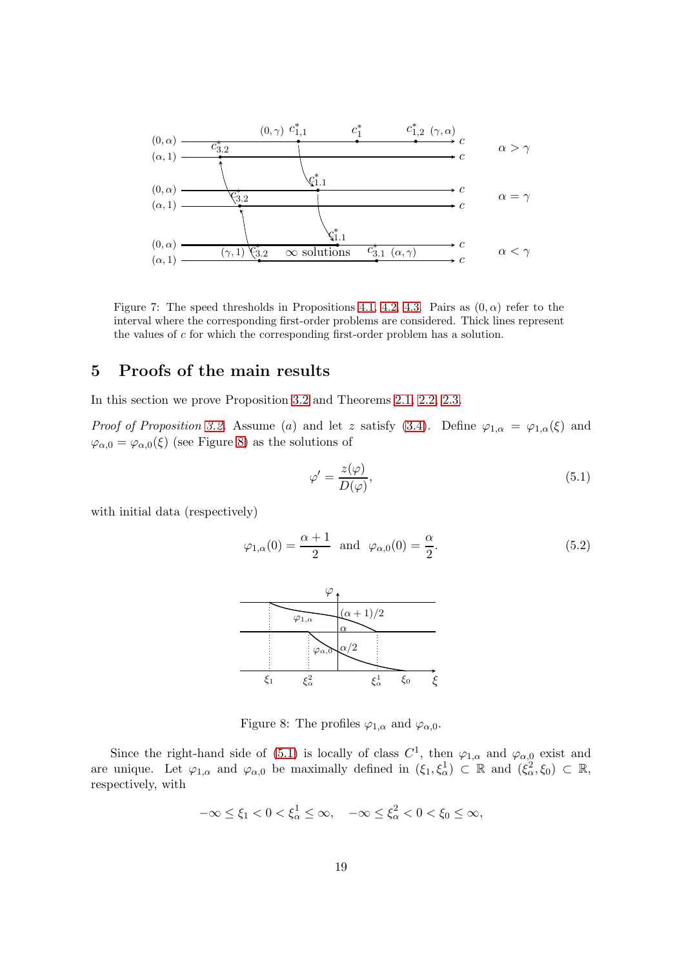

<span id="page-18-1"></span>Figure 7: The speed thresholds in Propositions [4.1,](#page-15-1) [4.2,](#page-15-3) [4.3.](#page-17-1) Pairs as  $(0, \alpha)$  refer to the interval where the corresponding first-order problems are considered. Thick lines represent the values of c for which the corresponding first-order problem has a solution.

## <span id="page-18-0"></span>5 Proofs of the main results

In this section we prove Proposition [3.2](#page-11-1) and Theorems [2.1,](#page-5-0) [2.2,](#page-5-1) [2.3.](#page-6-0)

*Proof of Proposition [3.2.](#page-11-1)* Assume (a) and let z satisfy [\(3.4\)](#page-7-4). Define  $\varphi_{1,\alpha} = \varphi_{1,\alpha}(\xi)$  and  $\varphi_{\alpha,0} = \varphi_{\alpha,0}(\xi)$  (see Figure [8\)](#page-18-2) as the solutions of

<span id="page-18-3"></span>
$$
\varphi' = \frac{z(\varphi)}{D(\varphi)},\tag{5.1}
$$

with initial data (respectively)

<span id="page-18-4"></span>
$$
\varphi_{1,\alpha}(0) = \frac{\alpha+1}{2} \quad \text{and} \quad \varphi_{\alpha,0}(0) = \frac{\alpha}{2}.\tag{5.2}
$$



<span id="page-18-2"></span>Figure 8: The profiles  $\varphi_{1,\alpha}$  and  $\varphi_{\alpha,0}$ .

Since the right-hand side of [\(5.1\)](#page-18-3) is locally of class  $C^1$ , then  $\varphi_{1,\alpha}$  and  $\varphi_{\alpha,0}$  exist and are unique. Let  $\varphi_{1,\alpha}$  and  $\varphi_{\alpha,0}$  be maximally defined in  $(\xi_1, \xi_\alpha^1) \subset \mathbb{R}$  and  $(\xi_\alpha^2, \xi_0) \subset \mathbb{R}$ , respectively, with

$$
-\infty \le \xi_1 < 0 < \xi_\alpha^1 \le \infty, \quad -\infty \le \xi_\alpha^2 < 0 < \xi_0 \le \infty,
$$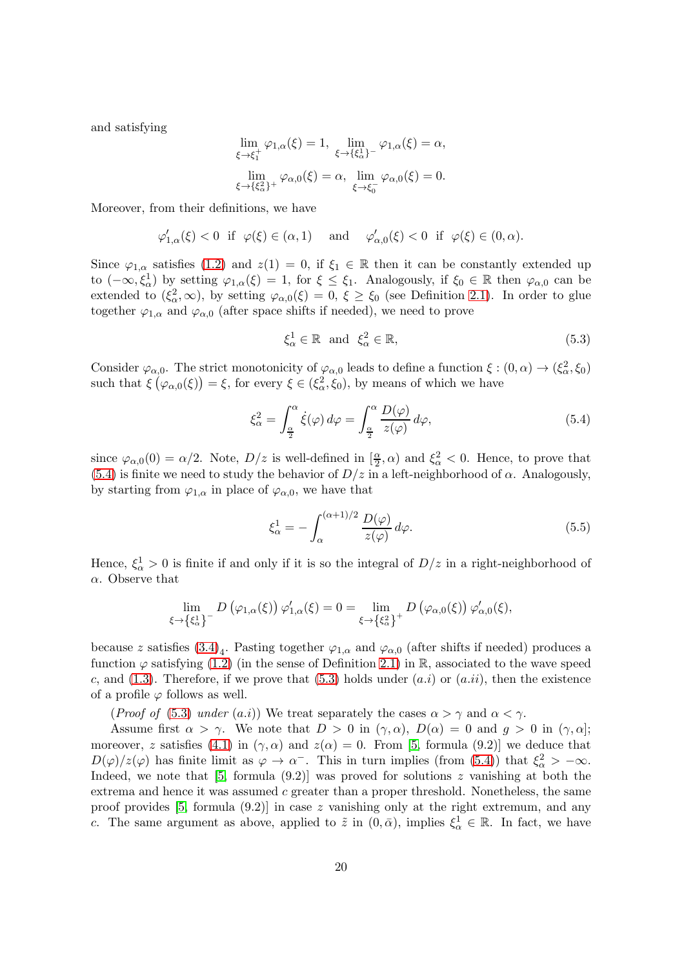and satisfying

$$
\lim_{\xi \to \xi_1^+} \varphi_{1,\alpha}(\xi) = 1, \quad \lim_{\xi \to \{\xi_\alpha^1\}^-} \varphi_{1,\alpha}(\xi) = \alpha,
$$
\n
$$
\lim_{\xi \to \{\xi_\alpha^2\}^+} \varphi_{\alpha,0}(\xi) = \alpha, \quad \lim_{\xi \to \xi_0^-} \varphi_{\alpha,0}(\xi) = 0.
$$

Moreover, from their definitions, we have

$$
\varphi'_{1,\alpha}(\xi) < 0 \quad \text{if} \quad \varphi(\xi) \in (\alpha, 1) \quad \text{and} \quad \varphi'_{\alpha,0}(\xi) < 0 \quad \text{if} \quad \varphi(\xi) \in (0, \alpha).
$$

Since  $\varphi_{1,\alpha}$  satisfies [\(1.2\)](#page-0-1) and  $z(1) = 0$ , if  $\xi_1 \in \mathbb{R}$  then it can be constantly extended up to  $(-\infty, \xi^1_\alpha)$  by setting  $\varphi_{1,\alpha}(\xi) = 1$ , for  $\xi \le \xi_1$ . Analogously, if  $\xi_0 \in \mathbb{R}$  then  $\varphi_{\alpha,0}$  can be extended to  $(\xi_{\alpha}^2,\infty)$ , by setting  $\varphi_{\alpha,0}(\xi)=0, \xi\geq \xi_0$  (see Definition [2.1\)](#page-3-1). In order to glue together  $\varphi_{1,\alpha}$  and  $\varphi_{\alpha,0}$  (after space shifts if needed), we need to prove

<span id="page-19-1"></span>
$$
\xi_{\alpha}^{1} \in \mathbb{R} \quad \text{and} \quad \xi_{\alpha}^{2} \in \mathbb{R},\tag{5.3}
$$

Consider  $\varphi_{\alpha,0}$ . The strict monotonicity of  $\varphi_{\alpha,0}$  leads to define a function  $\xi : (0,\alpha) \to (\xi_{\alpha}^2, \xi_0)$ such that  $\xi(\varphi_{\alpha,0}(\xi)) = \xi$ , for every  $\xi \in (\xi_{\alpha}^2, \xi_0)$ , by means of which we have

<span id="page-19-0"></span>
$$
\xi_{\alpha}^{2} = \int_{\frac{\alpha}{2}}^{\alpha} \dot{\xi}(\varphi) d\varphi = \int_{\frac{\alpha}{2}}^{\alpha} \frac{D(\varphi)}{z(\varphi)} d\varphi, \tag{5.4}
$$

since  $\varphi_{\alpha,0}(0) = \alpha/2$ . Note,  $D/z$  is well-defined in  $\left[\frac{\alpha}{2}, \alpha\right)$  and  $\xi_{\alpha}^2 < 0$ . Hence, to prove that [\(5.4\)](#page-19-0) is finite we need to study the behavior of  $D/z$  in a left-neighborhood of  $\alpha$ . Analogously, by starting from  $\varphi_{1,\alpha}$  in place of  $\varphi_{\alpha,0}$ , we have that

<span id="page-19-2"></span>
$$
\xi_{\alpha}^{1} = -\int_{\alpha}^{(\alpha+1)/2} \frac{D(\varphi)}{z(\varphi)} d\varphi.
$$
\n(5.5)

Hence,  $\xi^1_{\alpha} > 0$  is finite if and only if it is so the integral of  $D/z$  in a right-neighborhood of  $\alpha$ . Observe that

$$
\lim_{\xi \to \{\xi_{\alpha}^{1}\}} D(\varphi_{1,\alpha}(\xi)) \varphi'_{1,\alpha}(\xi) = 0 = \lim_{\xi \to \{\xi_{\alpha}^{2}\}} D(\varphi_{\alpha,0}(\xi)) \varphi'_{\alpha,0}(\xi),
$$

because z satisfies  $(3.4)_4$ . Pasting together  $\varphi_{1,\alpha}$  and  $\varphi_{\alpha,0}$  (after shifts if needed) produces a function  $\varphi$  satisfying [\(1.2\)](#page-0-1) (in the sense of Definition [2.1\)](#page-3-1) in R, associated to the wave speed c, and [\(1.3\)](#page-1-1). Therefore, if we prove that [\(5.3\)](#page-19-1) holds under  $(a.i)$  or  $(a.i)$ , then the existence of a profile  $\varphi$  follows as well.

(*Proof of* [\(5.3\)](#page-19-1) under (a.i)) We treat separately the cases  $\alpha > \gamma$  and  $\alpha < \gamma$ .

Assume first  $\alpha > \gamma$ . We note that  $D > 0$  in  $(\gamma, \alpha)$ ,  $D(\alpha) = 0$  and  $g > 0$  in  $(\gamma, \alpha]$ ; moreover, z satisfies [\(4.1\)](#page-11-3) in  $(\gamma, \alpha)$  and  $z(\alpha) = 0$ . From [\[5,](#page-31-1) formula (9.2)] we deduce that  $D(\varphi)/z(\varphi)$  has finite limit as  $\varphi \to \alpha^-$ . This in turn implies (from [\(5.4\)](#page-19-0)) that  $\xi_{\alpha}^2 > -\infty$ . Indeed, we note that [\[5,](#page-31-1) formula (9.2)] was proved for solutions z vanishing at both the extrema and hence it was assumed  $c$  greater than a proper threshold. Nonetheless, the same proof provides [\[5,](#page-31-1) formula  $(9.2)$ ] in case z vanishing only at the right extremum, and any c. The same argument as above, applied to  $\tilde{z}$  in  $(0,\bar{\alpha})$ , implies  $\xi^1_{\alpha} \in \mathbb{R}$ . In fact, we have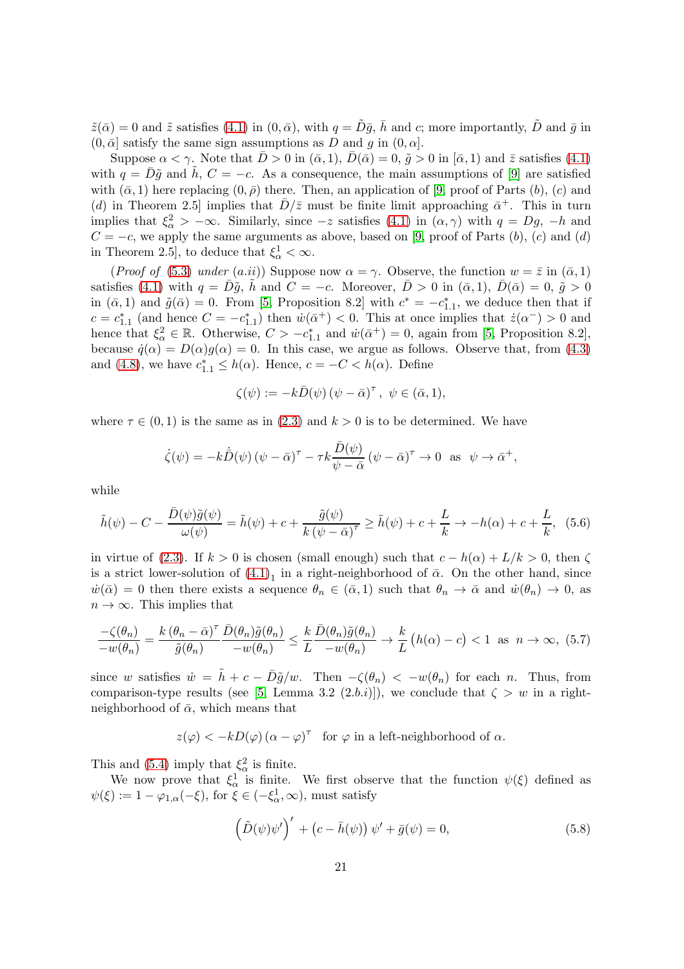$\tilde{z}(\bar{\alpha}) = 0$  and  $\tilde{z}$  satisfies [\(4.1\)](#page-11-3) in  $(0, \bar{\alpha})$ , with  $q = \tilde{D}\bar{q}$ ,  $\bar{h}$  and c; more importantly,  $\tilde{D}$  and  $\bar{q}$  in  $(0, \bar{\alpha}]$  satisfy the same sign assumptions as D and g in  $(0, \alpha]$ .

Suppose  $\alpha < \gamma$ . Note that  $\bar{D} > 0$  in  $(\bar{\alpha}, 1), \bar{D}(\bar{\alpha}) = 0, \tilde{g} > 0$  in  $[\bar{\alpha}, 1)$  and  $\bar{z}$  satisfies [\(4.1\)](#page-11-3) with  $q = D\tilde{g}$  and h,  $C = -c$ . As a consequence, the main assumptions of [\[9\]](#page-31-5) are satisfied with  $(\bar{\alpha}, 1)$  here replacing  $(0, \bar{\rho})$  there. Then, an application of [\[9,](#page-31-5) proof of Parts  $(b)$ ,  $(c)$  and (d) in Theorem 2.5 implies that  $\bar{D}/\bar{z}$  must be finite limit approaching  $\bar{\alpha}^+$ . This in turn implies that  $\xi_{\alpha}^2 > -\infty$ . Similarly, since  $-z$  satisfies  $(4.1)$  in  $(\alpha, \gamma)$  with  $q = Dg$ ,  $-h$  and  $C = -c$ , we apply the same arguments as above, based on [\[9,](#page-31-5) proof of Parts  $(b)$ ,  $(c)$  and  $(d)$ in Theorem 2.5], to deduce that  $\xi^1_{\alpha} < \infty$ .

(Proof of [\(5.3\)](#page-19-1) under (a.ii)) Suppose now  $\alpha = \gamma$ . Observe, the function  $w = \overline{z}$  in  $(\overline{\alpha}, 1)$ satisfies [\(4.1\)](#page-11-3) with  $q = \overline{D}\tilde{q}$ , h and  $C = -c$ . Moreover,  $\overline{D} > 0$  in  $(\overline{\alpha}, 1)$ ,  $\overline{D}(\overline{\alpha}) = 0$ ,  $\tilde{q} > 0$ in  $(\bar{\alpha}, 1)$  and  $\tilde{g}(\bar{\alpha}) = 0$ . From [\[5,](#page-31-1) Proposition 8.2] with  $c^* = -c_{1,1}^*$ , we deduce then that if  $c = c_{1,1}^*$  (and hence  $C = -c_{1,1}^*$ ) then  $\dot{w}(\bar{\alpha}^+) < 0$ . This at once implies that  $\dot{z}(\alpha^-) > 0$  and hence that  $\xi_{\alpha}^2 \in \mathbb{R}$ . Otherwise,  $C > -c_{1,1}^*$  and  $\dot{w}(\bar{\alpha}^+) = 0$ , again from [\[5,](#page-31-1) Proposition 8.2], because  $\dot{q}(\alpha) = D(\alpha)g(\alpha) = 0$ . In this case, we argue as follows. Observe that, from [\(4.3\)](#page-13-0) and [\(4.8\)](#page-13-5), we have  $c_{1.1}^* \leq h(\alpha)$ . Hence,  $c = -C < h(\alpha)$ . Define

$$
\zeta(\psi) := -k\bar{D}(\psi) \left(\psi - \bar{\alpha}\right)^{\tau}, \ \psi \in (\bar{\alpha}, 1),
$$

where  $\tau \in (0,1)$  is the same as in  $(2.3)$  and  $k > 0$  is to be determined. We have

$$
\dot{\zeta}(\psi) = -k\dot{\bar{D}}(\psi) \left(\psi - \bar{\alpha}\right)^{\tau} - \tau k \frac{\bar{D}(\psi)}{\psi - \bar{\alpha}} \left(\psi - \bar{\alpha}\right)^{\tau} \to 0 \text{ as } \psi \to \bar{\alpha}^{+},
$$

while

$$
\tilde{h}(\psi) - C - \frac{\bar{D}(\psi)\tilde{g}(\psi)}{\omega(\psi)} = \tilde{h}(\psi) + c + \frac{\tilde{g}(\psi)}{k(\psi - \bar{\alpha})^{\tau}} \ge \tilde{h}(\psi) + c + \frac{L}{k} \to -h(\alpha) + c + \frac{L}{k}, \tag{5.6}
$$

in virtue of [\(2.3\)](#page-4-2). If  $k > 0$  is chosen (small enough) such that  $c - h(\alpha) + L/k > 0$ , then  $\zeta$ is a strict lower-solution of  $(4.1)<sub>1</sub>$  in a right-neighborhood of  $\bar{\alpha}$ . On the other hand, since  $\dot{w}(\bar{\alpha}) = 0$  then there exists a sequence  $\theta_n \in (\bar{\alpha}, 1)$  such that  $\theta_n \to \bar{\alpha}$  and  $\dot{w}(\theta_n) \to 0$ , as  $n \to \infty$ . This implies that

$$
\frac{-\zeta(\theta_n)}{-w(\theta_n)} = \frac{k(\theta_n - \bar{\alpha})^\tau}{\tilde{g}(\theta_n)} \frac{\bar{D}(\theta_n)\tilde{g}(\theta_n)}{-w(\theta_n)} \le \frac{k}{L} \frac{\bar{D}(\theta_n)\tilde{g}(\theta_n)}{-w(\theta_n)} \to \frac{k}{L} \left( h(\alpha) - c \right) < 1 \text{ as } n \to \infty, (5.7)
$$

since w satisfies  $\dot{w} = \tilde{h} + c - \bar{D}\tilde{g}/w$ . Then  $-\zeta(\theta_n) < -w(\theta_n)$  for each n. Thus, from comparison-type results (see [\[5,](#page-31-1) Lemma 3.2 (2.b.i)]), we conclude that  $\zeta > w$  in a rightneighborhood of  $\bar{\alpha}$ , which means that

 $z(\varphi) < -kD(\varphi) (\alpha - \varphi)^{\tau}$  for  $\varphi$  in a left-neighborhood of  $\alpha$ .

This and [\(5.4\)](#page-19-0) imply that  $\xi_{\alpha}^2$  is finite.

We now prove that  $\xi^1_\alpha$  is finite. We first observe that the function  $\psi(\xi)$  defined as  $\psi(\xi) := 1 - \varphi_{1,\alpha}(-\xi)$ , for  $\xi \in (-\xi_{\alpha}^1, \infty)$ , must satisfy

<span id="page-20-0"></span>
$$
\left(\tilde{D}(\psi)\psi'\right)' + \left(c - \bar{h}(\psi)\right)\psi' + \bar{g}(\psi) = 0, \tag{5.8}
$$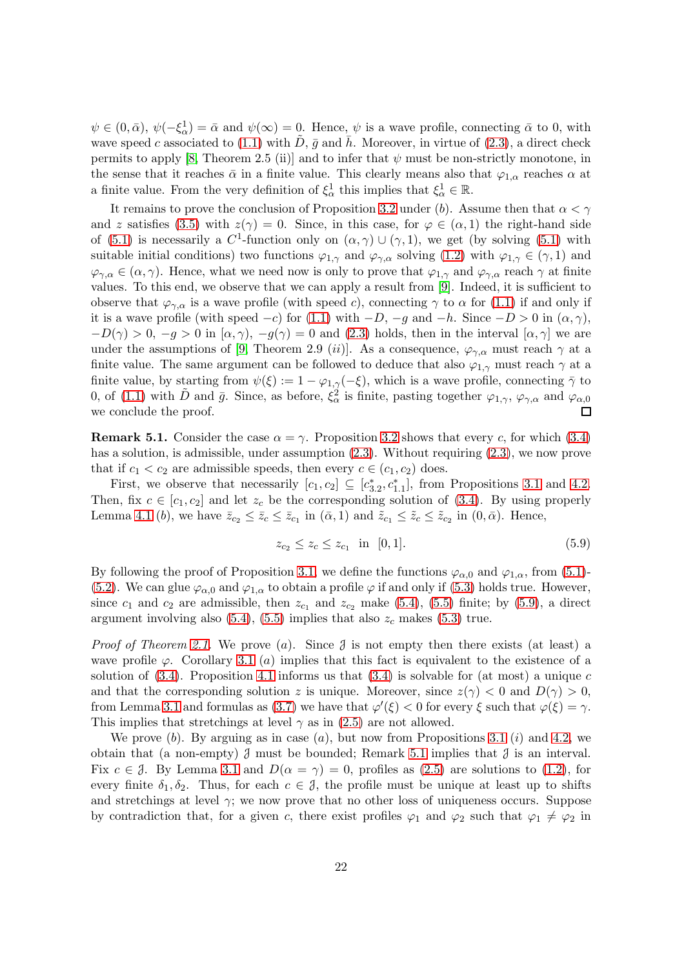$\psi \in (0, \bar{\alpha}), \psi(-\xi_{\alpha}^1) = \bar{\alpha}$  and  $\psi(\infty) = 0$ . Hence,  $\psi$  is a wave profile, connecting  $\bar{\alpha}$  to 0, with wave speed c associated to [\(1.1\)](#page-0-0) with D,  $\bar{g}$  and h. Moreover, in virtue of [\(2.3\)](#page-4-2), a direct check permits to apply [\[8,](#page-31-4) Theorem 2.5 (ii)] and to infer that  $\psi$  must be non-strictly monotone, in the sense that it reaches  $\bar{\alpha}$  in a finite value. This clearly means also that  $\varphi_{1,\alpha}$  reaches  $\alpha$  at a finite value. From the very definition of  $\xi^1_\alpha$  this implies that  $\xi^1_\alpha \in \mathbb{R}$ .

It remains to prove the conclusion of Proposition [3.2](#page-11-1) under (b). Assume then that  $\alpha < \gamma$ and z satisfies [\(3.5\)](#page-8-0) with  $z(\gamma) = 0$ . Since, in this case, for  $\varphi \in (\alpha, 1)$  the right-hand side of [\(5.1\)](#page-18-3) is necessarily a  $C^1$ -function only on  $(\alpha, \gamma) \cup (\gamma, 1)$ , we get (by solving (5.1) with suitable initial conditions) two functions  $\varphi_{1,\gamma}$  and  $\varphi_{\gamma,\alpha}$  solving [\(1.2\)](#page-0-1) with  $\varphi_{1,\gamma} \in (\gamma,1)$  and  $\varphi_{\gamma,\alpha} \in (\alpha,\gamma)$ . Hence, what we need now is only to prove that  $\varphi_{1,\gamma}$  and  $\varphi_{\gamma,\alpha}$  reach  $\gamma$  at finite values. To this end, we observe that we can apply a result from [\[9\]](#page-31-5). Indeed, it is sufficient to observe that  $\varphi_{\gamma,\alpha}$  is a wave profile (with speed c), connecting  $\gamma$  to  $\alpha$  for [\(1.1\)](#page-0-0) if and only if it is a wave profile (with speed  $-c$ ) for [\(1.1\)](#page-0-0) with  $-D$ ,  $-g$  and  $-h$ . Since  $-D > 0$  in  $(\alpha, \gamma)$ ,  $-D(\gamma) > 0, -g > 0$  in  $(\alpha, \gamma)$ ,  $-g(\gamma) = 0$  and [\(2.3\)](#page-4-2) holds, then in the interval  $[\alpha, \gamma]$  we are under the assumptions of [\[9,](#page-31-5) Theorem 2.9 (ii)]. As a consequence,  $\varphi_{\gamma,\alpha}$  must reach  $\gamma$  at a finite value. The same argument can be followed to deduce that also  $\varphi_{1,\gamma}$  must reach  $\gamma$  at a finite value, by starting from  $\psi(\xi) := 1 - \varphi_{1,\gamma}(-\xi)$ , which is a wave profile, connecting  $\bar{\gamma}$  to 0, of [\(1.1\)](#page-0-0) with  $\tilde{D}$  and  $\bar{g}$ . Since, as before,  $\xi_{\alpha}^2$  is finite, pasting together  $\varphi_{1,\gamma}, \varphi_{\gamma,\alpha}$  and  $\varphi_{\alpha,0}$ we conclude the proof.  $\Box$ 

<span id="page-21-1"></span>**Remark 5.1.** Consider the case  $\alpha = \gamma$ . Proposition [3.2](#page-11-1) shows that every c, for which [\(3.4\)](#page-7-4) has a solution, is admissible, under assumption  $(2.3)$ . Without requiring  $(2.3)$ , we now prove that if  $c_1 < c_2$  are admissible speeds, then every  $c \in (c_1, c_2)$  does.

First, we observe that necessarily  $[c_1, c_2] \subseteq [c_{3,2}^*, c_{1,1}^*]$ , from Propositions [3.1](#page-8-2) and [4.2.](#page-15-3) Then, fix  $c \in [c_1, c_2]$  and let  $z_c$  be the corresponding solution of [\(3.4\)](#page-7-4). By using properly Lemma [4.1](#page-11-4) (b), we have  $\bar{z}_{c_2} \leq \bar{z}_c \leq \bar{z}_{c_1}$  in  $(\bar{\alpha}, 1)$  and  $\tilde{z}_{c_1} \leq \tilde{z}_c \leq \tilde{z}_{c_2}$  in  $(0, \bar{\alpha})$ . Hence,

<span id="page-21-0"></span>
$$
z_{c_2} \le z_c \le z_{c_1} \quad \text{in} \quad [0,1]. \tag{5.9}
$$

By following the proof of Proposition [3.1,](#page-8-2) we define the functions  $\varphi_{\alpha,0}$  and  $\varphi_{1,\alpha}$ , from [\(5.1\)](#page-18-3)-[\(5.2\)](#page-18-4). We can glue  $\varphi_{\alpha,0}$  and  $\varphi_{1,\alpha}$  to obtain a profile  $\varphi$  if and only if [\(5.3\)](#page-19-1) holds true. However, since  $c_1$  and  $c_2$  are admissible, then  $z_{c_1}$  and  $z_{c_2}$  make [\(5.4\)](#page-19-0), [\(5.5\)](#page-19-2) finite; by [\(5.9\)](#page-21-0), a direct argument involving also  $(5.4)$ ,  $(5.5)$  implies that also  $z_c$  makes  $(5.3)$  true.

*Proof of Theorem [2.1.](#page-5-0)* We prove (a). Since  $\mathcal{J}$  is not empty then there exists (at least) a wave profile  $\varphi$ . Corollary [3.1](#page-11-2) (a) implies that this fact is equivalent to the existence of a solution of  $(3.4)$ . Proposition [4.1](#page-15-1) informs us that  $(3.4)$  is solvable for  $(at \text{ most})$  a unique c and that the corresponding solution z is unique. Moreover, since  $z(\gamma) < 0$  and  $D(\gamma) > 0$ , from Lemma [3.1](#page-7-1) and formulas as [\(3.7\)](#page-9-3) we have that  $\varphi'(\xi) < 0$  for every  $\xi$  such that  $\varphi(\xi) = \gamma$ . This implies that stretchings at level  $\gamma$  as in [\(2.5\)](#page-4-3) are not allowed.

We prove  $(b)$ . By arguing as in case  $(a)$ , but now from Propositions [3.1](#page-8-2)  $(i)$  and [4.2,](#page-15-3) we obtain that (a non-empty)  $\mathcal J$  must be bounded; Remark [5.1](#page-21-1) implies that  $\mathcal J$  is an interval. Fix  $c \in \mathcal{J}$ . By Lemma [3.1](#page-7-1) and  $D(\alpha = \gamma) = 0$ , profiles as [\(2.5\)](#page-4-3) are solutions to [\(1.2\)](#page-0-1), for every finite  $\delta_1, \delta_2$ . Thus, for each  $c \in \mathcal{J}$ , the profile must be unique at least up to shifts and stretchings at level  $\gamma$ ; we now prove that no other loss of uniqueness occurs. Suppose by contradiction that, for a given c, there exist profiles  $\varphi_1$  and  $\varphi_2$  such that  $\varphi_1 \neq \varphi_2$  in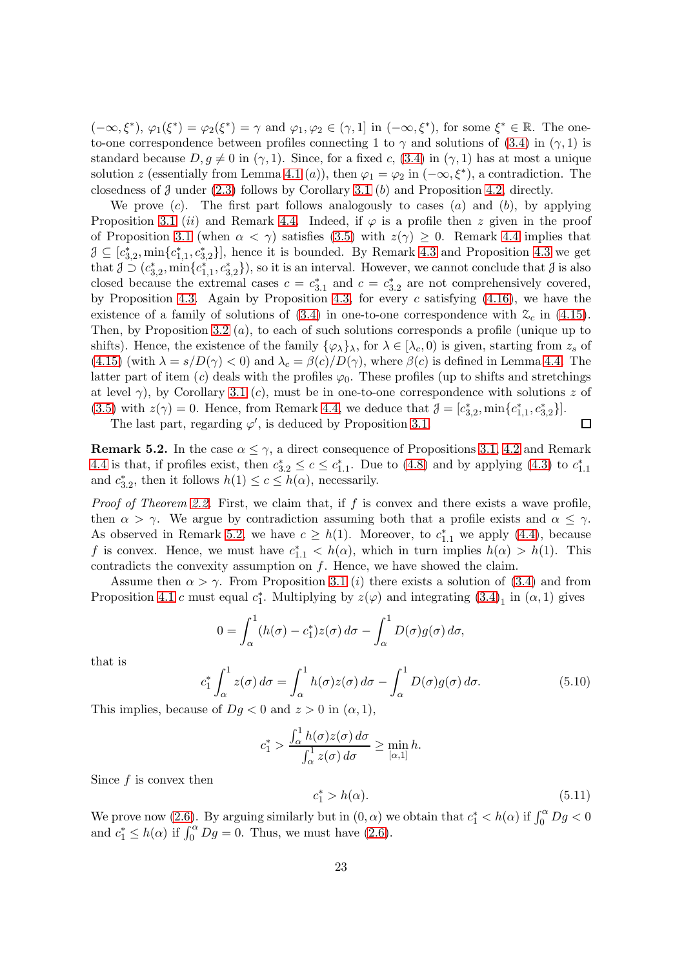$(-\infty,\xi^*), \varphi_1(\xi^*) = \varphi_2(\xi^*) = \gamma$  and  $\varphi_1, \varphi_2 \in (\gamma,1]$  in  $(-\infty,\xi^*),$  for some  $\xi^* \in \mathbb{R}$ . The oneto-one correspondence between profiles connecting 1 to  $\gamma$  and solutions of [\(3.4\)](#page-7-4) in ( $\gamma$ , 1) is standard because  $D, g \neq 0$  in  $(\gamma, 1)$ . Since, for a fixed c, [\(3.4\)](#page-7-4) in  $(\gamma, 1)$  has at most a unique solution z (essentially from Lemma [4.1](#page-11-4) (a)), then  $\varphi_1 = \varphi_2$  in  $(-\infty, \xi^*)$ , a contradiction. The closedness of  $\beta$  under [\(2.3\)](#page-4-2) follows by Corollary [3.1](#page-11-2) (b) and Proposition [4.2,](#page-15-3) directly.

We prove  $(c)$ . The first part follows analogously to cases  $(a)$  and  $(b)$ , by applying Proposition [3.1](#page-8-2) (ii) and Remark [4.4.](#page-17-2) Indeed, if  $\varphi$  is a profile then z given in the proof of Proposition [3.1](#page-8-2) (when  $\alpha < \gamma$ ) satisfies [\(3.5\)](#page-8-0) with  $z(\gamma) \geq 0$ . Remark [4.4](#page-17-2) implies that  $\mathcal{J} \subseteq [c_{3,2}^*, \min\{c_{1,1}^*, c_{3,2}^*\}],$  hence it is bounded. By Remark [4.3](#page-17-1) and Proposition 4.3 we get that  $\mathcal{J} \supset (c_{3,2}^*, \min\{c_{1,1}^*, c_{3,2}^*\})$ , so it is an interval. However, we cannot conclude that  $\mathcal{J}$  is also closed because the extremal cases  $c = c_{3,1}^*$  and  $c = c_{3,2}^*$  are not comprehensively covered, by Proposition [4.3.](#page-17-1) Again by Proposition [4.3,](#page-17-1) for every  $c$  satisfying  $(4.16)$ , we have the existence of a family of solutions of  $(3.4)$  in one-to-one correspondence with  $\mathcal{Z}_c$  in  $(4.15)$ . Then, by Proposition [3.2](#page-11-1) (a), to each of such solutions corresponds a profile (unique up to shifts). Hence, the existence of the family  $\{\varphi_{\lambda}\}_{\lambda}$ , for  $\lambda \in [\lambda_c, 0)$  is given, starting from  $z_s$  of [\(4.15\)](#page-16-2) (with  $\lambda = s/D(\gamma) < 0$ ) and  $\lambda_c = \beta(c)/D(\gamma)$ , where  $\beta(c)$  is defined in Lemma [4.4.](#page-16-3) The latter part of item (c) deals with the profiles  $\varphi_0$ . These profiles (up to shifts and stretchings at level  $\gamma$ ), by Corollary [3.1](#page-11-2) (c), must be in one-to-one correspondence with solutions z of [\(3.5\)](#page-8-0) with  $z(\gamma) = 0$ . Hence, from Remark [4.4,](#page-17-2) we deduce that  $\mathcal{J} = [c_{3,2}^*, \min\{c_{1,1}^*, c_{3,2}^*\}]$ . The last part, regarding  $\varphi'$ , is deduced by Proposition [3.1.](#page-8-2)  $\Box$ 

<span id="page-22-1"></span>**Remark 5.2.** In the case  $\alpha \leq \gamma$ , a direct consequence of Propositions [3.1,](#page-8-2) [4.2](#page-15-3) and Remark [4.4](#page-17-2) is that, if profiles exist, then  $c_{3,2}^* \leq c \leq c_{1,1}^*$ . Due to [\(4.8\)](#page-13-5) and by applying [\(4.3\)](#page-13-0) to  $c_{1,1}^*$ and  $c_{3,2}^*$ , then it follows  $h(1) \leq c \leq h(\alpha)$ , necessarily.

*Proof of Theorem [2.2.](#page-5-1)* First, we claim that, if f is convex and there exists a wave profile, then  $\alpha > \gamma$ . We argue by contradiction assuming both that a profile exists and  $\alpha \leq \gamma$ . As observed in Remark [5.2,](#page-22-1) we have  $c \geq h(1)$ . Moreover, to  $c_{1,1}^*$  we apply [\(4.4\)](#page-13-1), because f is convex. Hence, we must have  $c_{1,1}^* < h(\alpha)$ , which in turn implies  $h(\alpha) > h(1)$ . This contradicts the convexity assumption on  $f$ . Hence, we have showed the claim.

Assume then  $\alpha > \gamma$ . From Proposition [3.1](#page-8-2) (*i*) there exists a solution of [\(3.4\)](#page-7-4) and from Proposition [4.1](#page-15-1) c must equal  $c_1^*$ . Multiplying by  $z(\varphi)$  and integrating  $(3.4)_1$  in  $(\alpha, 1)$  gives

$$
0 = \int_{\alpha}^{1} (h(\sigma) - c_1^*) z(\sigma) d\sigma - \int_{\alpha}^{1} D(\sigma) g(\sigma) d\sigma,
$$

that is

$$
c_1^* \int_{\alpha}^1 z(\sigma) d\sigma = \int_{\alpha}^1 h(\sigma) z(\sigma) d\sigma - \int_{\alpha}^1 D(\sigma) g(\sigma) d\sigma.
$$
 (5.10)

This implies, because of  $Dg < 0$  and  $z > 0$  in  $(\alpha, 1)$ ,

$$
c_1^* > \frac{\int_{\alpha}^1 h(\sigma) z(\sigma) d\sigma}{\int_{\alpha}^1 z(\sigma) d\sigma} \ge \min_{[\alpha,1]} h.
$$

Since  $f$  is convex then

<span id="page-22-0"></span>
$$
c_1^* > h(\alpha). \tag{5.11}
$$

We prove now [\(2.6\)](#page-5-3). By arguing similarly but in  $(0, \alpha)$  we obtain that  $c_1^* < h(\alpha)$  if  $\int_0^{\alpha} Dg < 0$ and  $c_1^* \leq h(\alpha)$  if  $\int_0^{\alpha} Dg = 0$ . Thus, we must have [\(2.6\)](#page-5-3).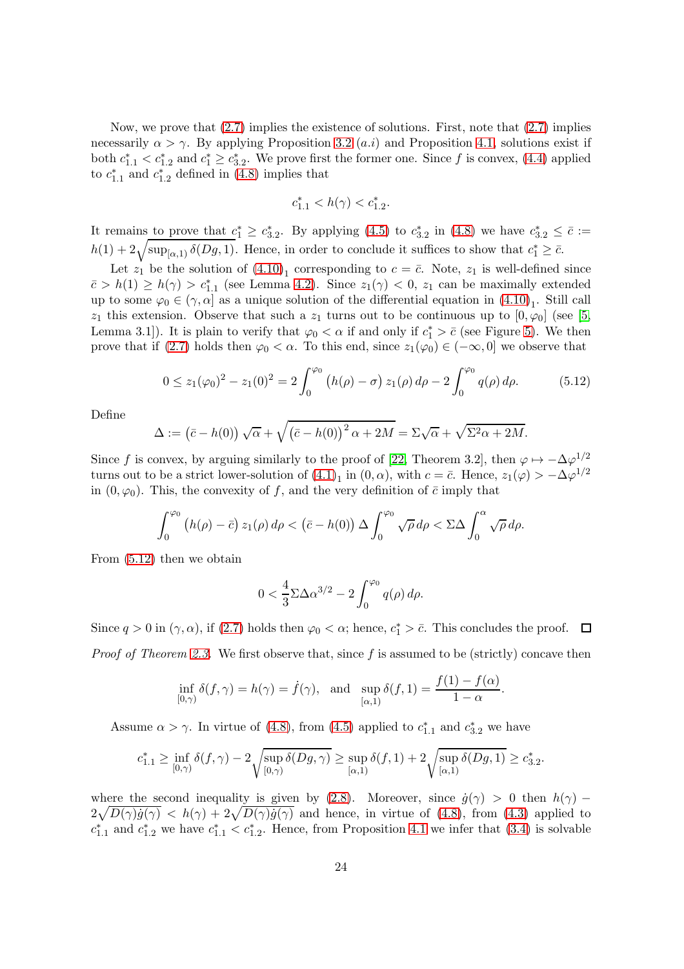Now, we prove that  $(2.7)$  implies the existence of solutions. First, note that  $(2.7)$  implies necessarily  $\alpha > \gamma$ . By applying Proposition [3.2](#page-11-1) (*a.i*) and Proposition [4.1,](#page-15-1) solutions exist if both  $c_{1,1}^* < c_{1,2}^*$  and  $c_1^* \ge c_{3,2}^*$ . We prove first the former one. Since f is convex, [\(4.4\)](#page-13-1) applied to  $c_{1,1}^*$  and  $c_{1,2}^*$  defined in [\(4.8\)](#page-13-5) implies that

$$
c_{1.1}^* < h(\gamma) < c_{1.2}^*.
$$

It remains to prove that  $c_1^* \geq c_{3,2}^*$ . By applying [\(4.5\)](#page-13-2) to  $c_{3,2}^*$  in [\(4.8\)](#page-13-5) we have  $c_{3,2}^* \leq \bar{c}$  :=  $h(1) + 2\sqrt{\sup_{[\alpha,1)} \delta(Dg,1)}$ . Hence, in order to conclude it suffices to show that  $c_1^* \geq \bar{c}$ .

Let  $z_1$  be the solution of  $(4.10)_1$  corresponding to  $c = \bar{c}$ . Note,  $z_1$  is well-defined since  $\bar{c} > h(1) \ge h(\gamma) > c_{1,1}^*$  (see Lemma [4.2\)](#page-14-3). Since  $z_1(\gamma) < 0$ ,  $z_1$  can be maximally extended up to some  $\varphi_0 \in (\gamma, \alpha]$  as a unique solution of the differential equation in  $(4.10)_1$ . Still call  $z_1$  this extension. Observe that such a  $z_1$  turns out to be continuous up to  $[0, \varphi_0]$  (see [\[5,](#page-31-1) Lemma 3.1]). It is plain to verify that  $\varphi_0 < \alpha$  if and only if  $c_1^* > \overline{c}$  (see Figure [5\)](#page-15-0). We then prove that if [\(2.7\)](#page-6-1) holds then  $\varphi_0 < \alpha$ . To this end, since  $z_1(\varphi_0) \in (-\infty, 0]$  we observe that

<span id="page-23-0"></span>
$$
0 \le z_1(\varphi_0)^2 - z_1(0)^2 = 2 \int_0^{\varphi_0} \left( h(\rho) - \sigma \right) z_1(\rho) d\rho - 2 \int_0^{\varphi_0} q(\rho) d\rho. \tag{5.12}
$$

Define

$$
\Delta := (\bar{c} - h(0)) \sqrt{\alpha} + \sqrt{(\bar{c} - h(0))^2 \alpha + 2M} = \Sigma \sqrt{\alpha} + \sqrt{\Sigma^2 \alpha + 2M}.
$$

Since f is convex, by arguing similarly to the proof of [\[22,](#page-32-8) Theorem 3.2], then  $\varphi \mapsto -\Delta \varphi^{1/2}$ turns out to be a strict lower-solution of  $(4.1)<sub>1</sub>$  in  $(0, \alpha)$ , with  $c = \bar{c}$ . Hence,  $z_1(\varphi) > -\Delta \varphi^{1/2}$ in  $(0, \varphi_0)$ . This, the convexity of f, and the very definition of  $\bar{c}$  imply that

$$
\int_0^{\varphi_0} \left( h(\rho) - \bar{c} \right) z_1(\rho) \, d\rho < \left( \bar{c} - h(0) \right) \Delta \int_0^{\varphi_0} \sqrt{\rho} \, d\rho < \Sigma \Delta \int_0^{\alpha} \sqrt{\rho} \, d\rho.
$$

From [\(5.12\)](#page-23-0) then we obtain

$$
0 < \frac{4}{3} \Sigma \Delta \alpha^{3/2} - 2 \int_0^{\varphi_0} q(\rho) \, d\rho.
$$

Since  $q > 0$  in  $(\gamma, \alpha)$ , if  $(2.7)$  holds then  $\varphi_0 < \alpha$ ; hence,  $c_1^* > \overline{c}$ . This concludes the proof. *Proof of Theorem [2.3.](#page-6-0)* We first observe that, since f is assumed to be (strictly) concave then

$$
\inf_{[0,\gamma)} \delta(f,\gamma) = h(\gamma) = \dot{f}(\gamma), \text{ and } \sup_{[\alpha,1)} \delta(f,1) = \frac{f(1) - f(\alpha)}{1 - \alpha}.
$$

Assume  $\alpha > \gamma$ . In virtue of [\(4.8\)](#page-13-5), from [\(4.5\)](#page-13-2) applied to  $c_{1,1}^*$  and  $c_{3,2}^*$  we have

$$
c_{1.1}^* \geq \inf_{[0,\gamma)} \delta(f,\gamma) - 2\sqrt{\sup_{[0,\gamma)} \delta(Dg,\gamma)} \geq \sup_{[\alpha,1)} \delta(f,1) + 2\sqrt{\sup_{[\alpha,1)} \delta(Dg,1)} \geq c_{3.2}^*.
$$

where the second inequality is given by [\(2.8\)](#page-6-2). Moreover, since  $\dot{q}(\gamma) > 0$  then  $h(\gamma)$  –  $2\sqrt{D(\gamma)\dot{g}(\gamma)}$  <  $h(\gamma) + 2\sqrt{D(\gamma)\dot{g}(\gamma)}$  and hence, in virtue of [\(4.8\)](#page-13-5), from [\(4.3\)](#page-13-0) applied to  $c_{1,1}^*$  and  $c_{1,2}^*$  we have  $c_{1,1}^* < c_{1,2}^*$ . Hence, from Proposition [4.1](#page-15-1) we infer that  $(3.4)$  is solvable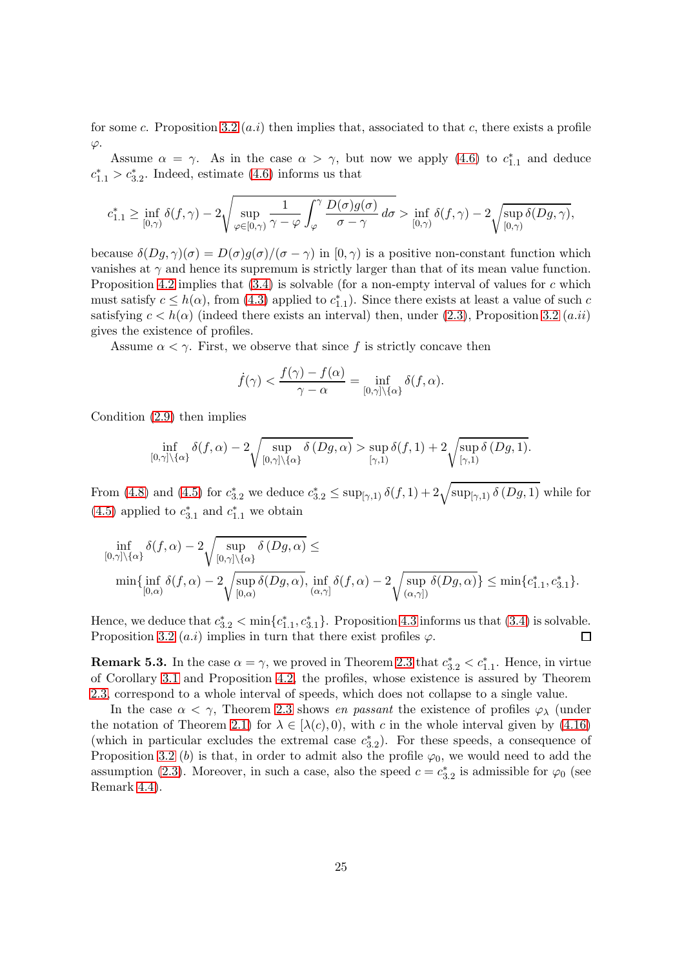for some c. Proposition [3.2](#page-11-1)  $(a,i)$  then implies that, associated to that c, there exists a profile  $\varphi$ .

Assume  $\alpha = \gamma$ . As in the case  $\alpha > \gamma$ , but now we apply [\(4.6\)](#page-13-6) to  $c_{1,1}^*$  and deduce  $c_{1.1}^* > c_{3.2}^*$ . Indeed, estimate [\(4.6\)](#page-13-6) informs us that

$$
c_{1.1}^* \geq \inf_{[0,\gamma)} \delta(f,\gamma) - 2\sqrt{\sup_{\varphi \in [0,\gamma)} \frac{1}{\gamma - \varphi} \int_{\varphi}^{\gamma} \frac{D(\sigma)g(\sigma)}{\sigma - \gamma}} d\sigma > \inf_{[0,\gamma)} \delta(f,\gamma) - 2\sqrt{\sup_{[0,\gamma)} \delta(Dg,\gamma)},
$$

because  $\delta(Dg,\gamma)(\sigma) = D(\sigma)g(\sigma)/(\sigma-\gamma)$  in  $[0,\gamma)$  is a positive non-constant function which vanishes at  $\gamma$  and hence its supremum is strictly larger than that of its mean value function. Proposition [4.2](#page-15-3) implies that  $(3.4)$  is solvable (for a non-empty interval of values for c which must satisfy  $c \leq h(\alpha)$ , from [\(4.3\)](#page-13-0) applied to  $c_{1,1}^*$ ). Since there exists at least a value of such  $c$ satisfying  $c < h(\alpha)$  (indeed there exists an interval) then, under [\(2.3\)](#page-4-2), Proposition [3.2](#page-11-1) (a.ii) gives the existence of profiles.

Assume  $\alpha < \gamma$ . First, we observe that since f is strictly concave then

$$
\dot{f}(\gamma) < \frac{f(\gamma) - f(\alpha)}{\gamma - \alpha} = \inf_{[0,\gamma] \setminus \{\alpha\}} \delta(f,\alpha).
$$

Condition [\(2.9\)](#page-6-3) then implies

$$
\inf_{[0,\gamma]\setminus\{\alpha\}} \delta(f,\alpha) - 2\sqrt{\sup_{[0,\gamma]\setminus\{\alpha\}} \delta(Dg,\alpha)} > \sup_{[\gamma,1)} \delta(f,1) + 2\sqrt{\sup_{[\gamma,1)} \delta(Dg,1)}.
$$

From [\(4.8\)](#page-13-5) and [\(4.5\)](#page-13-2) for  $c_{3.2}^*$  we deduce  $c_{3.2}^* \leq \sup_{[\gamma,1)} \delta(f,1) + 2\sqrt{\sup_{[\gamma,1)} \delta(Dg,1)}$  while for [\(4.5\)](#page-13-2) applied to  $c_{3.1}^*$  and  $c_{1.1}^*$  we obtain

$$
\inf_{[0,\gamma]\backslash\{\alpha\}} \delta(f,\alpha) - 2\sqrt{\sup_{[0,\gamma]\backslash\{\alpha\}} \delta\left(Dg,\alpha\right)} \le \n\min\{\inf_{[0,\alpha)} \delta(f,\alpha) - 2\sqrt{\sup_{[0,\alpha)} \delta(Dg,\alpha)}, \inf_{(\alpha,\gamma)} \delta(f,\alpha) - 2\sqrt{\sup_{(\alpha,\gamma)} \delta(Dg,\alpha)}\} \le \min\{c_{1,1}^*,c_{3,1}^*\}.
$$

Hence, we deduce that  $c_{3,2}^* < \min\{c_{1,1}^*, c_{3,1}^*\}$ . Proposition [4.3](#page-17-1) informs us that  $(3.4)$  is solvable. Proposition [3.2](#page-11-1)  $(a.i)$  implies in turn that there exist profiles  $\varphi$ .

**Remark 5.3.** In the case  $\alpha = \gamma$ , we proved in Theorem [2.3](#page-6-0) that  $c_{3.2}^* < c_{1.1}^*$ . Hence, in virtue of Corollary [3.1](#page-11-2) and Proposition [4.2,](#page-15-3) the profiles, whose existence is assured by Theorem [2.3,](#page-6-0) correspond to a whole interval of speeds, which does not collapse to a single value.

In the case  $\alpha < \gamma$ , Theorem [2.3](#page-6-0) shows en passant the existence of profiles  $\varphi_{\lambda}$  (under the notation of Theorem [2.1\)](#page-5-0) for  $\lambda \in [\lambda(c), 0)$ , with c in the whole interval given by [\(4.16\)](#page-17-4) (which in particular excludes the extremal case  $c_{3.2}^*$ ). For these speeds, a consequence of Proposition [3.2](#page-11-1) (b) is that, in order to admit also the profile  $\varphi_0$ , we would need to add the assumption [\(2.3\)](#page-4-2). Moreover, in such a case, also the speed  $c = c_{3.2}^*$  is admissible for  $\varphi_0$  (see Remark [4.4\)](#page-17-2).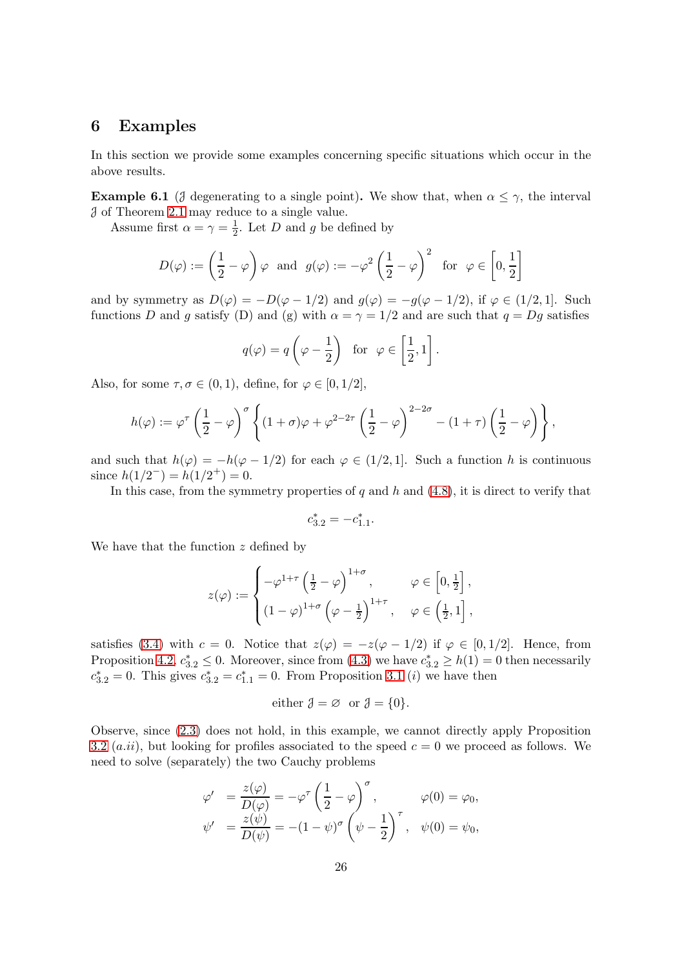## <span id="page-25-0"></span>6 Examples

In this section we provide some examples concerning specific situations which occur in the above results.

<span id="page-25-1"></span>**Example 6.1** (*J* degenerating to a single point). We show that, when  $\alpha \leq \gamma$ , the interval J of Theorem [2.1](#page-5-0) may reduce to a single value.

Assume first  $\alpha = \gamma = \frac{1}{2}$  $\frac{1}{2}$ . Let D and g be defined by

$$
D(\varphi) := \left(\frac{1}{2} - \varphi\right) \varphi \text{ and } g(\varphi) := -\varphi^2 \left(\frac{1}{2} - \varphi\right)^2 \text{ for } \varphi \in \left[0, \frac{1}{2}\right]
$$

and by symmetry as  $D(\varphi) = -D(\varphi - 1/2)$  and  $g(\varphi) = -g(\varphi - 1/2)$ , if  $\varphi \in (1/2, 1]$ . Such functions D and g satisfy (D) and (g) with  $\alpha = \gamma = 1/2$  and are such that  $q = Dg$  satisfies

$$
q(\varphi) = q\left(\varphi - \frac{1}{2}\right)
$$
 for  $\varphi \in \left[\frac{1}{2}, 1\right]$ .

Also, for some  $\tau, \sigma \in (0, 1)$ , define, for  $\varphi \in [0, 1/2]$ ,

$$
h(\varphi) := \varphi^{\tau} \left( \frac{1}{2} - \varphi \right)^{\sigma} \left\{ (1 + \sigma) \varphi + \varphi^{2 - 2\tau} \left( \frac{1}{2} - \varphi \right)^{2 - 2\sigma} - (1 + \tau) \left( \frac{1}{2} - \varphi \right) \right\},\,
$$

and such that  $h(\varphi) = -h(\varphi - 1/2)$  for each  $\varphi \in (1/2, 1]$ . Such a function h is continuous since  $h(1/2^-) = h(1/2^+) = 0$ .

In this case, from the symmetry properties of  $q$  and  $h$  and  $(4.8)$ , it is direct to verify that

$$
c_{3.2}^*=-c_{1.1}^*.
$$

We have that the function  $z$  defined by

$$
z(\varphi) := \begin{cases} -\varphi^{1+\tau} \left(\frac{1}{2} - \varphi\right)^{1+\sigma}, & \varphi \in \left[0, \frac{1}{2}\right], \\ \left(1 - \varphi\right)^{1+\sigma} \left(\varphi - \frac{1}{2}\right)^{1+\tau}, & \varphi \in \left(\frac{1}{2}, 1\right], \end{cases}
$$

satisfies [\(3.4\)](#page-7-4) with  $c = 0$ . Notice that  $z(\varphi) = -z(\varphi - 1/2)$  if  $\varphi \in [0, 1/2]$ . Hence, from Proposition [4.2,](#page-15-3)  $c_{3,2}^* \leq 0$ . Moreover, since from [\(4.3\)](#page-13-0) we have  $c_{3,2}^* \geq h(1) = 0$  then necessarily  $c_{3,2}^{*} = 0$ . This gives  $c_{3,2}^{*} = c_{1,1}^{*} = 0$ . From Proposition [3.1](#page-8-2) (*i*) we have then

$$
\text{either } \mathcal{J} = \varnothing \ \text{ or } \mathcal{J} = \{0\}.
$$

Observe, since [\(2.3\)](#page-4-2) does not hold, in this example, we cannot directly apply Proposition [3.2](#page-11-1) (*a.ii*), but looking for profiles associated to the speed  $c = 0$  we proceed as follows. We need to solve (separately) the two Cauchy problems

$$
\varphi' = \frac{z(\varphi)}{D(\varphi)} = -\varphi^{\tau} \left(\frac{1}{2} - \varphi\right)^{\sigma}, \qquad \varphi(0) = \varphi_0,
$$
  

$$
\psi' = \frac{z(\psi)}{D(\psi)} = -(1 - \psi)^{\sigma} \left(\psi - \frac{1}{2}\right)^{\tau}, \quad \psi(0) = \psi_0,
$$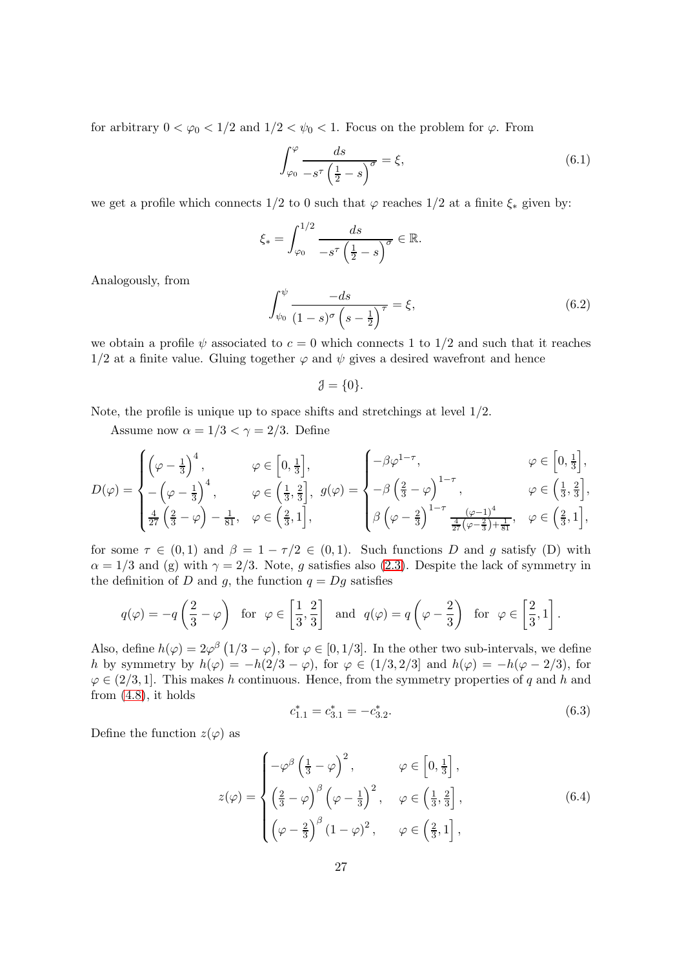for arbitrary  $0 < \varphi_0 < 1/2$  and  $1/2 < \psi_0 < 1$ . Focus on the problem for  $\varphi$ . From

<span id="page-26-1"></span>
$$
\int_{\varphi_0}^{\varphi} \frac{ds}{-s^{\tau} \left(\frac{1}{2} - s\right)^{\sigma}} = \xi,
$$
\n(6.1)

we get a profile which connects 1/2 to 0 such that  $\varphi$  reaches 1/2 at a finite  $\xi_*$  given by:

$$
\xi_* = \int_{\varphi_0}^{1/2} \frac{ds}{-s^\tau \left(\frac{1}{2} - s\right)^\sigma} \in \mathbb{R}.
$$

Analogously, from

<span id="page-26-2"></span>
$$
\int_{\psi_0}^{\psi} \frac{-ds}{(1-s)^{\sigma} \left(s - \frac{1}{2}\right)^{\tau}} = \xi,
$$
\n(6.2)

we obtain a profile  $\psi$  associated to  $c = 0$  which connects 1 to 1/2 and such that it reaches  $1/2$  at a finite value. Gluing together  $\varphi$  and  $\psi$  gives a desired wavefront and hence

$$
\mathcal{J} = \{0\}.
$$

Note, the profile is unique up to space shifts and stretchings at level 1/2.

Assume now  $\alpha = 1/3 < \gamma = 2/3$ . Define

$$
D(\varphi) = \begin{cases} \left(\varphi - \frac{1}{3}\right)^4, & \varphi \in \left[0, \frac{1}{3}\right], \\ -\left(\varphi - \frac{1}{3}\right)^4, & \varphi \in \left(\frac{1}{3}, \frac{2}{3}\right], \\ \frac{4}{27}\left(\frac{2}{3} - \varphi\right) - \frac{1}{81}, & \varphi \in \left(\frac{2}{3}, 1\right], \end{cases} \qquad \varphi(\varphi) = \begin{cases} -\beta \varphi^{1-\tau}, & \varphi \in \left[0, \frac{1}{3}\right], \\ -\beta \left(\frac{2}{3} - \varphi\right)^{1-\tau}, & \varphi \in \left(\frac{1}{3}, \frac{2}{3}\right], \\ \beta \left(\varphi - \frac{2}{3}\right)^{1-\tau} \frac{(\varphi - 1)^4}{\frac{4}{27}(\varphi - \frac{2}{3}) + \frac{1}{81}}, & \varphi \in \left(\frac{2}{3}, 1\right], \end{cases}
$$

for some  $\tau \in (0,1)$  and  $\beta = 1 - \tau/2 \in (0,1)$ . Such functions D and g satisfy (D) with  $\alpha = 1/3$  and (g) with  $\gamma = 2/3$ . Note, g satisfies also [\(2.3\)](#page-4-2). Despite the lack of symmetry in the definition of D and g, the function  $q = Dg$  satisfies

$$
q(\varphi) = -q\left(\frac{2}{3} - \varphi\right) \text{ for } \varphi \in \left[\frac{1}{3}, \frac{2}{3}\right] \text{ and } q(\varphi) = q\left(\varphi - \frac{2}{3}\right) \text{ for } \varphi \in \left[\frac{2}{3}, 1\right].
$$

Also, define  $h(\varphi) = 2\varphi^{\beta} (1/3 - \varphi)$ , for  $\varphi \in [0, 1/3]$ . In the other two sub-intervals, we define h by symmetry by  $h(\varphi) = -h(2/3 - \varphi)$ , for  $\varphi \in (1/3, 2/3]$  and  $h(\varphi) = -h(\varphi - 2/3)$ , for  $\varphi \in (2/3, 1]$ . This makes h continuous. Hence, from the symmetry properties of q and h and from  $(4.8)$ , it holds

<span id="page-26-0"></span>
$$
c_{1.1}^* = c_{3.1}^* = -c_{3.2}^*.\tag{6.3}
$$

Define the function  $z(\varphi)$  as

$$
z(\varphi) = \begin{cases} -\varphi^{\beta} \left(\frac{1}{3} - \varphi\right)^{2}, & \varphi \in \left[0, \frac{1}{3}\right], \\ \left(\frac{2}{3} - \varphi\right)^{\beta} \left(\varphi - \frac{1}{3}\right)^{2}, & \varphi \in \left(\frac{1}{3}, \frac{2}{3}\right], \\ \left(\varphi - \frac{2}{3}\right)^{\beta} \left(1 - \varphi\right)^{2}, & \varphi \in \left(\frac{2}{3}, 1\right], \end{cases}
$$
(6.4)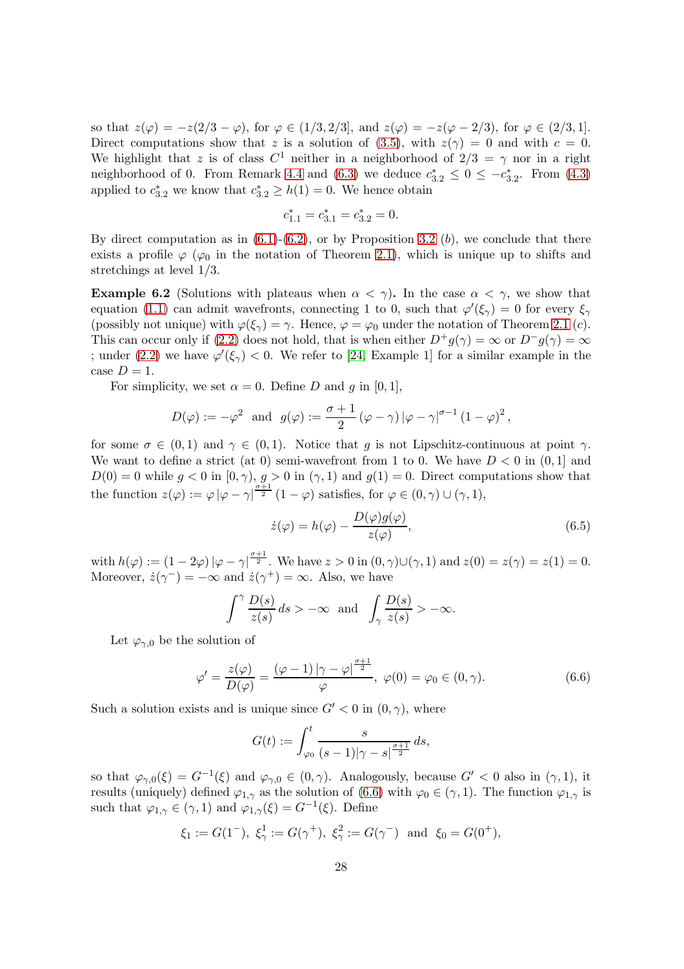so that  $z(\varphi) = -z(2/3 - \varphi)$ , for  $\varphi \in (1/3, 2/3]$ , and  $z(\varphi) = -z(\varphi - 2/3)$ , for  $\varphi \in (2/3, 1]$ . Direct computations show that z is a solution of [\(3.5\)](#page-8-0), with  $z(\gamma) = 0$  and with  $c = 0$ . We highlight that z is of class  $C^1$  neither in a neighborhood of  $2/3 = \gamma$  nor in a right neighborhood of 0. From Remark [4.4](#page-17-2) and [\(6.3\)](#page-26-0) we deduce  $c_{3,2}^* \leq 0 \leq -c_{3,2}^*$ . From [\(4.3\)](#page-13-0) applied to  $c_{3,2}^*$  we know that  $c_{3,2}^* \geq h(1) = 0$ . We hence obtain

$$
c_{1.1}^* = c_{3.1}^* = c_{3.2}^* = 0.
$$

By direct computation as in  $(6.1)-(6.2)$  $(6.1)-(6.2)$ , or by Proposition [3.2](#page-11-1)  $(b)$ , we conclude that there exists a profile  $\varphi$  ( $\varphi_0$  in the notation of Theorem [2.1\)](#page-5-0), which is unique up to shifts and stretchings at level 1/3.

<span id="page-27-0"></span>**Example 6.2** (Solutions with plateaus when  $\alpha < \gamma$ ). In the case  $\alpha < \gamma$ , we show that equation [\(1.1\)](#page-0-0) can admit wavefronts, connecting 1 to 0, such that  $\varphi'(\xi_{\gamma}) = 0$  for every  $\xi_{\gamma}$ (possibly not unique) with  $\varphi(\xi_\gamma) = \gamma$ . Hence,  $\varphi = \varphi_0$  under the notation of Theorem [2.1](#page-5-0) (c). This can occur only if [\(2.2\)](#page-4-1) does not hold, that is when either  $D^+g(\gamma) = \infty$  or  $D^-g(\gamma) = \infty$ ; under [\(2.2\)](#page-4-1) we have  $\varphi'(\xi_{\gamma}) < 0$ . We refer to [\[24,](#page-32-13) Example 1] for a similar example in the case  $D=1$ .

For simplicity, we set  $\alpha = 0$ . Define D and g in [0, 1],

$$
D(\varphi) := -\varphi^2
$$
 and  $g(\varphi) := \frac{\sigma+1}{2} (\varphi - \gamma) |\varphi - \gamma|^{\sigma-1} (1 - \varphi)^2$ ,

for some  $\sigma \in (0,1)$  and  $\gamma \in (0,1)$ . Notice that g is not Lipschitz-continuous at point  $\gamma$ . We want to define a strict (at 0) semi-wavefront from 1 to 0. We have  $D < 0$  in  $(0, 1]$  and  $D(0) = 0$  while  $g < 0$  in  $[0, \gamma)$ ,  $g > 0$  in  $(\gamma, 1)$  and  $g(1) = 0$ . Direct computations show that the function  $z(\varphi) := \varphi |\varphi - \gamma|^{\frac{\sigma+1}{2}} (1 - \varphi)$  satisfies, for  $\varphi \in (0, \gamma) \cup (\gamma, 1)$ ,

<span id="page-27-2"></span>
$$
\dot{z}(\varphi) = h(\varphi) - \frac{D(\varphi)g(\varphi)}{z(\varphi)},\tag{6.5}
$$

with  $h(\varphi) := (1 - 2\varphi) \left| \varphi - \gamma \right|^{\frac{\sigma+1}{2}}$ . We have  $z > 0$  in  $(0, \gamma) \cup (\gamma, 1)$  and  $z(0) = z(\gamma) = z(1) = 0$ . Moreover,  $\dot{z}(\gamma^-) = -\infty$  and  $\dot{z}(\gamma^+) = \infty$ . Also, we have

$$
\int^{\gamma} \frac{D(s)}{z(s)} ds > -\infty \text{ and } \int_{\gamma} \frac{D(s)}{z(s)} > -\infty.
$$

Let  $\varphi_{\gamma,0}$  be the solution of

<span id="page-27-1"></span>
$$
\varphi' = \frac{z(\varphi)}{D(\varphi)} = \frac{(\varphi - 1)|\gamma - \varphi|^{\frac{\sigma + 1}{2}}}{\varphi}, \ \varphi(0) = \varphi_0 \in (0, \gamma). \tag{6.6}
$$

Such a solution exists and is unique since  $G' < 0$  in  $(0, \gamma)$ , where

$$
G(t) := \int_{\varphi_0}^t \frac{s}{(s-1)|\gamma - s|^{\frac{\sigma+1}{2}}} ds,
$$

so that  $\varphi_{\gamma,0}(\xi) = G^{-1}(\xi)$  and  $\varphi_{\gamma,0} \in (0,\gamma)$ . Analogously, because  $G' < 0$  also in  $(\gamma,1)$ , it results (uniquely) defined  $\varphi_{1,\gamma}$  as the solution of [\(6.6\)](#page-27-1) with  $\varphi_0 \in (\gamma,1)$ . The function  $\varphi_{1,\gamma}$  is such that  $\varphi_{1,\gamma} \in (\gamma, 1)$  and  $\varphi_{1,\gamma}(\xi) = G^{-1}(\xi)$ . Define

$$
\xi_1 := G(1^-), \xi_\gamma^1 := G(\gamma^+), \xi_\gamma^2 := G(\gamma^-) \text{ and } \xi_0 = G(0^+),
$$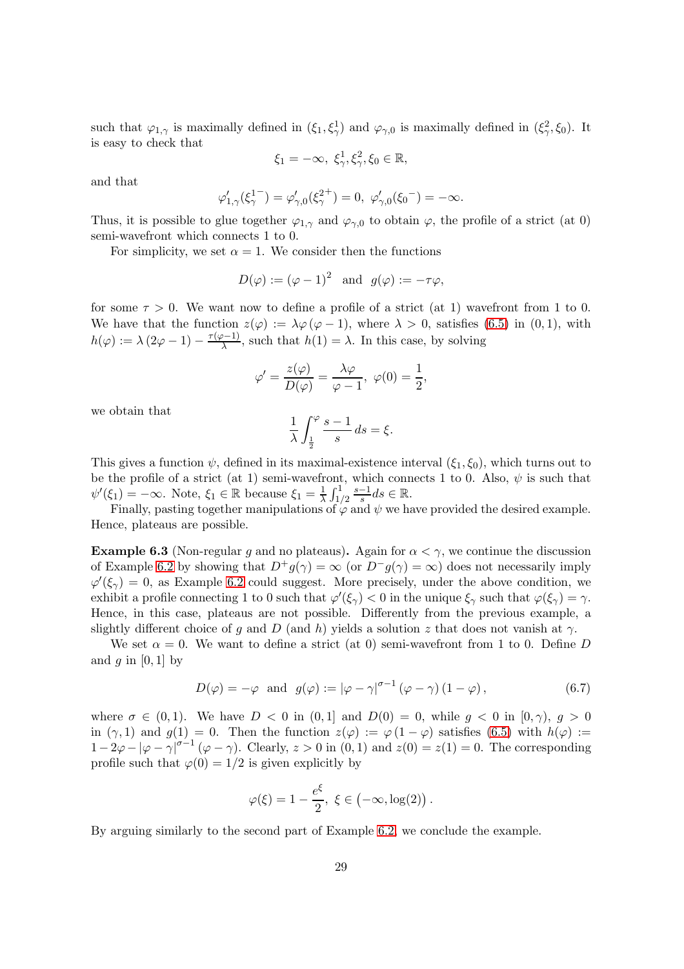such that  $\varphi_{1,\gamma}$  is maximally defined in  $(\xi_1, \xi_\gamma^1)$  and  $\varphi_{\gamma,0}$  is maximally defined in  $(\xi_\gamma^2, \xi_0)$ . It is easy to check that

$$
\xi_1 = -\infty, \ \xi_\gamma^1, \xi_\gamma^2, \xi_0 \in \mathbb{R},
$$

and that

$$
\varphi'_{1,\gamma}(\xi_{\gamma}^{1}) = \varphi'_{\gamma,0}(\xi_{\gamma}^{2+}) = 0, \ \varphi'_{\gamma,0}(\xi_0^{-}) = -\infty.
$$

Thus, it is possible to glue together  $\varphi_{1,\gamma}$  and  $\varphi_{\gamma,0}$  to obtain  $\varphi$ , the profile of a strict (at 0) semi-wavefront which connects 1 to 0.

For simplicity, we set  $\alpha = 1$ . We consider then the functions

$$
D(\varphi) := (\varphi - 1)^2
$$
 and  $g(\varphi) := -\tau \varphi$ ,

for some  $\tau > 0$ . We want now to define a profile of a strict (at 1) wavefront from 1 to 0. We have that the function  $z(\varphi) := \lambda \varphi(\varphi - 1)$ , where  $\lambda > 0$ , satisfies [\(6.5\)](#page-27-2) in (0,1), with  $h(\varphi) := \lambda (2\varphi - 1) - \frac{\tau(\varphi - 1)}{\lambda}$  $\frac{\partial^{n-1}}{\partial \lambda}$ , such that  $h(1) = \lambda$ . In this case, by solving

$$
\varphi' = \frac{z(\varphi)}{D(\varphi)} = \frac{\lambda \varphi}{\varphi - 1}, \ \varphi(0) = \frac{1}{2},
$$

we obtain that

$$
\frac{1}{\lambda} \int_{\frac{1}{2}}^{\varphi} \frac{s-1}{s} ds = \xi.
$$

This gives a function  $\psi$ , defined in its maximal-existence interval  $(\xi_1, \xi_0)$ , which turns out to be the profile of a strict (at 1) semi-wavefront, which connects 1 to 0. Also,  $\psi$  is such that  $\psi'(\xi_1) = -\infty$ . Note,  $\xi_1 \in \mathbb{R}$  because  $\xi_1 = \frac{1}{\lambda}$  $\frac{1}{\lambda} \int_{1/2}^{1}$ s−1  $\frac{-1}{s}ds \in \mathbb{R}$ .

Finally, pasting together manipulations of  $\varphi$  and  $\psi$  we have provided the desired example. Hence, plateaus are possible.

<span id="page-28-0"></span>**Example 6.3** (Non-regular g and no plateaus). Again for  $\alpha < \gamma$ , we continue the discussion of Example [6.2](#page-27-0) by showing that  $D^+g(\gamma) = \infty$  (or  $D^-g(\gamma) = \infty$ ) does not necessarily imply  $\varphi'(\xi_{\gamma}) = 0$ , as Example [6.2](#page-27-0) could suggest. More precisely, under the above condition, we exhibit a profile connecting 1 to 0 such that  $\varphi'(\xi_{\gamma}) < 0$  in the unique  $\xi_{\gamma}$  such that  $\varphi(\xi_{\gamma}) = \gamma$ . Hence, in this case, plateaus are not possible. Differently from the previous example, a slightly different choice of q and D (and h) yields a solution z that does not vanish at  $\gamma$ .

We set  $\alpha = 0$ . We want to define a strict (at 0) semi-wavefront from 1 to 0. Define D and  $g$  in [0, 1] by

$$
D(\varphi) = -\varphi \text{ and } g(\varphi) := |\varphi - \gamma|^{\sigma - 1} (\varphi - \gamma) (1 - \varphi), \qquad (6.7)
$$

where  $\sigma \in (0, 1)$ . We have  $D < 0$  in  $(0, 1]$  and  $D(0) = 0$ , while  $g < 0$  in  $(0, \gamma)$ ,  $g > 0$ in  $(\gamma, 1)$  and  $g(1) = 0$ . Then the function  $z(\varphi) := \varphi(1 - \varphi)$  satisfies [\(6.5\)](#page-27-2) with  $h(\varphi) :=$  $1-2\varphi-|\varphi-\gamma|^{\sigma-1}(\varphi-\gamma)$ . Clearly,  $z>0$  in  $(0,1)$  and  $z(0)=z(1)=0$ . The corresponding profile such that  $\varphi(0) = 1/2$  is given explicitly by

$$
\varphi(\xi) = 1 - \frac{e^{\xi}}{2}, \ \xi \in (-\infty, \log(2)).
$$

By arguing similarly to the second part of Example [6.2,](#page-27-0) we conclude the example.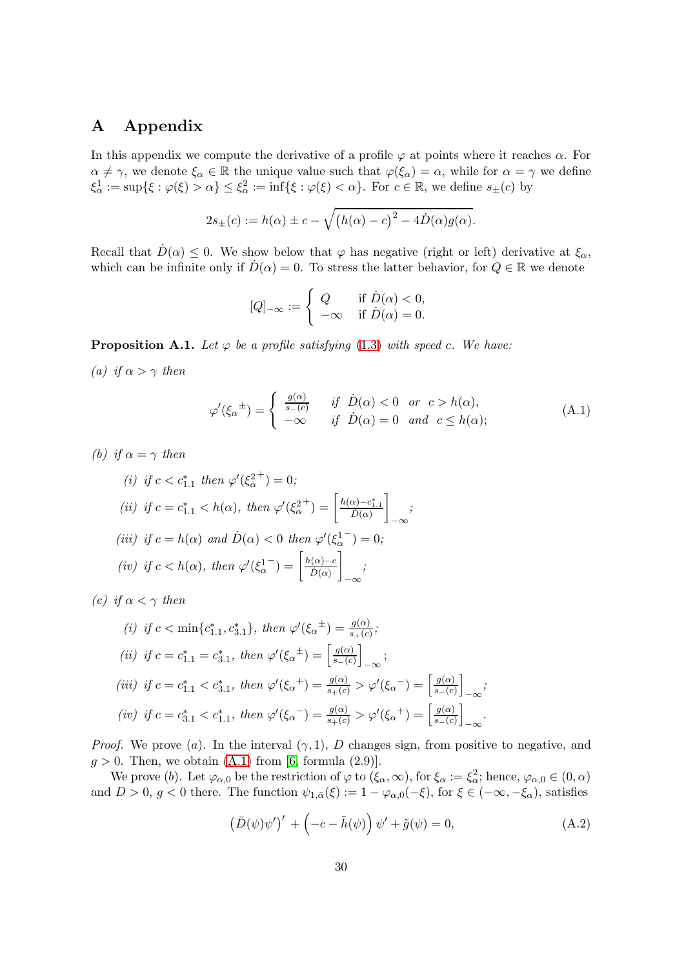## <span id="page-29-0"></span>A Appendix

In this appendix we compute the derivative of a profile  $\varphi$  at points where it reaches  $\alpha$ . For  $\alpha \neq \gamma$ , we denote  $\xi_{\alpha} \in \mathbb{R}$  the unique value such that  $\varphi(\xi_{\alpha}) = \alpha$ , while for  $\alpha = \gamma$  we define  $\xi^1_\alpha := \sup\{\xi : \varphi(\xi) > \alpha\} \leq \xi^2_\alpha := \inf\{\xi : \varphi(\xi) < \alpha\}.$  For  $c \in \mathbb{R}$ , we define  $s_{\pm}(c)$  by

$$
2s_{\pm}(c) := h(\alpha) \pm c - \sqrt{(h(\alpha) - c)^2 - 4\dot{D}(\alpha)g(\alpha)}.
$$

Recall that  $D(\alpha) \leq 0$ . We show below that  $\varphi$  has negative (right or left) derivative at  $\xi_{\alpha}$ , which can be infinite only if  $D(\alpha) = 0$ . To stress the latter behavior, for  $Q \in \mathbb{R}$  we denote

$$
[Q]_{-\infty} := \begin{cases} Q & \text{if } \dot{D}(\alpha) < 0, \\ -\infty & \text{if } \dot{D}(\alpha) = 0. \end{cases}
$$

<span id="page-29-3"></span>**Proposition A.1.** Let  $\varphi$  be a profile satisfying [\(1.3\)](#page-1-1) with speed c. We have:

(a) if  $\alpha > \gamma$  then

<span id="page-29-1"></span>
$$
\varphi'(\xi_{\alpha}^{\pm}) = \begin{cases} \frac{g(\alpha)}{s_{-}(c)} & \text{if } \dot{D}(\alpha) < 0 \text{ or } c > h(\alpha), \\ -\infty & \text{if } \dot{D}(\alpha) = 0 \text{ and } c \le h(\alpha); \end{cases}
$$
(A.1)

(b) if  $\alpha = \gamma$  then

(i) if 
$$
c < c_{1,1}^*
$$
 then  $\varphi'(\xi_{\alpha}^{2+}) = 0$ ;  
\n(ii) if  $c = c_{1,1}^* < h(\alpha)$ , then  $\varphi'(\xi_{\alpha}^{2+}) = \left[\frac{h(\alpha) - c_{1,1}^*}{\tilde{D}(\alpha)}\right]_{-\infty}$ ;  
\n(iii) if  $c = h(\alpha)$  and  $\dot{D}(\alpha) < 0$  then  $\varphi'(\xi_{\alpha}^{1-}) = 0$ ;  
\n(iv) if  $c < h(\alpha)$ , then  $\varphi'(\xi_{\alpha}^{1-}) = \left[\frac{h(\alpha) - c}{\tilde{D}(\alpha)}\right]_{-\infty}$ ;  
\n(iv) if  $c < h(\alpha)$ , then  $\varphi'(\xi_{\alpha}^{1-}) = \left[\frac{h(\alpha) - c}{\tilde{D}(\alpha)}\right]_{-\infty}$ 

(c) if  $\alpha < \gamma$  then

(i) if 
$$
c < \min\{c_{1,1}^*, c_{3,1}^*\}
$$
, then  $\varphi'(\xi_{\alpha}^{\pm}) = \frac{g(\alpha)}{s_{+}(c)}$ ;  
\n(ii) if  $c = c_{1,1}^* = c_{3,1}^*$ , then  $\varphi'(\xi_{\alpha}^{\pm}) = \left[\frac{g(\alpha)}{s_{-}(c)}\right]_{-\infty}$ ;  
\n(iii) if  $c = c_{1,1}^* < c_{3,1}^*$ , then  $\varphi'(\xi_{\alpha}^+) = \frac{g(\alpha)}{s_{+}(c)} > \varphi'(\xi_{\alpha}^-) = \left[\frac{g(\alpha)}{s_{-}(c)}\right]_{-\infty}$ ;  
\n(iv) if  $c = c_{3,1}^* < c_{1,1}^*$ , then  $\varphi'(\xi_{\alpha}^-) = \frac{g(\alpha)}{s_{+}(c)} > \varphi'(\xi_{\alpha}^+) = \left[\frac{g(\alpha)}{s_{-}(c)}\right]_{-\infty}$ .

*Proof.* We prove (a). In the interval  $(\gamma, 1)$ , D changes sign, from positive to negative, and  $g > 0$ . Then, we obtain  $(A.1)$  from [\[6,](#page-31-2) formula  $(2.9)$ ].

We prove (b). Let  $\varphi_{\alpha,0}$  be the restriction of  $\varphi$  to  $(\xi_{\alpha}, \infty)$ , for  $\xi_{\alpha} := \xi_{\alpha}^2$ ; hence,  $\varphi_{\alpha,0} \in (0, \alpha)$ and  $D > 0$ ,  $g < 0$  there. The function  $\psi_{1,\bar{\alpha}}(\xi) := 1 - \varphi_{\alpha,0}(-\xi)$ , for  $\xi \in (-\infty, -\xi_{\alpha})$ , satisfies

<span id="page-29-2"></span>
$$
(\bar{D}(\psi)\psi')' + \left(-c - \tilde{h}(\psi)\right)\psi' + \tilde{g}(\psi) = 0,
$$
\n(A.2)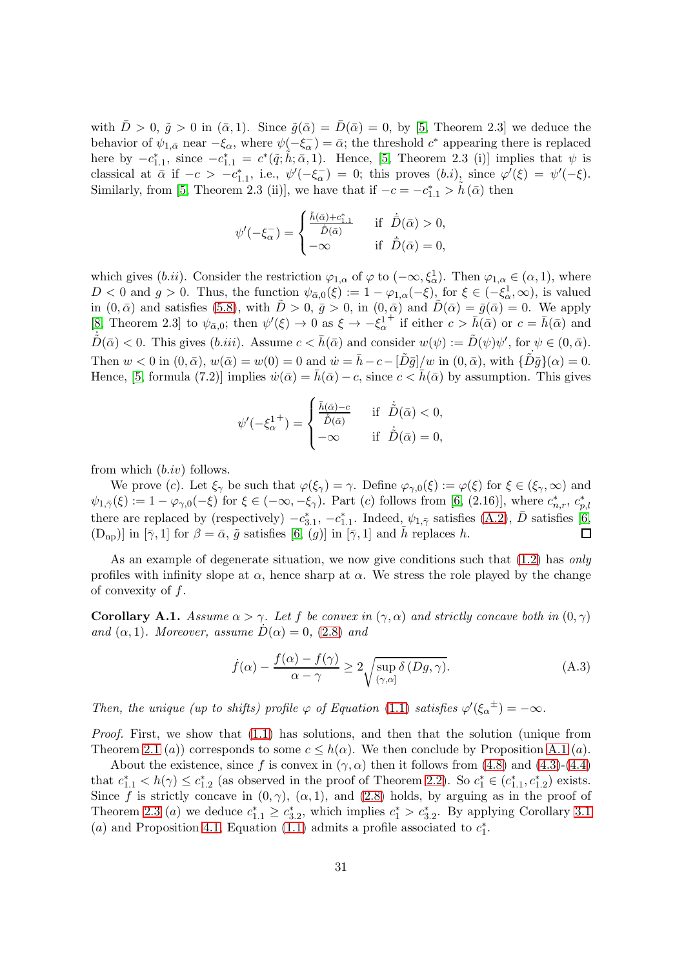with  $\bar{D} > 0$ ,  $\tilde{g} > 0$  in  $(\bar{\alpha}, 1)$ . Since  $\tilde{g}(\bar{\alpha}) = \bar{D}(\bar{\alpha}) = 0$ , by [\[5,](#page-31-1) Theorem 2.3] we deduce the behavior of  $\psi_{1,\bar{\alpha}}$  near  $-\xi_{\alpha}$ , where  $\psi(-\xi_{\alpha}) = \bar{\alpha}$ ; the threshold  $c^*$  appearing there is replaced here by  $-c_{1,1}^*$ , since  $-c_{1,1}^* = c^*(\tilde{q}; \tilde{h}; \bar{\alpha}, 1)$ . Hence, [\[5,](#page-31-1) Theorem 2.3 (i)] implies that  $\psi$  is classical at  $\bar{\alpha}$  if  $-c > -c_{1,1}^*$ , i.e.,  $\psi'(-\xi_{\alpha}^-) = 0$ ; this proves  $(b.i)$ , since  $\varphi'(\xi) = \psi'(-\xi)$ . Similarly, from [\[5,](#page-31-1) Theorem 2.3 (ii)], we have that if  $-c = -c_{1,1}^* > \tilde{h}(\bar{\alpha})$  then

$$
\psi'(-\xi_{\alpha}^-) = \begin{cases} \frac{\tilde{h}(\bar{\alpha}) + c_{1,1}^*}{\tilde{D}(\bar{\alpha})} & \text{if } \dot{\bar{D}}(\bar{\alpha}) > 0, \\ -\infty & \text{if } \dot{\bar{D}}(\bar{\alpha}) = 0, \end{cases}
$$

which gives (*b.ii*). Consider the restriction  $\varphi_{1,\alpha}$  of  $\varphi$  to  $(-\infty, \xi_\alpha^1)$ . Then  $\varphi_{1,\alpha} \in (\alpha, 1)$ , where  $D < 0$  and  $g > 0$ . Thus, the function  $\psi_{\bar{\alpha},0}(\xi) := 1 - \varphi_{1,\alpha}(-\xi)$ , for  $\xi \in (-\xi_\alpha^1, \infty)$ , is valued in  $(0, \bar{\alpha})$  and satisfies [\(5.8\)](#page-20-0), with  $\tilde{D} > 0$ ,  $\bar{g} > 0$ , in  $(0, \bar{\alpha})$  and  $\tilde{D}(\bar{\alpha}) = \bar{g}(\bar{\alpha}) = 0$ . We apply [\[8,](#page-31-4) Theorem 2.3] to  $\psi_{\bar{\alpha},0}$ ; then  $\psi'(\xi) \to 0$  as  $\xi \to -\xi_{\alpha}^1$ <sup>+</sup> if either  $c > \bar{h}(\bar{\alpha})$  or  $c = \bar{h}(\bar{\alpha})$  and  $\dot{\tilde{D}}(\bar{\alpha}) < 0$ . This gives  $(b.iii)$ . Assume  $c < \bar{h}(\bar{\alpha})$  and consider  $w(\psi) := \tilde{D}(\psi)\psi'$ , for  $\psi \in (0, \bar{\alpha})$ . Then  $w < 0$  in  $(0, \bar{\alpha}), w(\bar{\alpha}) = w(0) = 0$  and  $\dot{w} = \bar{h} - c - [\tilde{D}\bar{g}]\overline{w}$  in  $(0, \bar{\alpha}), w$ ith  $\{\tilde{D}\bar{g}\}(\alpha) = 0$ . Hence, [\[5,](#page-31-1) formula (7.2)] implies  $\dot{w}(\bar{\alpha}) = \bar{h}(\bar{\alpha}) - c$ , since  $c < \bar{h}(\bar{\alpha})$  by assumption. This gives

$$
\psi'(-\xi_{\alpha}^{1+}) = \begin{cases} \frac{\bar{h}(\bar{\alpha}) - c}{\dot{\tilde{D}}(\bar{\alpha})} & \text{if } \dot{\tilde{D}}(\bar{\alpha}) < 0, \\ -\infty & \text{if } \dot{\tilde{D}}(\bar{\alpha}) = 0, \end{cases}
$$

from which  $(b.iv)$  follows.

We prove (c). Let  $\xi_{\gamma}$  be such that  $\varphi(\xi_{\gamma}) = \gamma$ . Define  $\varphi_{\gamma,0}(\xi) := \varphi(\xi)$  for  $\xi \in (\xi_{\gamma}, \infty)$  and  $\psi_{1,\bar{\gamma}}(\xi) := 1 - \varphi_{\gamma,0}(-\xi)$  for  $\xi \in (-\infty, -\xi_{\gamma})$ . Part (c) follows from [\[6,](#page-31-2) (2.16)], where  $c^*_{n,r}, c^*_{p,l}$ there are replaced by (respectively)  $-c_{3,1}^*$ ,  $-c_{1,1}^*$ . Indeed,  $\psi_{1,\bar{\gamma}}$  satisfies [\(A.2\)](#page-29-2),  $\bar{D}$  satisfies [\[6,](#page-31-2)  $(D_{np})$ ] in  $[\bar{\gamma}, 1]$  for  $\beta = \bar{\alpha}$ ,  $\tilde{g}$  satisfies [\[6,](#page-31-2) (g)] in  $[\bar{\gamma}, 1]$  and h replaces h.  $\Box$ 

As an example of degenerate situation, we now give conditions such that  $(1.2)$  has only profiles with infinity slope at  $\alpha$ , hence sharp at  $\alpha$ . We stress the role played by the change of convexity of  $f$ .

**Corollary A.1.** Assume  $\alpha > \gamma$ . Let f be convex in  $(\gamma, \alpha)$  and strictly concave both in  $(0, \gamma)$ and  $(\alpha, 1)$ . Moreover, assume  $D(\alpha) = 0$ , [\(2.8\)](#page-6-2) and

<span id="page-30-0"></span>
$$
\dot{f}(\alpha) - \frac{f(\alpha) - f(\gamma)}{\alpha - \gamma} \ge 2 \sqrt{\sup_{(\gamma,\alpha]} \delta(Dg, \gamma)}.
$$
\n(A.3)

Then, the unique (up to shifts) profile  $\varphi$  of Equation [\(1.1\)](#page-0-0) satisfies  $\varphi'(\xi_{\alpha}^{\pm}) = -\infty$ .

Proof. First, we show that [\(1.1\)](#page-0-0) has solutions, and then that the solution (unique from Theorem [2.1](#page-5-0) (a)) corresponds to some  $c \leq h(\alpha)$ . We then conclude by Proposition [A.1](#page-29-3) (a).

About the existence, since f is convex in  $(\gamma, \alpha)$  then it follows from [\(4.8\)](#page-13-5) and [\(4.3\)](#page-13-0)-[\(4.4\)](#page-13-1) that  $c_{1,1}^* < h(\gamma) \leq c_{1,2}^*$  (as observed in the proof of Theorem [2.2\)](#page-5-1). So  $c_1^* \in (c_{1,1}^*, c_{1,2}^*)$  exists. Since f is strictly concave in  $(0, \gamma)$ ,  $(\alpha, 1)$ , and  $(2.8)$  holds, by arguing as in the proof of Theorem [2.3](#page-6-0) (a) we deduce  $c_{1,1}^* \ge c_{3,2}^*$ , which implies  $c_1^* > c_{3,2}^*$ . By applying Corollary [3.1](#page-11-2) (a) and Proposition [4.1,](#page-15-1) Equation [\(1.1\)](#page-0-0) admits a profile associated to  $c_1^*$ .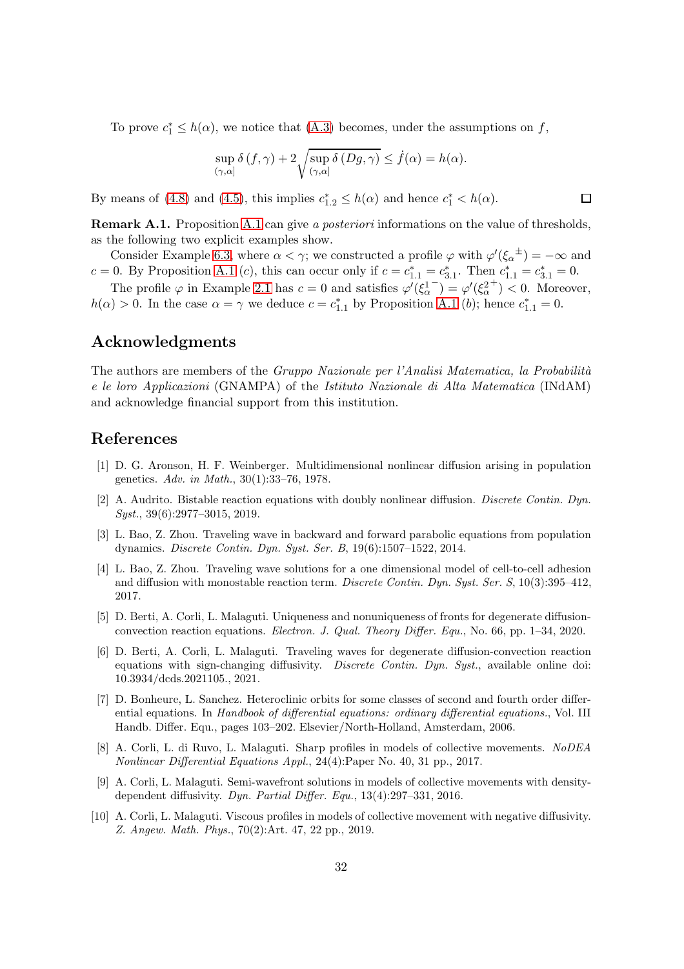To prove  $c_1^* \leq h(\alpha)$ , we notice that [\(A.3\)](#page-30-0) becomes, under the assumptions on f,

$$
\sup_{(\gamma,\alpha]} \delta(f,\gamma) + 2\sqrt{\sup_{(\gamma,\alpha]} \delta(Dg,\gamma)} \leq \dot{f}(\alpha) = h(\alpha).
$$

By means of [\(4.8\)](#page-13-5) and [\(4.5\)](#page-13-2), this implies  $c_{1,2}^* \leq h(\alpha)$  and hence  $c_1^* < h(\alpha)$ .

**Remark [A.1](#page-29-3).** Proposition A.1 can give a *posteriori* informations on the value of thresholds, as the following two explicit examples show.

Consider Example [6.3,](#page-28-0) where  $\alpha < \gamma$ ; we constructed a profile  $\varphi$  with  $\varphi'(\xi_{\alpha}^{\pm}) = -\infty$  and c = 0. By Proposition [A.1](#page-29-3) (c), this can occur only if  $c = c_{1,1}^* = c_{3,1}^*$ . Then  $c_{1,1}^* = c_{3,1}^* = 0$ .

The profile  $\varphi$  in Example [2.1](#page-4-0) has  $c = 0$  and satisfies  $\varphi'(\xi_{\alpha}^1)$  $\bar{\varphi}'(\xi_\alpha^2)$  $^{+}$ ) < 0. Moreover,  $h(\alpha) > 0$ . In the case  $\alpha = \gamma$  we deduce  $c = c_{1,1}^*$  by Proposition [A.1](#page-29-3) (b); hence  $c_{1,1}^* = 0$ .

## Acknowledgments

The authors are members of the *Gruppo Nazionale per l'Analisi Matematica*, la Probabilità e le loro Applicazioni (GNAMPA) of the Istituto Nazionale di Alta Matematica (INdAM) and acknowledge financial support from this institution.

## <span id="page-31-8"></span>References

- [1] D. G. Aronson, H. F. Weinberger. Multidimensional nonlinear diffusion arising in population genetics. Adv. in Math., 30(1):33–76, 1978.
- <span id="page-31-9"></span>[2] A. Audrito. Bistable reaction equations with doubly nonlinear diffusion. Discrete Contin. Dyn. Syst., 39(6):2977-3015, 2019.
- <span id="page-31-6"></span>[3] L. Bao, Z. Zhou. Traveling wave in backward and forward parabolic equations from population dynamics. Discrete Contin. Dyn. Syst. Ser. B, 19(6):1507–1522, 2014.
- <span id="page-31-7"></span>[4] L. Bao, Z. Zhou. Traveling wave solutions for a one dimensional model of cell-to-cell adhesion and diffusion with monostable reaction term. Discrete Contin. Dyn. Syst. Ser. S, 10(3):395–412, 2017.
- <span id="page-31-1"></span>[5] D. Berti, A. Corli, L. Malaguti. Uniqueness and nonuniqueness of fronts for degenerate diffusionconvection reaction equations. Electron. J. Qual. Theory Differ. Equ., No. 66, pp. 1–34, 2020.
- <span id="page-31-2"></span>[6] D. Berti, A. Corli, L. Malaguti. Traveling waves for degenerate diffusion-convection reaction equations with sign-changing diffusivity. Discrete Contin. Dyn. Syst., available online doi: 10.3934/dcds.2021105., 2021.
- <span id="page-31-0"></span>[7] D. Bonheure, L. Sanchez. Heteroclinic orbits for some classes of second and fourth order differential equations. In Handbook of differential equations: ordinary differential equations., Vol. III Handb. Differ. Equ., pages 103–202. Elsevier/North-Holland, Amsterdam, 2006.
- <span id="page-31-4"></span>[8] A. Corli, L. di Ruvo, L. Malaguti. Sharp profiles in models of collective movements. NoDEA Nonlinear Differential Equations Appl., 24(4):Paper No. 40, 31 pp., 2017.
- <span id="page-31-5"></span>[9] A. Corli, L. Malaguti. Semi-wavefront solutions in models of collective movements with densitydependent diffusivity. Dyn. Partial Differ. Equ., 13(4):297–331, 2016.
- <span id="page-31-3"></span>[10] A. Corli, L. Malaguti. Viscous profiles in models of collective movement with negative diffusivity. Z. Angew. Math. Phys., 70(2):Art. 47, 22 pp., 2019.